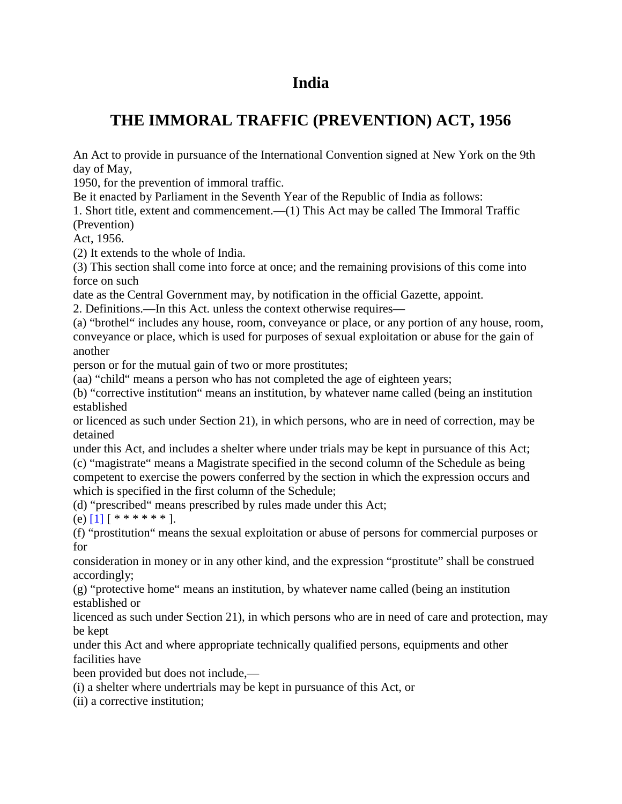## **India**

# **THE IMMORAL TRAFFIC (PREVENTION) ACT, 1956**

An Act to provide in pursuance of the International Convention signed at New York on the 9th day of May,

1950, for the prevention of immoral traffic.

Be it enacted by Parliament in the Seventh Year of the Republic of India as follows:

1. Short title, extent and commencement.—(1) This Act may be called The Immoral Traffic (Prevention)

Act, 1956.

(2) It extends to the whole of India.

(3) This section shall come into force at once; and the remaining provisions of this come into force on such

date as the Central Government may, by notification in the official Gazette, appoint.

2. Definitions.—In this Act. unless the context otherwise requires—

(a) "brothel" includes any house, room, conveyance or place, or any portion of any house, room, conveyance or place, which is used for purposes of sexual exploitation or abuse for the gain of another

person or for the mutual gain of two or more prostitutes;

(aa) "child" means a person who has not completed the age of eighteen years;

(b) "corrective institution" means an institution, by whatever name called (being an institution established

or licenced as such under Section 21), in which persons, who are in need of correction, may be detained

under this Act, and includes a shelter where under trials may be kept in pursuance of this Act; (c) "magistrate" means a Magistrate specified in the second column of the Schedule as being competent to exercise the powers conferred by the section in which the expression occurs and which is specified in the first column of the Schedule;

(d) "prescribed" means prescribed by rules made under this Act;

(e)  $[1]$  [ \* \* \* \* \* \* ].

(f) "prostitution" means the sexual exploitation or abuse of persons for commercial purposes or for

consideration in money or in any other kind, and the expression "prostitute" shall be construed accordingly;

 $(g)$  "protective home" means an institution, by whatever name called (being an institution established or

licenced as such under Section 21), in which persons who are in need of care and protection, may be kept

under this Act and where appropriate technically qualified persons, equipments and other facilities have

been provided but does not include,—

(i) a shelter where undertrials may be kept in pursuance of this Act, or

(ii) a corrective institution;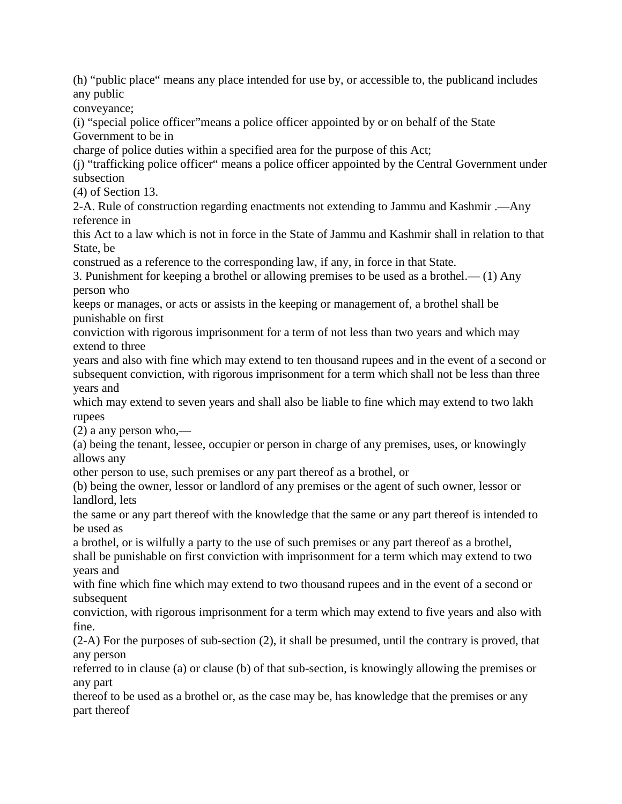(h) "public place" means any place intended for use by, or accessible to, the publicand includes any public

conveyance;

(i) "special police officer"means a police officer appointed by or on behalf of the State Government to be in

charge of police duties within a specified area for the purpose of this Act;

(j) "trafficking police officer" means a police officer appointed by the Central Government under subsection

(4) of Section 13.

2-A. Rule of construction regarding enactments not extending to Jammu and Kashmir .—Any reference in

this Act to a law which is not in force in the State of Jammu and Kashmir shall in relation to that State, be

construed as a reference to the corresponding law, if any, in force in that State.

3. Punishment for keeping a brothel or allowing premises to be used as a brothel.— (1) Any person who

keeps or manages, or acts or assists in the keeping or management of, a brothel shall be punishable on first

conviction with rigorous imprisonment for a term of not less than two years and which may extend to three

years and also with fine which may extend to ten thousand rupees and in the event of a second or subsequent conviction, with rigorous imprisonment for a term which shall not be less than three years and

which may extend to seven years and shall also be liable to fine which may extend to two lakh rupees

(2) a any person who,—

(a) being the tenant, lessee, occupier or person in charge of any premises, uses, or knowingly allows any

other person to use, such premises or any part thereof as a brothel, or

(b) being the owner, lessor or landlord of any premises or the agent of such owner, lessor or landlord, lets

the same or any part thereof with the knowledge that the same or any part thereof is intended to be used as

a brothel, or is wilfully a party to the use of such premises or any part thereof as a brothel, shall be punishable on first conviction with imprisonment for a term which may extend to two years and

with fine which fine which may extend to two thousand rupees and in the event of a second or subsequent

conviction, with rigorous imprisonment for a term which may extend to five years and also with fine.

(2-A) For the purposes of sub-section (2), it shall be presumed, until the contrary is proved, that any person

referred to in clause (a) or clause (b) of that sub-section, is knowingly allowing the premises or any part

thereof to be used as a brothel or, as the case may be, has knowledge that the premises or any part thereof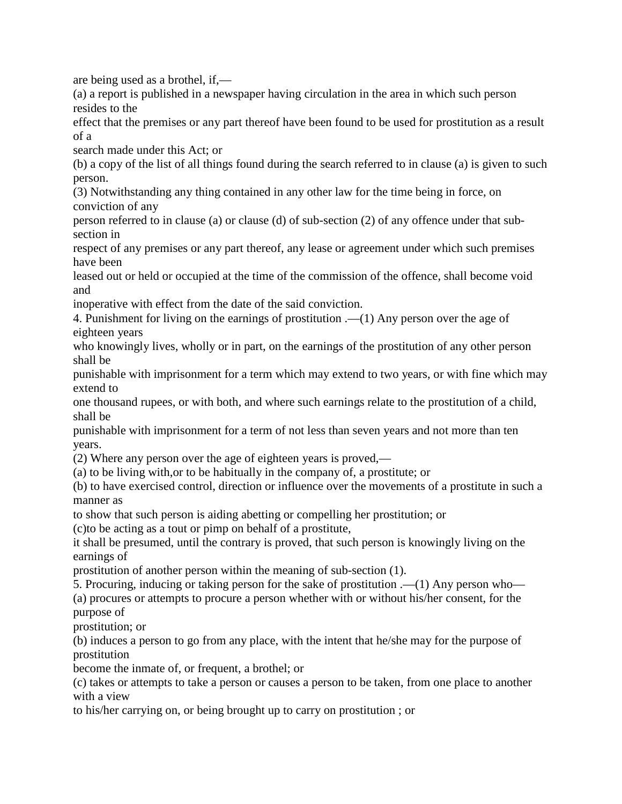are being used as a brothel, if,—

(a) a report is published in a newspaper having circulation in the area in which such person resides to the

effect that the premises or any part thereof have been found to be used for prostitution as a result of a

search made under this Act; or

(b) a copy of the list of all things found during the search referred to in clause (a) is given to such person.

(3) Notwithstanding any thing contained in any other law for the time being in force, on conviction of any

person referred to in clause (a) or clause (d) of sub-section (2) of any offence under that subsection in

respect of any premises or any part thereof, any lease or agreement under which such premises have been

leased out or held or occupied at the time of the commission of the offence, shall become void and

inoperative with effect from the date of the said conviction.

4. Punishment for living on the earnings of prostitution .—(1) Any person over the age of eighteen years

who knowingly lives, wholly or in part, on the earnings of the prostitution of any other person shall be

punishable with imprisonment for a term which may extend to two years, or with fine which may extend to

one thousand rupees, or with both, and where such earnings relate to the prostitution of a child, shall be

punishable with imprisonment for a term of not less than seven years and not more than ten years.

(2) Where any person over the age of eighteen years is proved,—

(a) to be living with,or to be habitually in the company of, a prostitute; or

(b) to have exercised control, direction or influence over the movements of a prostitute in such a manner as

to show that such person is aiding abetting or compelling her prostitution; or

(c)to be acting as a tout or pimp on behalf of a prostitute,

it shall be presumed, until the contrary is proved, that such person is knowingly living on the earnings of

prostitution of another person within the meaning of sub-section (1).

5. Procuring, inducing or taking person for the sake of prostitution .—(1) Any person who—

(a) procures or attempts to procure a person whether with or without his/her consent, for the purpose of

prostitution; or

(b) induces a person to go from any place, with the intent that he/she may for the purpose of prostitution

become the inmate of, or frequent, a brothel; or

(c) takes or attempts to take a person or causes a person to be taken, from one place to another with a view

to his/her carrying on, or being brought up to carry on prostitution ; or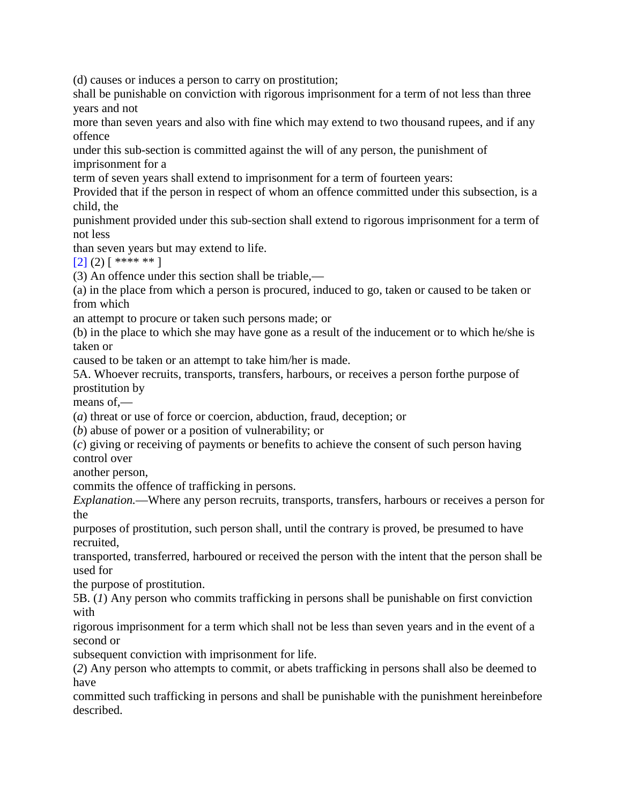(d) causes or induces a person to carry on prostitution;

shall be punishable on conviction with rigorous imprisonment for a term of not less than three years and not

more than seven years and also with fine which may extend to two thousand rupees, and if any offence

under this sub-section is committed against the will of any person, the punishment of imprisonment for a

term of seven years shall extend to imprisonment for a term of fourteen years:

Provided that if the person in respect of whom an offence committed under this subsection, is a child, the

punishment provided under this sub-section shall extend to rigorous imprisonment for a term of not less

than seven years but may extend to life.

 $[2] (2) [$  \*\*\*\* \*\* ]

(3) An offence under this section shall be triable,—

(a) in the place from which a person is procured, induced to go, taken or caused to be taken or from which

an attempt to procure or taken such persons made; or

(b) in the place to which she may have gone as a result of the inducement or to which he/she is taken or

caused to be taken or an attempt to take him/her is made.

5A. Whoever recruits, transports, transfers, harbours, or receives a person forthe purpose of prostitution by

means of,—

(*a*) threat or use of force or coercion, abduction, fraud, deception; or

(*b*) abuse of power or a position of vulnerability; or

(*c*) giving or receiving of payments or benefits to achieve the consent of such person having control over

another person,

commits the offence of trafficking in persons.

*Explanation.*—Where any person recruits, transports, transfers, harbours or receives a person for the

purposes of prostitution, such person shall, until the contrary is proved, be presumed to have recruited,

transported, transferred, harboured or received the person with the intent that the person shall be used for

the purpose of prostitution.

5B. (*1*) Any person who commits trafficking in persons shall be punishable on first conviction with

rigorous imprisonment for a term which shall not be less than seven years and in the event of a second or

subsequent conviction with imprisonment for life.

(*2*) Any person who attempts to commit, or abets trafficking in persons shall also be deemed to have

committed such trafficking in persons and shall be punishable with the punishment hereinbefore described.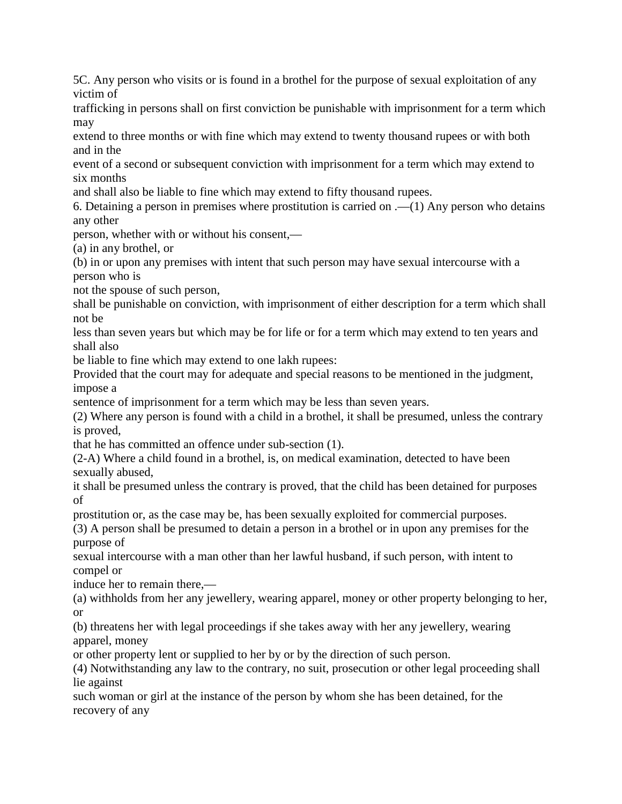5C. Any person who visits or is found in a brothel for the purpose of sexual exploitation of any victim of

trafficking in persons shall on first conviction be punishable with imprisonment for a term which may

extend to three months or with fine which may extend to twenty thousand rupees or with both and in the

event of a second or subsequent conviction with imprisonment for a term which may extend to six months

and shall also be liable to fine which may extend to fifty thousand rupees.

6. Detaining a person in premises where prostitution is carried on .—(1) Any person who detains any other

person, whether with or without his consent,—

(a) in any brothel, or

(b) in or upon any premises with intent that such person may have sexual intercourse with a person who is

not the spouse of such person,

shall be punishable on conviction, with imprisonment of either description for a term which shall not be

less than seven years but which may be for life or for a term which may extend to ten years and shall also

be liable to fine which may extend to one lakh rupees:

Provided that the court may for adequate and special reasons to be mentioned in the judgment, impose a

sentence of imprisonment for a term which may be less than seven years.

(2) Where any person is found with a child in a brothel, it shall be presumed, unless the contrary is proved,

that he has committed an offence under sub-section (1).

(2-A) Where a child found in a brothel, is, on medical examination, detected to have been sexually abused,

it shall be presumed unless the contrary is proved, that the child has been detained for purposes of

prostitution or, as the case may be, has been sexually exploited for commercial purposes.

(3) A person shall be presumed to detain a person in a brothel or in upon any premises for the purpose of

sexual intercourse with a man other than her lawful husband, if such person, with intent to compel or

induce her to remain there,—

(a) withholds from her any jewellery, wearing apparel, money or other property belonging to her, or

(b) threatens her with legal proceedings if she takes away with her any jewellery, wearing apparel, money

or other property lent or supplied to her by or by the direction of such person.

(4) Notwithstanding any law to the contrary, no suit, prosecution or other legal proceeding shall lie against

such woman or girl at the instance of the person by whom she has been detained, for the recovery of any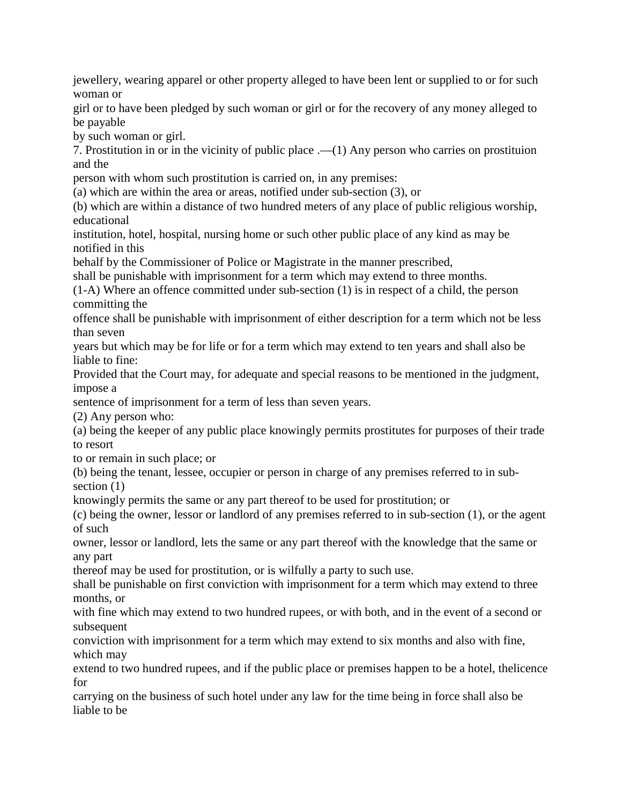jewellery, wearing apparel or other property alleged to have been lent or supplied to or for such woman or

girl or to have been pledged by such woman or girl or for the recovery of any money alleged to be payable

by such woman or girl.

7. Prostitution in or in the vicinity of public place .—(1) Any person who carries on prostituion and the

person with whom such prostitution is carried on, in any premises:

(a) which are within the area or areas, notified under sub-section (3), or

(b) which are within a distance of two hundred meters of any place of public religious worship, educational

institution, hotel, hospital, nursing home or such other public place of any kind as may be notified in this

behalf by the Commissioner of Police or Magistrate in the manner prescribed,

shall be punishable with imprisonment for a term which may extend to three months.

(1-A) Where an offence committed under sub-section (1) is in respect of a child, the person committing the

offence shall be punishable with imprisonment of either description for a term which not be less than seven

years but which may be for life or for a term which may extend to ten years and shall also be liable to fine:

Provided that the Court may, for adequate and special reasons to be mentioned in the judgment, impose a

sentence of imprisonment for a term of less than seven years.

(2) Any person who:

(a) being the keeper of any public place knowingly permits prostitutes for purposes of their trade to resort

to or remain in such place; or

(b) being the tenant, lessee, occupier or person in charge of any premises referred to in subsection  $(1)$ 

knowingly permits the same or any part thereof to be used for prostitution; or

(c) being the owner, lessor or landlord of any premises referred to in sub-section (1), or the agent of such

owner, lessor or landlord, lets the same or any part thereof with the knowledge that the same or any part

thereof may be used for prostitution, or is wilfully a party to such use.

shall be punishable on first conviction with imprisonment for a term which may extend to three months, or

with fine which may extend to two hundred rupees, or with both, and in the event of a second or subsequent

conviction with imprisonment for a term which may extend to six months and also with fine, which may

extend to two hundred rupees, and if the public place or premises happen to be a hotel, thelicence for

carrying on the business of such hotel under any law for the time being in force shall also be liable to be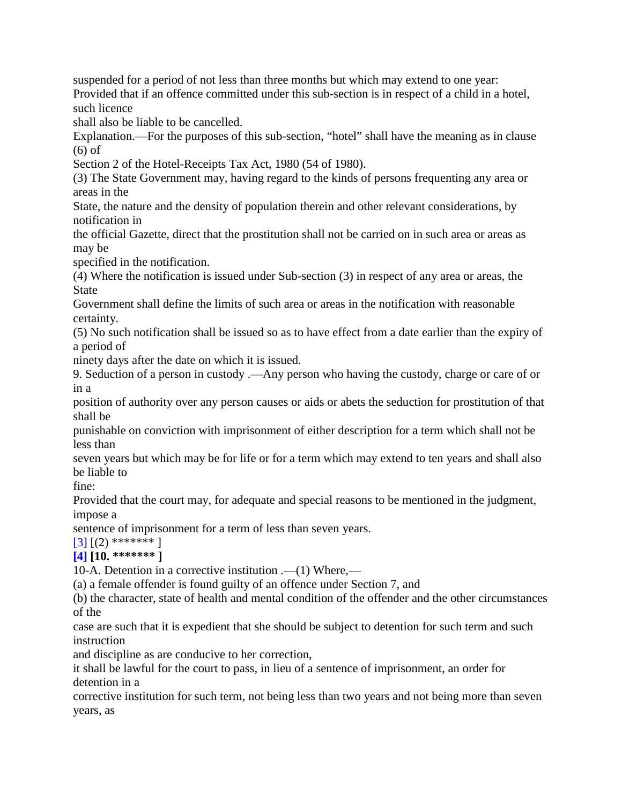suspended for a period of not less than three months but which may extend to one year: Provided that if an offence committed under this sub-section is in respect of a child in a hotel, such licence

shall also be liable to be cancelled.

Explanation.—For the purposes of this sub-section, "hotel" shall have the meaning as in clause (6) of

Section 2 of the Hotel-Receipts Tax Act, 1980 (54 of 1980).

(3) The State Government may, having regard to the kinds of persons frequenting any area or areas in the

State, the nature and the density of population therein and other relevant considerations, by notification in

the official Gazette, direct that the prostitution shall not be carried on in such area or areas as may be

specified in the notification.

(4) Where the notification is issued under Sub-section (3) in respect of any area or areas, the **State** 

Government shall define the limits of such area or areas in the notification with reasonable certainty.

(5) No such notification shall be issued so as to have effect from a date earlier than the expiry of a period of

ninety days after the date on which it is issued.

9. Seduction of a person in custody .—Any person who having the custody, charge or care of or in a

position of authority over any person causes or aids or abets the seduction for prostitution of that shall be

punishable on conviction with imprisonment of either description for a term which shall not be less than

seven years but which may be for life or for a term which may extend to ten years and shall also be liable to

fine:

Provided that the court may, for adequate and special reasons to be mentioned in the judgment, impose a

sentence of imprisonment for a term of less than seven years.

[3] [(2) \*\*\*\*\*\*\* ]

**[4] [10. \*\*\*\*\*\*\* ]**

10-A. Detention in a corrective institution .—(1) Where,—

(a) a female offender is found guilty of an offence under Section 7, and

(b) the character, state of health and mental condition of the offender and the other circumstances of the

case are such that it is expedient that she should be subject to detention for such term and such instruction

and discipline as are conducive to her correction,

it shall be lawful for the court to pass, in lieu of a sentence of imprisonment, an order for detention in a

corrective institution for such term, not being less than two years and not being more than seven years, as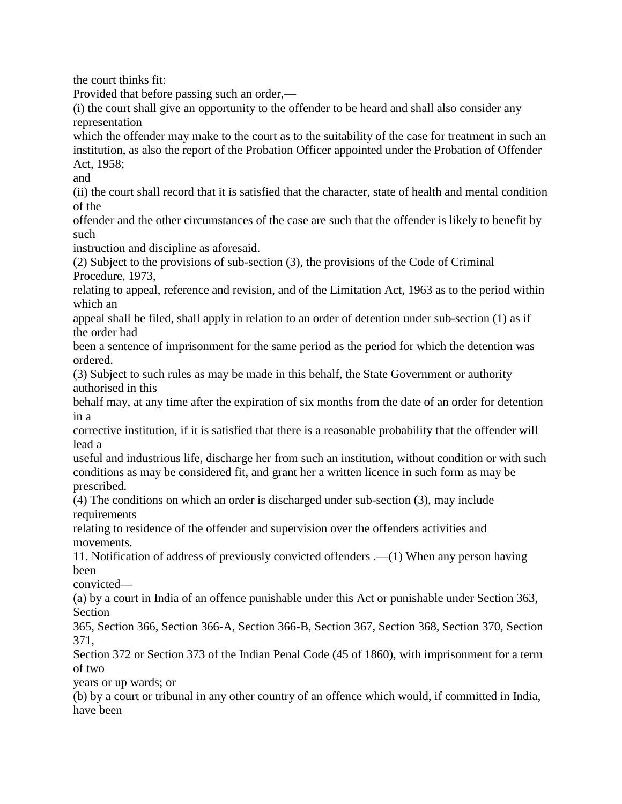the court thinks fit:

Provided that before passing such an order,—

(i) the court shall give an opportunity to the offender to be heard and shall also consider any representation

which the offender may make to the court as to the suitability of the case for treatment in such an institution, as also the report of the Probation Officer appointed under the Probation of Offender Act, 1958;

and

(ii) the court shall record that it is satisfied that the character, state of health and mental condition of the

offender and the other circumstances of the case are such that the offender is likely to benefit by such

instruction and discipline as aforesaid.

(2) Subject to the provisions of sub-section (3), the provisions of the Code of Criminal Procedure, 1973,

relating to appeal, reference and revision, and of the Limitation Act, 1963 as to the period within which an

appeal shall be filed, shall apply in relation to an order of detention under sub-section (1) as if the order had

been a sentence of imprisonment for the same period as the period for which the detention was ordered.

(3) Subject to such rules as may be made in this behalf, the State Government or authority authorised in this

behalf may, at any time after the expiration of six months from the date of an order for detention in a

corrective institution, if it is satisfied that there is a reasonable probability that the offender will lead a

useful and industrious life, discharge her from such an institution, without condition or with such conditions as may be considered fit, and grant her a written licence in such form as may be prescribed.

(4) The conditions on which an order is discharged under sub-section (3), may include requirements

relating to residence of the offender and supervision over the offenders activities and movements.

11. Notification of address of previously convicted offenders .—(1) When any person having been

convicted—

(a) by a court in India of an offence punishable under this Act or punishable under Section 363, Section

365, Section 366, Section 366-A, Section 366-B, Section 367, Section 368, Section 370, Section 371,

Section 372 or Section 373 of the Indian Penal Code (45 of 1860), with imprisonment for a term of two

years or up wards; or

(b) by a court or tribunal in any other country of an offence which would, if committed in India, have been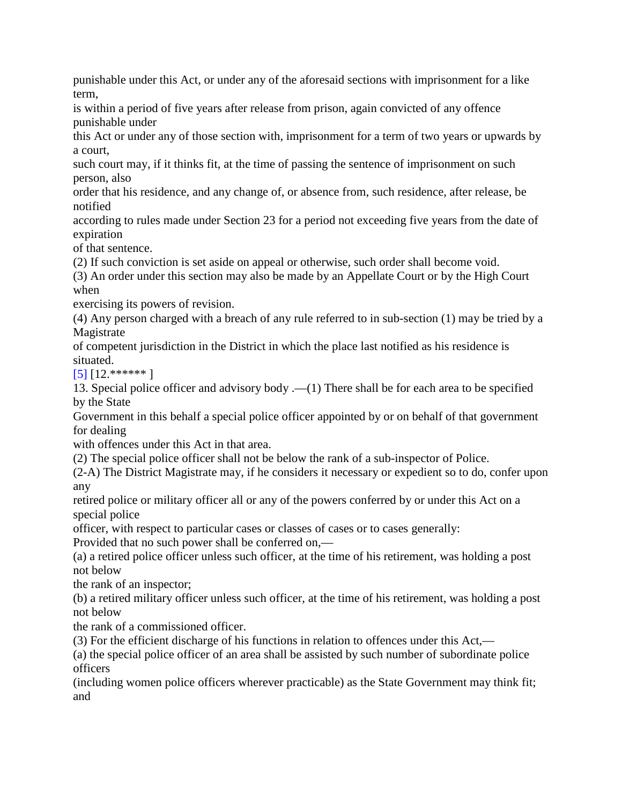punishable under this Act, or under any of the aforesaid sections with imprisonment for a like term,

is within a period of five years after release from prison, again convicted of any offence punishable under

this Act or under any of those section with, imprisonment for a term of two years or upwards by a court,

such court may, if it thinks fit, at the time of passing the sentence of imprisonment on such person, also

order that his residence, and any change of, or absence from, such residence, after release, be notified

according to rules made under Section 23 for a period not exceeding five years from the date of expiration

of that sentence.

(2) If such conviction is set aside on appeal or otherwise, such order shall become void.

(3) An order under this section may also be made by an Appellate Court or by the High Court when

exercising its powers of revision.

(4) Any person charged with a breach of any rule referred to in sub-section (1) may be tried by a Magistrate

of competent jurisdiction in the District in which the place last notified as his residence is situated.

 $[5]$   $[12.******]$ 

13. Special police officer and advisory body .—(1) There shall be for each area to be specified by the State

Government in this behalf a special police officer appointed by or on behalf of that government for dealing

with offences under this Act in that area.

(2) The special police officer shall not be below the rank of a sub-inspector of Police.

(2-A) The District Magistrate may, if he considers it necessary or expedient so to do, confer upon any

retired police or military officer all or any of the powers conferred by or under this Act on a special police

officer, with respect to particular cases or classes of cases or to cases generally:

Provided that no such power shall be conferred on,—

(a) a retired police officer unless such officer, at the time of his retirement, was holding a post not below

the rank of an inspector;

(b) a retired military officer unless such officer, at the time of his retirement, was holding a post not below

the rank of a commissioned officer.

(3) For the efficient discharge of his functions in relation to offences under this Act,—

(a) the special police officer of an area shall be assisted by such number of subordinate police officers

(including women police officers wherever practicable) as the State Government may think fit; and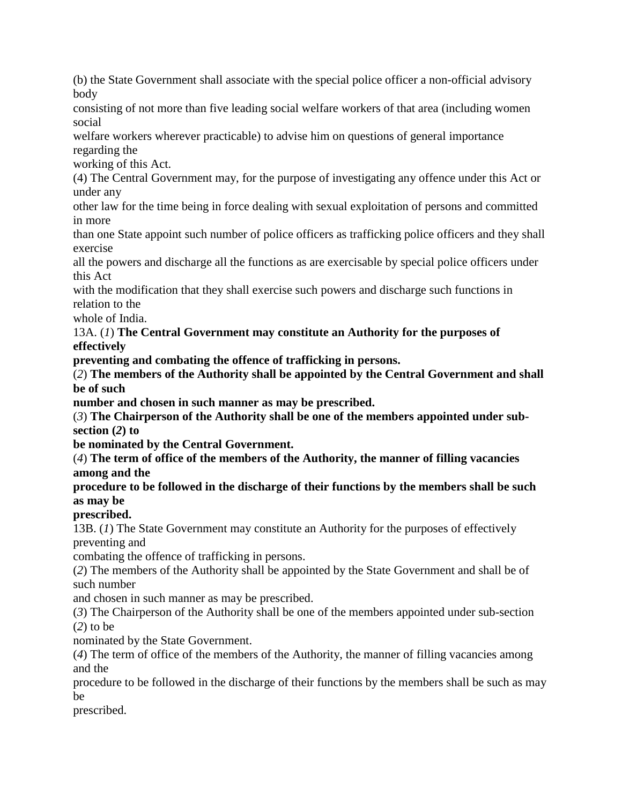(b) the State Government shall associate with the special police officer a non-official advisory body

consisting of not more than five leading social welfare workers of that area (including women social

welfare workers wherever practicable) to advise him on questions of general importance regarding the

working of this Act.

(4) The Central Government may, for the purpose of investigating any offence under this Act or under any

other law for the time being in force dealing with sexual exploitation of persons and committed in more

than one State appoint such number of police officers as trafficking police officers and they shall exercise

all the powers and discharge all the functions as are exercisable by special police officers under this Act

with the modification that they shall exercise such powers and discharge such functions in relation to the

whole of India.

13A. (*1*) **The Central Government may constitute an Authority for the purposes of effectively**

**preventing and combating the offence of trafficking in persons.**

(*2*) **The members of the Authority shall be appointed by the Central Government and shall be of such**

**number and chosen in such manner as may be prescribed.**

(*3*) **The Chairperson of the Authority shall be one of the members appointed under subsection (***2***) to**

**be nominated by the Central Government.**

(*4*) **The term of office of the members of the Authority, the manner of filling vacancies among and the**

**procedure to be followed in the discharge of their functions by the members shall be such as may be**

**prescribed.**

13B. (*1*) The State Government may constitute an Authority for the purposes of effectively preventing and

combating the offence of trafficking in persons.

(*2*) The members of the Authority shall be appointed by the State Government and shall be of such number

and chosen in such manner as may be prescribed.

(*3*) The Chairperson of the Authority shall be one of the members appointed under sub-section (*2*) to be

nominated by the State Government.

(*4*) The term of office of the members of the Authority, the manner of filling vacancies among and the

procedure to be followed in the discharge of their functions by the members shall be such as may be

prescribed.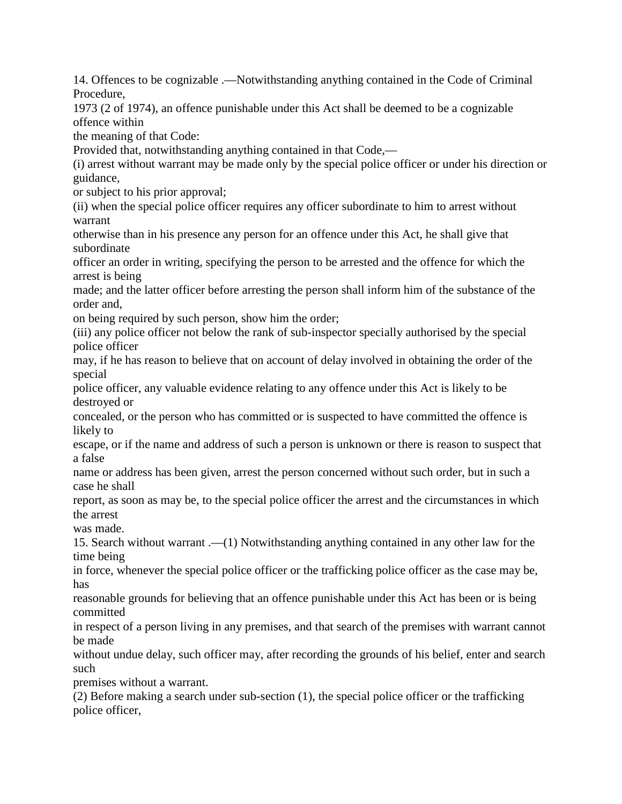14. Offences to be cognizable .—Notwithstanding anything contained in the Code of Criminal Procedure,

1973 (2 of 1974), an offence punishable under this Act shall be deemed to be a cognizable offence within

the meaning of that Code:

Provided that, notwithstanding anything contained in that Code,—

(i) arrest without warrant may be made only by the special police officer or under his direction or guidance,

or subject to his prior approval;

(ii) when the special police officer requires any officer subordinate to him to arrest without warrant

otherwise than in his presence any person for an offence under this Act, he shall give that subordinate

officer an order in writing, specifying the person to be arrested and the offence for which the arrest is being

made; and the latter officer before arresting the person shall inform him of the substance of the order and,

on being required by such person, show him the order;

(iii) any police officer not below the rank of sub-inspector specially authorised by the special police officer

may, if he has reason to believe that on account of delay involved in obtaining the order of the special

police officer, any valuable evidence relating to any offence under this Act is likely to be destroyed or

concealed, or the person who has committed or is suspected to have committed the offence is likely to

escape, or if the name and address of such a person is unknown or there is reason to suspect that a false

name or address has been given, arrest the person concerned without such order, but in such a case he shall

report, as soon as may be, to the special police officer the arrest and the circumstances in which the arrest

was made.

15. Search without warrant .—(1) Notwithstanding anything contained in any other law for the time being

in force, whenever the special police officer or the trafficking police officer as the case may be, has

reasonable grounds for believing that an offence punishable under this Act has been or is being committed

in respect of a person living in any premises, and that search of the premises with warrant cannot be made

without undue delay, such officer may, after recording the grounds of his belief, enter and search such

premises without a warrant.

(2) Before making a search under sub-section (1), the special police officer or the trafficking police officer,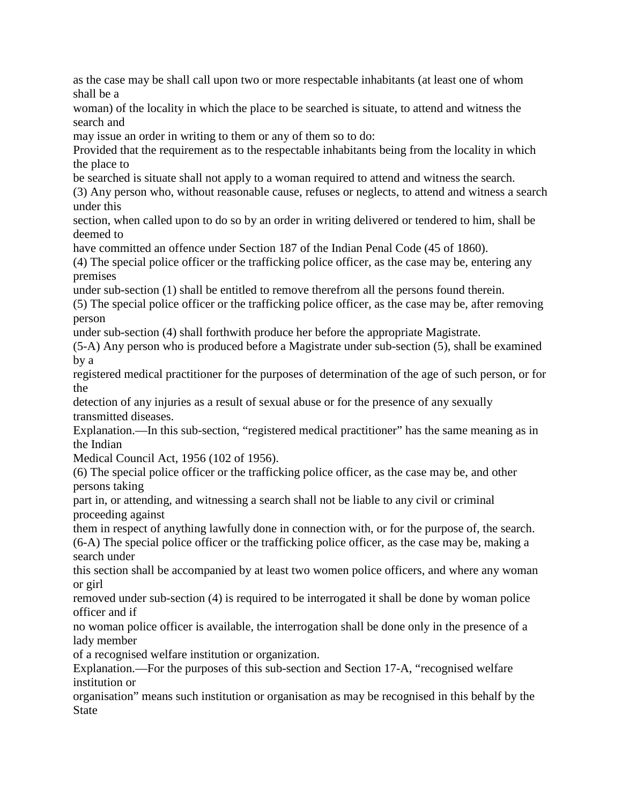as the case may be shall call upon two or more respectable inhabitants (at least one of whom shall be a

woman) of the locality in which the place to be searched is situate, to attend and witness the search and

may issue an order in writing to them or any of them so to do:

Provided that the requirement as to the respectable inhabitants being from the locality in which the place to

be searched is situate shall not apply to a woman required to attend and witness the search.

(3) Any person who, without reasonable cause, refuses or neglects, to attend and witness a search under this

section, when called upon to do so by an order in writing delivered or tendered to him, shall be deemed to

have committed an offence under Section 187 of the Indian Penal Code (45 of 1860).

(4) The special police officer or the trafficking police officer, as the case may be, entering any premises

under sub-section (1) shall be entitled to remove therefrom all the persons found therein.

(5) The special police officer or the trafficking police officer, as the case may be, after removing person

under sub-section (4) shall forthwith produce her before the appropriate Magistrate.

(5-A) Any person who is produced before a Magistrate under sub-section (5), shall be examined by a

registered medical practitioner for the purposes of determination of the age of such person, or for the

detection of any injuries as a result of sexual abuse or for the presence of any sexually transmitted diseases.

Explanation.—In this sub-section, "registered medical practitioner" has the same meaning as in the Indian

Medical Council Act, 1956 (102 of 1956).

(6) The special police officer or the trafficking police officer, as the case may be, and other persons taking

part in, or attending, and witnessing a search shall not be liable to any civil or criminal proceeding against

them in respect of anything lawfully done in connection with, or for the purpose of, the search.

(6-A) The special police officer or the trafficking police officer, as the case may be, making a search under

this section shall be accompanied by at least two women police officers, and where any woman or girl

removed under sub-section (4) is required to be interrogated it shall be done by woman police officer and if

no woman police officer is available, the interrogation shall be done only in the presence of a lady member

of a recognised welfare institution or organization.

Explanation.—For the purposes of this sub-section and Section 17-A, "recognised welfare institution or

organisation" means such institution or organisation as may be recognised in this behalf by the State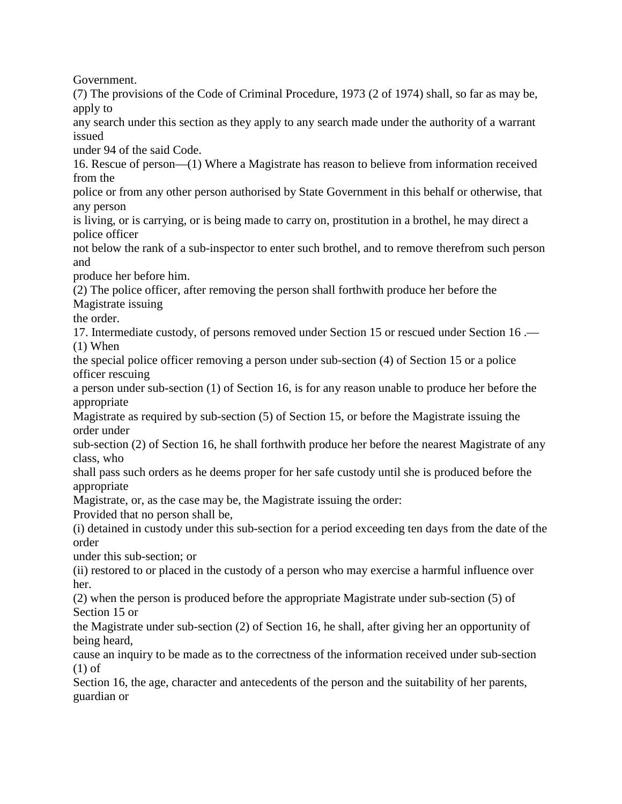Government.

(7) The provisions of the Code of Criminal Procedure, 1973 (2 of 1974) shall, so far as may be, apply to

any search under this section as they apply to any search made under the authority of a warrant issued

under 94 of the said Code.

16. Rescue of person—(1) Where a Magistrate has reason to believe from information received from the

police or from any other person authorised by State Government in this behalf or otherwise, that any person

is living, or is carrying, or is being made to carry on, prostitution in a brothel, he may direct a police officer

not below the rank of a sub-inspector to enter such brothel, and to remove therefrom such person and

produce her before him.

(2) The police officer, after removing the person shall forthwith produce her before the Magistrate issuing

the order.

17. Intermediate custody, of persons removed under Section 15 or rescued under Section 16 .— (1) When

the special police officer removing a person under sub-section (4) of Section 15 or a police officer rescuing

a person under sub-section (1) of Section 16, is for any reason unable to produce her before the appropriate

Magistrate as required by sub-section (5) of Section 15, or before the Magistrate issuing the order under

sub-section (2) of Section 16, he shall forthwith produce her before the nearest Magistrate of any class, who

shall pass such orders as he deems proper for her safe custody until she is produced before the appropriate

Magistrate, or, as the case may be, the Magistrate issuing the order:

Provided that no person shall be,

(i) detained in custody under this sub-section for a period exceeding ten days from the date of the order

under this sub-section; or

(ii) restored to or placed in the custody of a person who may exercise a harmful influence over her.

(2) when the person is produced before the appropriate Magistrate under sub-section (5) of Section 15 or

the Magistrate under sub-section (2) of Section 16, he shall, after giving her an opportunity of being heard,

cause an inquiry to be made as to the correctness of the information received under sub-section (1) of

Section 16, the age, character and antecedents of the person and the suitability of her parents, guardian or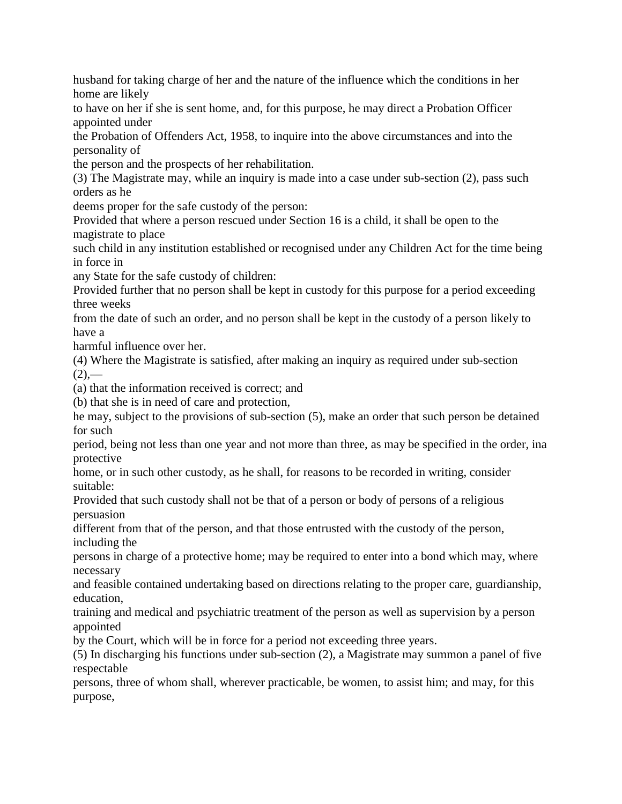husband for taking charge of her and the nature of the influence which the conditions in her home are likely

to have on her if she is sent home, and, for this purpose, he may direct a Probation Officer appointed under

the Probation of Offenders Act, 1958, to inquire into the above circumstances and into the personality of

the person and the prospects of her rehabilitation.

(3) The Magistrate may, while an inquiry is made into a case under sub-section (2), pass such orders as he

deems proper for the safe custody of the person:

Provided that where a person rescued under Section 16 is a child, it shall be open to the magistrate to place

such child in any institution established or recognised under any Children Act for the time being in force in

any State for the safe custody of children:

Provided further that no person shall be kept in custody for this purpose for a period exceeding three weeks

from the date of such an order, and no person shall be kept in the custody of a person likely to have a

harmful influence over her.

(4) Where the Magistrate is satisfied, after making an inquiry as required under sub-section  $(2)$ ,—

(a) that the information received is correct; and

(b) that she is in need of care and protection,

he may, subject to the provisions of sub-section (5), make an order that such person be detained for such

period, being not less than one year and not more than three, as may be specified in the order, ina protective

home, or in such other custody, as he shall, for reasons to be recorded in writing, consider suitable:

Provided that such custody shall not be that of a person or body of persons of a religious persuasion

different from that of the person, and that those entrusted with the custody of the person, including the

persons in charge of a protective home; may be required to enter into a bond which may, where necessary

and feasible contained undertaking based on directions relating to the proper care, guardianship, education,

training and medical and psychiatric treatment of the person as well as supervision by a person appointed

by the Court, which will be in force for a period not exceeding three years.

(5) In discharging his functions under sub-section (2), a Magistrate may summon a panel of five respectable

persons, three of whom shall, wherever practicable, be women, to assist him; and may, for this purpose,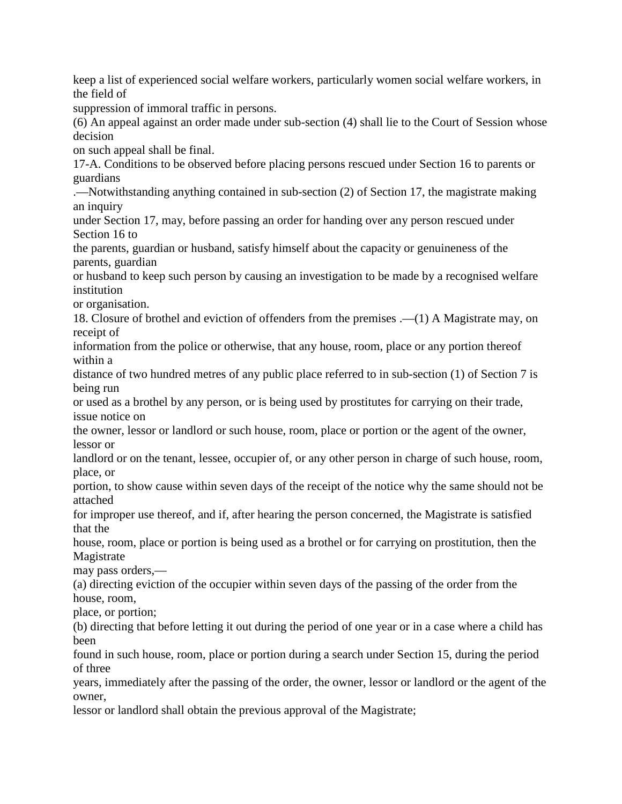keep a list of experienced social welfare workers, particularly women social welfare workers, in the field of

suppression of immoral traffic in persons.

(6) An appeal against an order made under sub-section (4) shall lie to the Court of Session whose decision

on such appeal shall be final.

17-A. Conditions to be observed before placing persons rescued under Section 16 to parents or guardians

.—Notwithstanding anything contained in sub-section (2) of Section 17, the magistrate making an inquiry

under Section 17, may, before passing an order for handing over any person rescued under Section 16 to

the parents, guardian or husband, satisfy himself about the capacity or genuineness of the parents, guardian

or husband to keep such person by causing an investigation to be made by a recognised welfare institution

or organisation.

18. Closure of brothel and eviction of offenders from the premises .—(1) A Magistrate may, on receipt of

information from the police or otherwise, that any house, room, place or any portion thereof within a

distance of two hundred metres of any public place referred to in sub-section (1) of Section 7 is being run

or used as a brothel by any person, or is being used by prostitutes for carrying on their trade, issue notice on

the owner, lessor or landlord or such house, room, place or portion or the agent of the owner, lessor or

landlord or on the tenant, lessee, occupier of, or any other person in charge of such house, room, place, or

portion, to show cause within seven days of the receipt of the notice why the same should not be attached

for improper use thereof, and if, after hearing the person concerned, the Magistrate is satisfied that the

house, room, place or portion is being used as a brothel or for carrying on prostitution, then the Magistrate

may pass orders,—

(a) directing eviction of the occupier within seven days of the passing of the order from the house, room,

place, or portion;

(b) directing that before letting it out during the period of one year or in a case where a child has been

found in such house, room, place or portion during a search under Section 15, during the period of three

years, immediately after the passing of the order, the owner, lessor or landlord or the agent of the owner,

lessor or landlord shall obtain the previous approval of the Magistrate;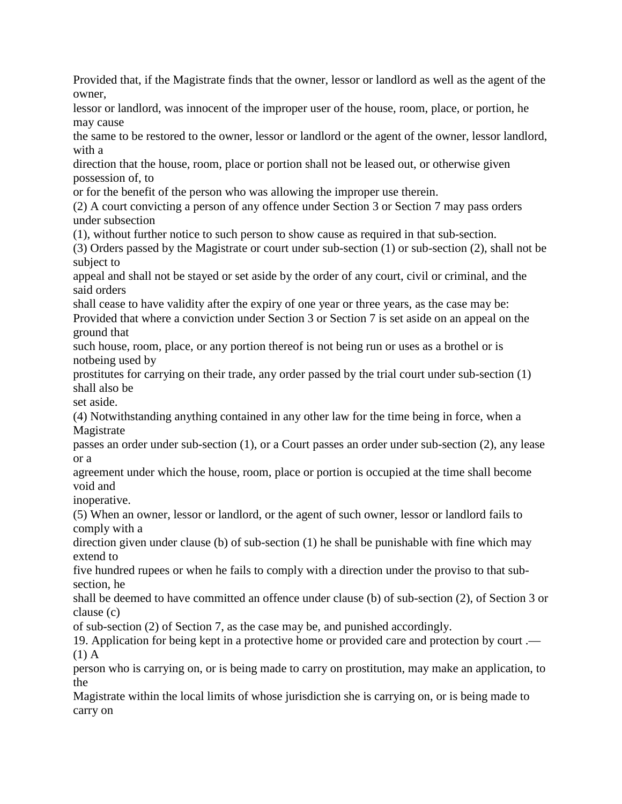Provided that, if the Magistrate finds that the owner, lessor or landlord as well as the agent of the owner,

lessor or landlord, was innocent of the improper user of the house, room, place, or portion, he may cause

the same to be restored to the owner, lessor or landlord or the agent of the owner, lessor landlord, with a

direction that the house, room, place or portion shall not be leased out, or otherwise given possession of, to

or for the benefit of the person who was allowing the improper use therein.

(2) A court convicting a person of any offence under Section 3 or Section 7 may pass orders under subsection

(1), without further notice to such person to show cause as required in that sub-section.

(3) Orders passed by the Magistrate or court under sub-section (1) or sub-section (2), shall not be subject to

appeal and shall not be stayed or set aside by the order of any court, civil or criminal, and the said orders

shall cease to have validity after the expiry of one year or three years, as the case may be: Provided that where a conviction under Section 3 or Section 7 is set aside on an appeal on the ground that

such house, room, place, or any portion thereof is not being run or uses as a brothel or is notbeing used by

prostitutes for carrying on their trade, any order passed by the trial court under sub-section (1) shall also be

set aside.

(4) Notwithstanding anything contained in any other law for the time being in force, when a Magistrate

passes an order under sub-section (1), or a Court passes an order under sub-section (2), any lease or a

agreement under which the house, room, place or portion is occupied at the time shall become void and

inoperative.

(5) When an owner, lessor or landlord, or the agent of such owner, lessor or landlord fails to comply with a

direction given under clause (b) of sub-section (1) he shall be punishable with fine which may extend to

five hundred rupees or when he fails to comply with a direction under the proviso to that subsection, he

shall be deemed to have committed an offence under clause (b) of sub-section (2), of Section 3 or clause (c)

of sub-section (2) of Section 7, as the case may be, and punished accordingly.

19. Application for being kept in a protective home or provided care and protection by court .— (1) A

person who is carrying on, or is being made to carry on prostitution, may make an application, to the

Magistrate within the local limits of whose jurisdiction she is carrying on, or is being made to carry on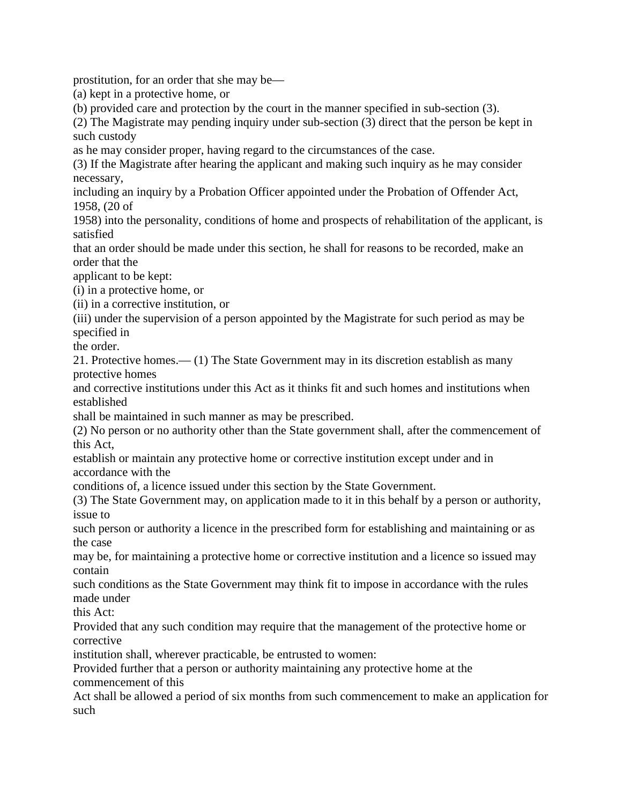prostitution, for an order that she may be—

(a) kept in a protective home, or

(b) provided care and protection by the court in the manner specified in sub-section (3).

(2) The Magistrate may pending inquiry under sub-section (3) direct that the person be kept in such custody

as he may consider proper, having regard to the circumstances of the case.

(3) If the Magistrate after hearing the applicant and making such inquiry as he may consider necessary,

including an inquiry by a Probation Officer appointed under the Probation of Offender Act, 1958, (20 of

1958) into the personality, conditions of home and prospects of rehabilitation of the applicant, is satisfied

that an order should be made under this section, he shall for reasons to be recorded, make an order that the

applicant to be kept:

(i) in a protective home, or

(ii) in a corrective institution, or

(iii) under the supervision of a person appointed by the Magistrate for such period as may be specified in

the order.

21. Protective homes.— (1) The State Government may in its discretion establish as many protective homes

and corrective institutions under this Act as it thinks fit and such homes and institutions when established

shall be maintained in such manner as may be prescribed.

(2) No person or no authority other than the State government shall, after the commencement of this Act,

establish or maintain any protective home or corrective institution except under and in accordance with the

conditions of, a licence issued under this section by the State Government.

(3) The State Government may, on application made to it in this behalf by a person or authority, issue to

such person or authority a licence in the prescribed form for establishing and maintaining or as the case

may be, for maintaining a protective home or corrective institution and a licence so issued may contain

such conditions as the State Government may think fit to impose in accordance with the rules made under

this Act:

Provided that any such condition may require that the management of the protective home or corrective

institution shall, wherever practicable, be entrusted to women:

Provided further that a person or authority maintaining any protective home at the commencement of this

Act shall be allowed a period of six months from such commencement to make an application for such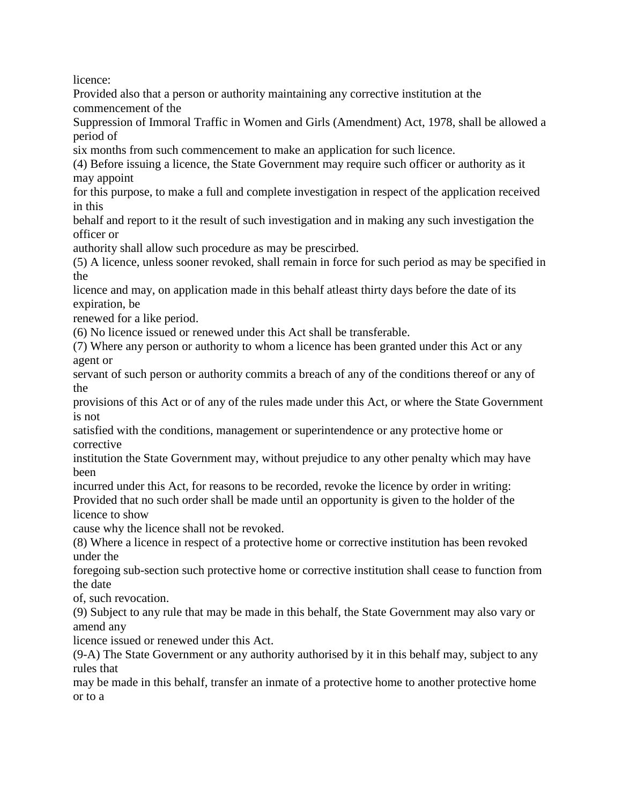licence:

Provided also that a person or authority maintaining any corrective institution at the commencement of the

Suppression of Immoral Traffic in Women and Girls (Amendment) Act, 1978, shall be allowed a period of

six months from such commencement to make an application for such licence.

(4) Before issuing a licence, the State Government may require such officer or authority as it may appoint

for this purpose, to make a full and complete investigation in respect of the application received in this

behalf and report to it the result of such investigation and in making any such investigation the officer or

authority shall allow such procedure as may be prescirbed.

(5) A licence, unless sooner revoked, shall remain in force for such period as may be specified in the

licence and may, on application made in this behalf atleast thirty days before the date of its expiration, be

renewed for a like period.

(6) No licence issued or renewed under this Act shall be transferable.

(7) Where any person or authority to whom a licence has been granted under this Act or any agent or

servant of such person or authority commits a breach of any of the conditions thereof or any of the

provisions of this Act or of any of the rules made under this Act, or where the State Government is not

satisfied with the conditions, management or superintendence or any protective home or corrective

institution the State Government may, without prejudice to any other penalty which may have been

incurred under this Act, for reasons to be recorded, revoke the licence by order in writing: Provided that no such order shall be made until an opportunity is given to the holder of the licence to show

cause why the licence shall not be revoked.

(8) Where a licence in respect of a protective home or corrective institution has been revoked under the

foregoing sub-section such protective home or corrective institution shall cease to function from the date

of, such revocation.

(9) Subject to any rule that may be made in this behalf, the State Government may also vary or amend any

licence issued or renewed under this Act.

(9-A) The State Government or any authority authorised by it in this behalf may, subject to any rules that

may be made in this behalf, transfer an inmate of a protective home to another protective home or to a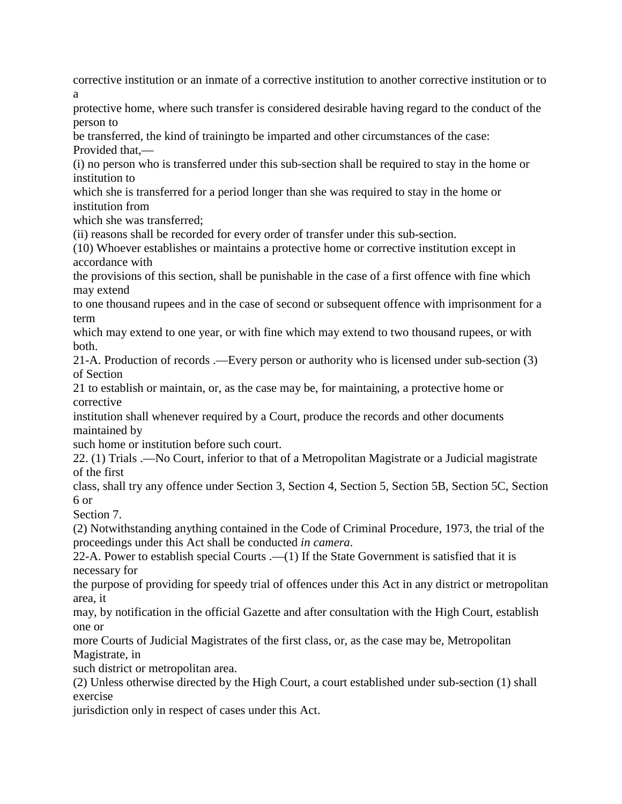corrective institution or an inmate of a corrective institution to another corrective institution or to a

protective home, where such transfer is considered desirable having regard to the conduct of the person to

be transferred, the kind of trainingto be imparted and other circumstances of the case: Provided that,—

(i) no person who is transferred under this sub-section shall be required to stay in the home or institution to

which she is transferred for a period longer than she was required to stay in the home or institution from

which she was transferred;

(ii) reasons shall be recorded for every order of transfer under this sub-section.

(10) Whoever establishes or maintains a protective home or corrective institution except in accordance with

the provisions of this section, shall be punishable in the case of a first offence with fine which may extend

to one thousand rupees and in the case of second or subsequent offence with imprisonment for a term

which may extend to one year, or with fine which may extend to two thousand rupees, or with both.

21-A. Production of records .—Every person or authority who is licensed under sub-section (3) of Section

21 to establish or maintain, or, as the case may be, for maintaining, a protective home or corrective

institution shall whenever required by a Court, produce the records and other documents maintained by

such home or institution before such court.

22. (1) Trials .—No Court, inferior to that of a Metropolitan Magistrate or a Judicial magistrate of the first

class, shall try any offence under Section 3, Section 4, Section 5, Section 5B, Section 5C, Section 6 or

Section 7.

(2) Notwithstanding anything contained in the Code of Criminal Procedure, 1973, the trial of the proceedings under this Act shall be conducted *in camera*.

22-A. Power to establish special Courts .—(1) If the State Government is satisfied that it is necessary for

the purpose of providing for speedy trial of offences under this Act in any district or metropolitan area, it

may, by notification in the official Gazette and after consultation with the High Court, establish one or

more Courts of Judicial Magistrates of the first class, or, as the case may be, Metropolitan Magistrate, in

such district or metropolitan area.

(2) Unless otherwise directed by the High Court, a court established under sub-section (1) shall exercise

jurisdiction only in respect of cases under this Act.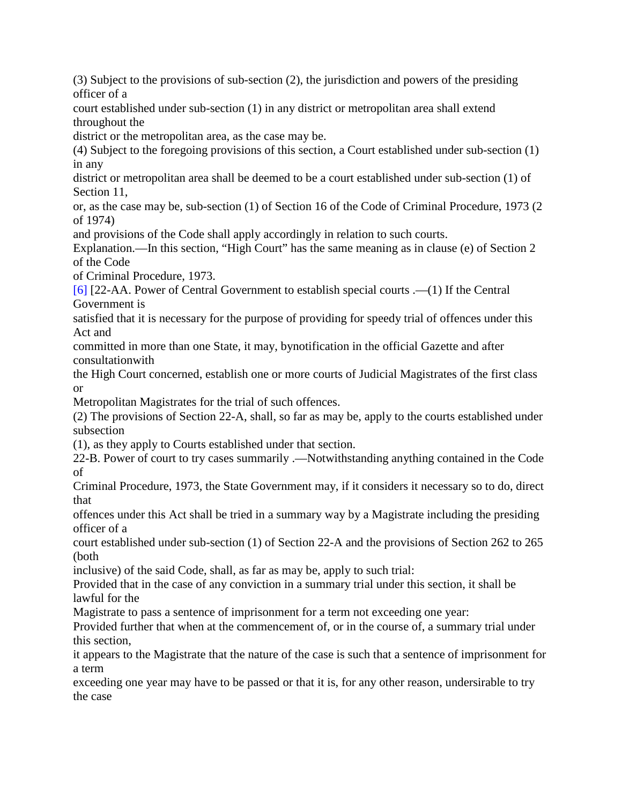(3) Subject to the provisions of sub-section (2), the jurisdiction and powers of the presiding officer of a

court established under sub-section (1) in any district or metropolitan area shall extend throughout the

district or the metropolitan area, as the case may be.

(4) Subject to the foregoing provisions of this section, a Court established under sub-section (1) in any

district or metropolitan area shall be deemed to be a court established under sub-section (1) of Section 11,

or, as the case may be, sub-section (1) of Section 16 of the Code of Criminal Procedure, 1973 (2 of 1974)

and provisions of the Code shall apply accordingly in relation to such courts.

Explanation.—In this section, "High Court" has the same meaning as in clause (e) of Section 2 of the Code

of Criminal Procedure, 1973.

[6] [22-AA. Power of Central Government to establish special courts .—(1) If the Central Government is

satisfied that it is necessary for the purpose of providing for speedy trial of offences under this Act and

committed in more than one State, it may, bynotification in the official Gazette and after consultationwith

the High Court concerned, establish one or more courts of Judicial Magistrates of the first class or

Metropolitan Magistrates for the trial of such offences.

(2) The provisions of Section 22-A, shall, so far as may be, apply to the courts established under subsection

(1), as they apply to Courts established under that section.

22-B. Power of court to try cases summarily .—Notwithstanding anything contained in the Code of

Criminal Procedure, 1973, the State Government may, if it considers it necessary so to do, direct that

offences under this Act shall be tried in a summary way by a Magistrate including the presiding officer of a

court established under sub-section (1) of Section 22-A and the provisions of Section 262 to 265 (both

inclusive) of the said Code, shall, as far as may be, apply to such trial:

Provided that in the case of any conviction in a summary trial under this section, it shall be lawful for the

Magistrate to pass a sentence of imprisonment for a term not exceeding one year:

Provided further that when at the commencement of, or in the course of, a summary trial under this section,

it appears to the Magistrate that the nature of the case is such that a sentence of imprisonment for a term

exceeding one year may have to be passed or that it is, for any other reason, undersirable to try the case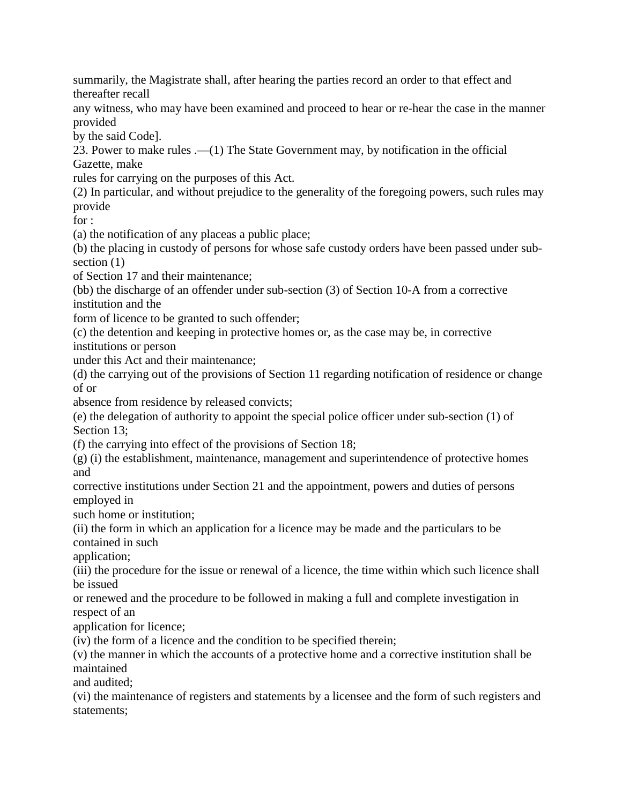summarily, the Magistrate shall, after hearing the parties record an order to that effect and thereafter recall

any witness, who may have been examined and proceed to hear or re-hear the case in the manner provided

by the said Code].

23. Power to make rules .—(1) The State Government may, by notification in the official Gazette, make

rules for carrying on the purposes of this Act.

(2) In particular, and without prejudice to the generality of the foregoing powers, such rules may provide

for  $\cdot$ 

(a) the notification of any placeas a public place;

(b) the placing in custody of persons for whose safe custody orders have been passed under subsection  $(1)$ 

of Section 17 and their maintenance;

(bb) the discharge of an offender under sub-section (3) of Section 10-A from a corrective institution and the

form of licence to be granted to such offender;

(c) the detention and keeping in protective homes or, as the case may be, in corrective

institutions or person

under this Act and their maintenance;

(d) the carrying out of the provisions of Section 11 regarding notification of residence or change of or

absence from residence by released convicts;

(e) the delegation of authority to appoint the special police officer under sub-section (1) of Section 13;

(f) the carrying into effect of the provisions of Section 18;

(g) (i) the establishment, maintenance, management and superintendence of protective homes and

corrective institutions under Section 21 and the appointment, powers and duties of persons employed in

such home or institution;

(ii) the form in which an application for a licence may be made and the particulars to be contained in such

application;

(iii) the procedure for the issue or renewal of a licence, the time within which such licence shall be issued

or renewed and the procedure to be followed in making a full and complete investigation in respect of an

application for licence;

(iv) the form of a licence and the condition to be specified therein;

(v) the manner in which the accounts of a protective home and a corrective institution shall be maintained

and audited;

(vi) the maintenance of registers and statements by a licensee and the form of such registers and statements;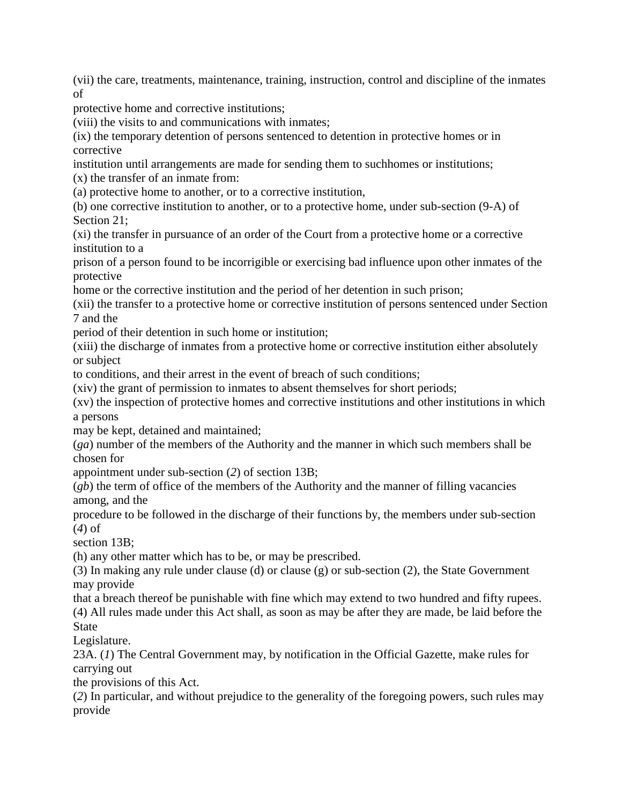(vii) the care, treatments, maintenance, training, instruction, control and discipline of the inmates of

protective home and corrective institutions;

(viii) the visits to and communications with inmates;

(ix) the temporary detention of persons sentenced to detention in protective homes or in corrective

institution until arrangements are made for sending them to suchhomes or institutions; (x) the transfer of an inmate from:

(a) protective home to another, or to a corrective institution,

(b) one corrective institution to another, or to a protective home, under sub-section (9-A) of Section 21;

(xi) the transfer in pursuance of an order of the Court from a protective home or a corrective institution to a

prison of a person found to be incorrigible or exercising bad influence upon other inmates of the protective

home or the corrective institution and the period of her detention in such prison;

(xii) the transfer to a protective home or corrective institution of persons sentenced under Section 7 and the

period of their detention in such home or institution;

(xiii) the discharge of inmates from a protective home or corrective institution either absolutely or subject

to conditions, and their arrest in the event of breach of such conditions;

(xiv) the grant of permission to inmates to absent themselves for short periods;

(xv) the inspection of protective homes and corrective institutions and other institutions in which a persons

may be kept, detained and maintained;

(*ga*) number of the members of the Authority and the manner in which such members shall be chosen for

appointment under sub-section (*2*) of section 13B;

(*gb*) the term of office of the members of the Authority and the manner of filling vacancies among, and the

procedure to be followed in the discharge of their functions by, the members under sub-section (*4*) of

section 13B;

(h) any other matter which has to be, or may be prescribed.

(3) In making any rule under clause (d) or clause (g) or sub-section (2), the State Government may provide

that a breach thereof be punishable with fine which may extend to two hundred and fifty rupees. (4) All rules made under this Act shall, as soon as may be after they are made, be laid before the State

Legislature.

23A. (*1*) The Central Government may, by notification in the Official Gazette, make rules for carrying out

the provisions of this Act.

(*2*) In particular, and without prejudice to the generality of the foregoing powers, such rules may provide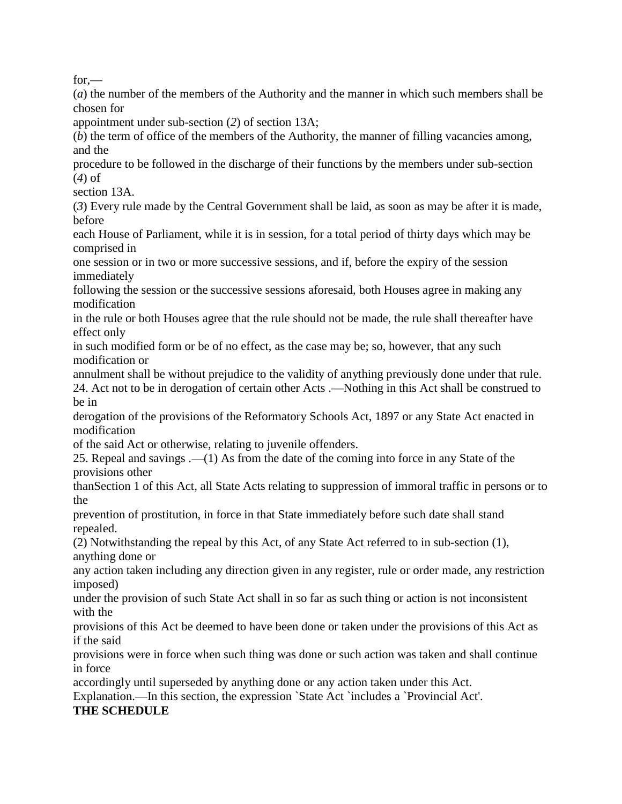for,—

(*a*) the number of the members of the Authority and the manner in which such members shall be chosen for

appointment under sub-section (*2*) of section 13A;

(*b*) the term of office of the members of the Authority, the manner of filling vacancies among, and the

procedure to be followed in the discharge of their functions by the members under sub-section (*4*) of

section 13A.

(*3*) Every rule made by the Central Government shall be laid, as soon as may be after it is made, before

each House of Parliament, while it is in session, for a total period of thirty days which may be comprised in

one session or in two or more successive sessions, and if, before the expiry of the session immediately

following the session or the successive sessions aforesaid, both Houses agree in making any modification

in the rule or both Houses agree that the rule should not be made, the rule shall thereafter have effect only

in such modified form or be of no effect, as the case may be; so, however, that any such modification or

annulment shall be without prejudice to the validity of anything previously done under that rule. 24. Act not to be in derogation of certain other Acts .—Nothing in this Act shall be construed to be in

derogation of the provisions of the Reformatory Schools Act, 1897 or any State Act enacted in modification

of the said Act or otherwise, relating to juvenile offenders.

25. Repeal and savings .—(1) As from the date of the coming into force in any State of the provisions other

thanSection 1 of this Act, all State Acts relating to suppression of immoral traffic in persons or to the

prevention of prostitution, in force in that State immediately before such date shall stand repealed.

(2) Notwithstanding the repeal by this Act, of any State Act referred to in sub-section (1), anything done or

any action taken including any direction given in any register, rule or order made, any restriction imposed)

under the provision of such State Act shall in so far as such thing or action is not inconsistent with the

provisions of this Act be deemed to have been done or taken under the provisions of this Act as if the said

provisions were in force when such thing was done or such action was taken and shall continue in force

accordingly until superseded by anything done or any action taken under this Act.

Explanation.—In this section, the expression `State Act `includes a `Provincial Act'.

### **THE SCHEDULE**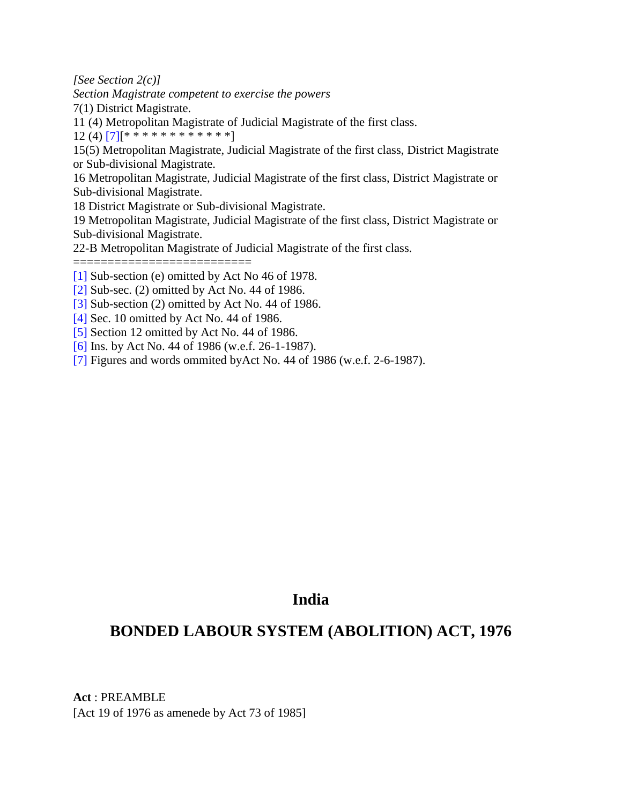*[See Section 2(c)]*

*Section Magistrate competent to exercise the powers*

7(1) District Magistrate.

11 (4) Metropolitan Magistrate of Judicial Magistrate of the first class.

 $12 (4)$   $7$ ][\* \* \* \* \* \* \* \* \* \* \* \* ]

15(5) Metropolitan Magistrate, Judicial Magistrate of the first class, District Magistrate or Sub-divisional Magistrate.

16 Metropolitan Magistrate, Judicial Magistrate of the first class, District Magistrate or Sub-divisional Magistrate.

18 District Magistrate or Sub-divisional Magistrate.

19 Metropolitan Magistrate, Judicial Magistrate of the first class, District Magistrate or Sub-divisional Magistrate.

22-B Metropolitan Magistrate of Judicial Magistrate of the first class.

=========================== [1] Sub-section (e) omitted by Act No 46 of 1978.

[2] Sub-sec. (2) omitted by Act No. 44 of 1986.

[3] Sub-section (2) omitted by Act No. 44 of 1986.

[4] Sec. 10 omitted by Act No. 44 of 1986.

[5] Section 12 omitted by Act No. 44 of 1986.

[6] Ins. by Act No. 44 of 1986 (w.e.f. 26-1-1987).

[7] Figures and words ommited byAct No. 44 of 1986 (w.e.f. 2-6-1987).

## **India**

### **BONDED LABOUR SYSTEM (ABOLITION) ACT, 1976**

**Act** : PREAMBLE [Act 19 of 1976 as amenede by Act 73 of 1985]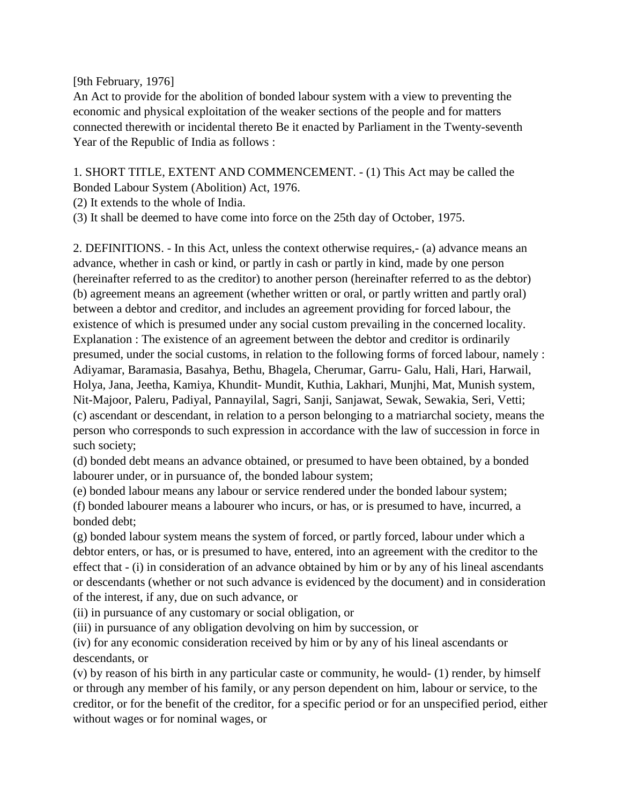[9th February, 1976]

An Act to provide for the abolition of bonded labour system with a view to preventing the economic and physical exploitation of the weaker sections of the people and for matters connected therewith or incidental thereto Be it enacted by Parliament in the Twenty-seventh Year of the Republic of India as follows :

1. SHORT TITLE, EXTENT AND COMMENCEMENT. - (1) This Act may be called the Bonded Labour System (Abolition) Act, 1976.

(2) It extends to the whole of India.

(3) It shall be deemed to have come into force on the 25th day of October, 1975.

2. DEFINITIONS. - In this Act, unless the context otherwise requires,- (a) advance means an advance, whether in cash or kind, or partly in cash or partly in kind, made by one person (hereinafter referred to as the creditor) to another person (hereinafter referred to as the debtor) (b) agreement means an agreement (whether written or oral, or partly written and partly oral) between a debtor and creditor, and includes an agreement providing for forced labour, the existence of which is presumed under any social custom prevailing in the concerned locality. Explanation : The existence of an agreement between the debtor and creditor is ordinarily presumed, under the social customs, in relation to the following forms of forced labour, namely : Adiyamar, Baramasia, Basahya, Bethu, Bhagela, Cherumar, Garru- Galu, Hali, Hari, Harwail, Holya, Jana, Jeetha, Kamiya, Khundit- Mundit, Kuthia, Lakhari, Munjhi, Mat, Munish system, Nit-Majoor, Paleru, Padiyal, Pannayilal, Sagri, Sanji, Sanjawat, Sewak, Sewakia, Seri, Vetti; (c) ascendant or descendant, in relation to a person belonging to a matriarchal society, means the person who corresponds to such expression in accordance with the law of succession in force in such society;

(d) bonded debt means an advance obtained, or presumed to have been obtained, by a bonded labourer under, or in pursuance of, the bonded labour system;

(e) bonded labour means any labour or service rendered under the bonded labour system; (f) bonded labourer means a labourer who incurs, or has, or is presumed to have, incurred, a

bonded debt;

(g) bonded labour system means the system of forced, or partly forced, labour under which a debtor enters, or has, or is presumed to have, entered, into an agreement with the creditor to the effect that - (i) in consideration of an advance obtained by him or by any of his lineal ascendants or descendants (whether or not such advance is evidenced by the document) and in consideration of the interest, if any, due on such advance, or

(ii) in pursuance of any customary or social obligation, or

(iii) in pursuance of any obligation devolving on him by succession, or

(iv) for any economic consideration received by him or by any of his lineal ascendants or descendants, or

(v) by reason of his birth in any particular caste or community, he would- (1) render, by himself or through any member of his family, or any person dependent on him, labour or service, to the creditor, or for the benefit of the creditor, for a specific period or for an unspecified period, either without wages or for nominal wages, or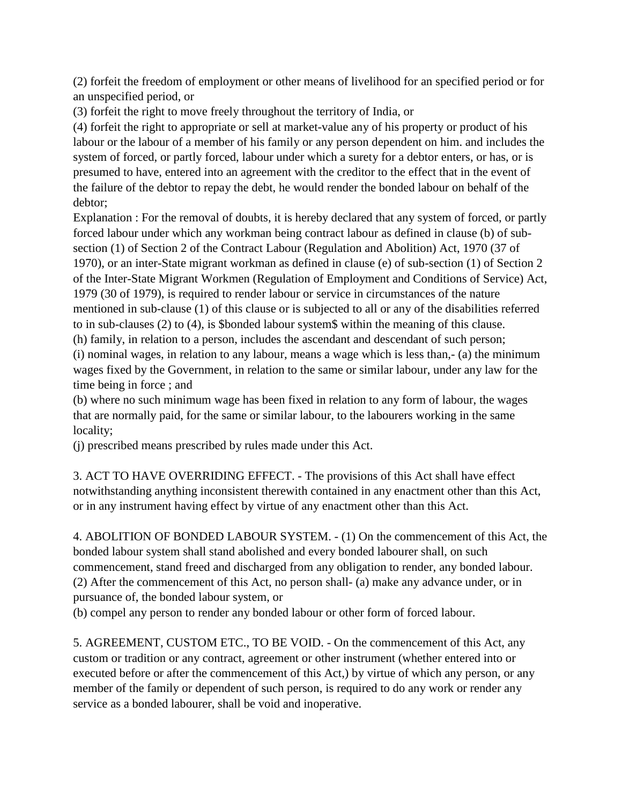(2) forfeit the freedom of employment or other means of livelihood for an specified period or for an unspecified period, or

(3) forfeit the right to move freely throughout the territory of India, or

(4) forfeit the right to appropriate or sell at market-value any of his property or product of his labour or the labour of a member of his family or any person dependent on him. and includes the system of forced, or partly forced, labour under which a surety for a debtor enters, or has, or is presumed to have, entered into an agreement with the creditor to the effect that in the event of the failure of the debtor to repay the debt, he would render the bonded labour on behalf of the debtor;

Explanation : For the removal of doubts, it is hereby declared that any system of forced, or partly forced labour under which any workman being contract labour as defined in clause (b) of subsection (1) of Section 2 of the Contract Labour (Regulation and Abolition) Act, 1970 (37 of 1970), or an inter-State migrant workman as defined in clause (e) of sub-section (1) of Section 2 of the Inter-State Migrant Workmen (Regulation of Employment and Conditions of Service) Act, 1979 (30 of 1979), is required to render labour or service in circumstances of the nature mentioned in sub-clause (1) of this clause or is subjected to all or any of the disabilities referred to in sub-clauses (2) to (4), is \$bonded labour system\$ within the meaning of this clause.

(h) family, in relation to a person, includes the ascendant and descendant of such person; (i) nominal wages, in relation to any labour, means a wage which is less than,- (a) the minimum wages fixed by the Government, in relation to the same or similar labour, under any law for the time being in force ; and

(b) where no such minimum wage has been fixed in relation to any form of labour, the wages that are normally paid, for the same or similar labour, to the labourers working in the same locality;

(j) prescribed means prescribed by rules made under this Act.

3. ACT TO HAVE OVERRIDING EFFECT. - The provisions of this Act shall have effect notwithstanding anything inconsistent therewith contained in any enactment other than this Act, or in any instrument having effect by virtue of any enactment other than this Act.

4. ABOLITION OF BONDED LABOUR SYSTEM. - (1) On the commencement of this Act, the bonded labour system shall stand abolished and every bonded labourer shall, on such commencement, stand freed and discharged from any obligation to render, any bonded labour. (2) After the commencement of this Act, no person shall- (a) make any advance under, or in pursuance of, the bonded labour system, or

(b) compel any person to render any bonded labour or other form of forced labour.

5. AGREEMENT, CUSTOM ETC., TO BE VOID. - On the commencement of this Act, any custom or tradition or any contract, agreement or other instrument (whether entered into or executed before or after the commencement of this Act,) by virtue of which any person, or any member of the family or dependent of such person, is required to do any work or render any service as a bonded labourer, shall be void and inoperative.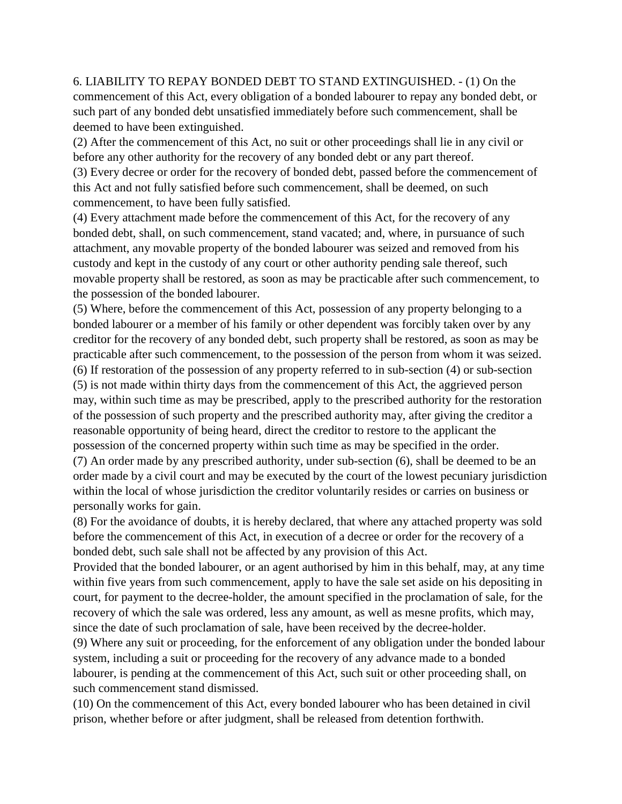6. LIABILITY TO REPAY BONDED DEBT TO STAND EXTINGUISHED. - (1) On the commencement of this Act, every obligation of a bonded labourer to repay any bonded debt, or such part of any bonded debt unsatisfied immediately before such commencement, shall be deemed to have been extinguished.

(2) After the commencement of this Act, no suit or other proceedings shall lie in any civil or before any other authority for the recovery of any bonded debt or any part thereof.

(3) Every decree or order for the recovery of bonded debt, passed before the commencement of this Act and not fully satisfied before such commencement, shall be deemed, on such commencement, to have been fully satisfied.

(4) Every attachment made before the commencement of this Act, for the recovery of any bonded debt, shall, on such commencement, stand vacated; and, where, in pursuance of such attachment, any movable property of the bonded labourer was seized and removed from his custody and kept in the custody of any court or other authority pending sale thereof, such movable property shall be restored, as soon as may be practicable after such commencement, to the possession of the bonded labourer.

(5) Where, before the commencement of this Act, possession of any property belonging to a bonded labourer or a member of his family or other dependent was forcibly taken over by any creditor for the recovery of any bonded debt, such property shall be restored, as soon as may be practicable after such commencement, to the possession of the person from whom it was seized. (6) If restoration of the possession of any property referred to in sub-section (4) or sub-section

(5) is not made within thirty days from the commencement of this Act, the aggrieved person may, within such time as may be prescribed, apply to the prescribed authority for the restoration of the possession of such property and the prescribed authority may, after giving the creditor a reasonable opportunity of being heard, direct the creditor to restore to the applicant the possession of the concerned property within such time as may be specified in the order.

(7) An order made by any prescribed authority, under sub-section (6), shall be deemed to be an order made by a civil court and may be executed by the court of the lowest pecuniary jurisdiction within the local of whose jurisdiction the creditor voluntarily resides or carries on business or personally works for gain.

(8) For the avoidance of doubts, it is hereby declared, that where any attached property was sold before the commencement of this Act, in execution of a decree or order for the recovery of a bonded debt, such sale shall not be affected by any provision of this Act.

Provided that the bonded labourer, or an agent authorised by him in this behalf, may, at any time within five years from such commencement, apply to have the sale set aside on his depositing in court, for payment to the decree-holder, the amount specified in the proclamation of sale, for the recovery of which the sale was ordered, less any amount, as well as mesne profits, which may, since the date of such proclamation of sale, have been received by the decree-holder.

(9) Where any suit or proceeding, for the enforcement of any obligation under the bonded labour system, including a suit or proceeding for the recovery of any advance made to a bonded labourer, is pending at the commencement of this Act, such suit or other proceeding shall, on such commencement stand dismissed.

(10) On the commencement of this Act, every bonded labourer who has been detained in civil prison, whether before or after judgment, shall be released from detention forthwith.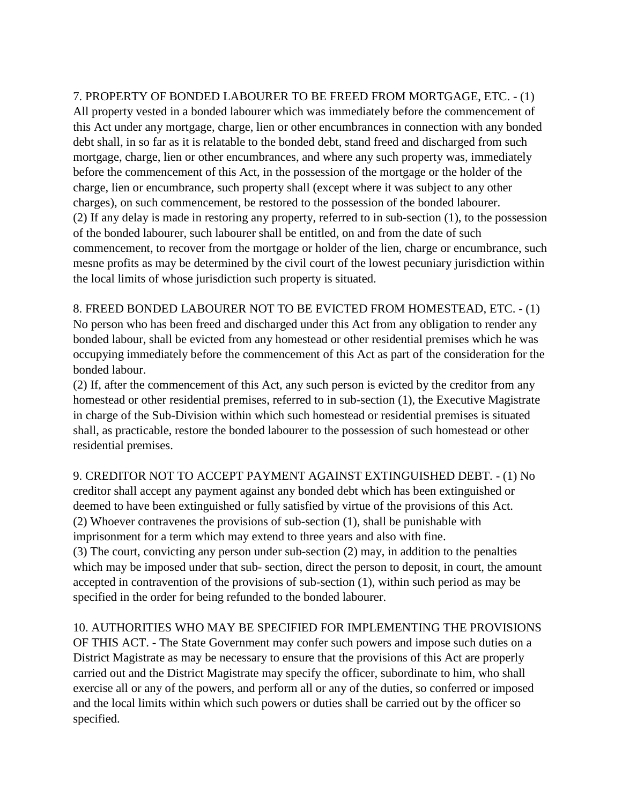### 7. PROPERTY OF BONDED LABOURER TO BE FREED FROM MORTGAGE, ETC. - (1)

All property vested in a bonded labourer which was immediately before the commencement of this Act under any mortgage, charge, lien or other encumbrances in connection with any bonded debt shall, in so far as it is relatable to the bonded debt, stand freed and discharged from such mortgage, charge, lien or other encumbrances, and where any such property was, immediately before the commencement of this Act, in the possession of the mortgage or the holder of the charge, lien or encumbrance, such property shall (except where it was subject to any other charges), on such commencement, be restored to the possession of the bonded labourer. (2) If any delay is made in restoring any property, referred to in sub-section (1), to the possession of the bonded labourer, such labourer shall be entitled, on and from the date of such commencement, to recover from the mortgage or holder of the lien, charge or encumbrance, such mesne profits as may be determined by the civil court of the lowest pecuniary jurisdiction within the local limits of whose jurisdiction such property is situated.

### 8. FREED BONDED LABOURER NOT TO BE EVICTED FROM HOMESTEAD, ETC. - (1)

No person who has been freed and discharged under this Act from any obligation to render any bonded labour, shall be evicted from any homestead or other residential premises which he was occupying immediately before the commencement of this Act as part of the consideration for the bonded labour.

(2) If, after the commencement of this Act, any such person is evicted by the creditor from any homestead or other residential premises, referred to in sub-section (1), the Executive Magistrate in charge of the Sub-Division within which such homestead or residential premises is situated shall, as practicable, restore the bonded labourer to the possession of such homestead or other residential premises.

9. CREDITOR NOT TO ACCEPT PAYMENT AGAINST EXTINGUISHED DEBT. - (1) No creditor shall accept any payment against any bonded debt which has been extinguished or deemed to have been extinguished or fully satisfied by virtue of the provisions of this Act. (2) Whoever contravenes the provisions of sub-section (1), shall be punishable with imprisonment for a term which may extend to three years and also with fine. (3) The court, convicting any person under sub-section (2) may, in addition to the penalties which may be imposed under that sub- section, direct the person to deposit, in court, the amount accepted in contravention of the provisions of sub-section (1), within such period as may be specified in the order for being refunded to the bonded labourer.

#### 10. AUTHORITIES WHO MAY BE SPECIFIED FOR IMPLEMENTING THE PROVISIONS OF THIS ACT. - The State Government may confer such powers and impose such duties on a

District Magistrate as may be necessary to ensure that the provisions of this Act are properly carried out and the District Magistrate may specify the officer, subordinate to him, who shall exercise all or any of the powers, and perform all or any of the duties, so conferred or imposed and the local limits within which such powers or duties shall be carried out by the officer so specified.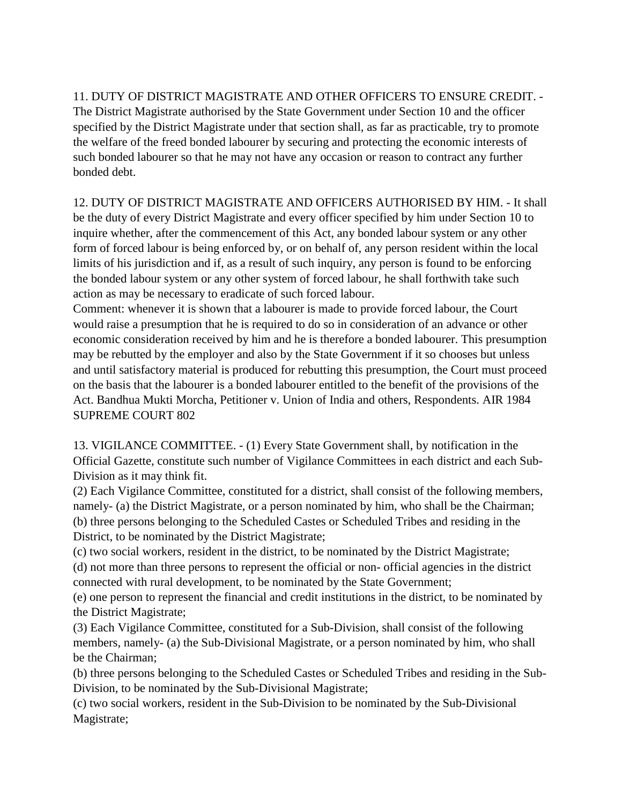11. DUTY OF DISTRICT MAGISTRATE AND OTHER OFFICERS TO ENSURE CREDIT. -

The District Magistrate authorised by the State Government under Section 10 and the officer specified by the District Magistrate under that section shall, as far as practicable, try to promote the welfare of the freed bonded labourer by securing and protecting the economic interests of such bonded labourer so that he may not have any occasion or reason to contract any further bonded debt.

12. DUTY OF DISTRICT MAGISTRATE AND OFFICERS AUTHORISED BY HIM. - It shall be the duty of every District Magistrate and every officer specified by him under Section 10 to inquire whether, after the commencement of this Act, any bonded labour system or any other form of forced labour is being enforced by, or on behalf of, any person resident within the local limits of his jurisdiction and if, as a result of such inquiry, any person is found to be enforcing the bonded labour system or any other system of forced labour, he shall forthwith take such action as may be necessary to eradicate of such forced labour.

Comment: whenever it is shown that a labourer is made to provide forced labour, the Court would raise a presumption that he is required to do so in consideration of an advance or other economic consideration received by him and he is therefore a bonded labourer. This presumption may be rebutted by the employer and also by the State Government if it so chooses but unless and until satisfactory material is produced for rebutting this presumption, the Court must proceed on the basis that the labourer is a bonded labourer entitled to the benefit of the provisions of the Act. Bandhua Mukti Morcha, Petitioner v. Union of India and others, Respondents. AIR 1984 SUPREME COURT 802

13. VIGILANCE COMMITTEE. - (1) Every State Government shall, by notification in the Official Gazette, constitute such number of Vigilance Committees in each district and each Sub-Division as it may think fit.

(2) Each Vigilance Committee, constituted for a district, shall consist of the following members, namely- (a) the District Magistrate, or a person nominated by him, who shall be the Chairman; (b) three persons belonging to the Scheduled Castes or Scheduled Tribes and residing in the District, to be nominated by the District Magistrate;

(c) two social workers, resident in the district, to be nominated by the District Magistrate;

(d) not more than three persons to represent the official or non- official agencies in the district connected with rural development, to be nominated by the State Government;

(e) one person to represent the financial and credit institutions in the district, to be nominated by the District Magistrate;

(3) Each Vigilance Committee, constituted for a Sub-Division, shall consist of the following members, namely- (a) the Sub-Divisional Magistrate, or a person nominated by him, who shall be the Chairman;

(b) three persons belonging to the Scheduled Castes or Scheduled Tribes and residing in the Sub-Division, to be nominated by the Sub-Divisional Magistrate;

(c) two social workers, resident in the Sub-Division to be nominated by the Sub-Divisional Magistrate;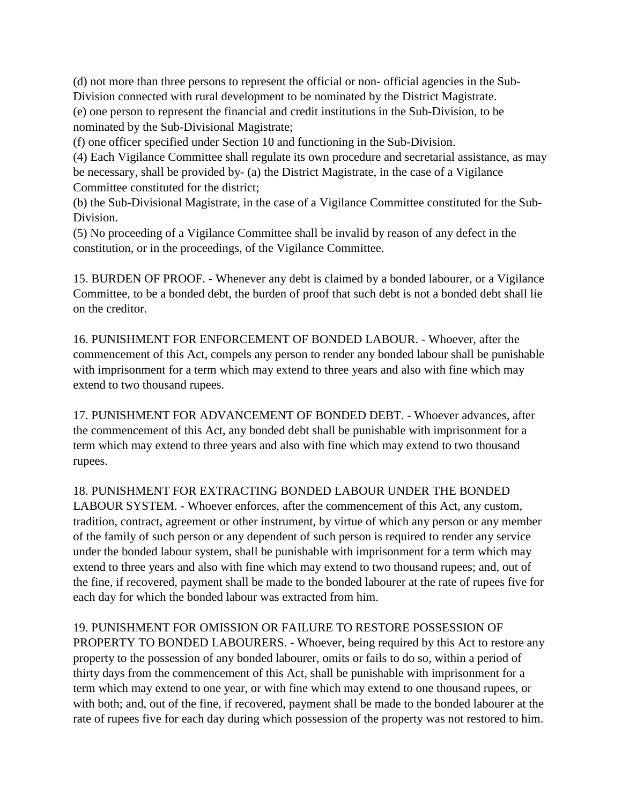(d) not more than three persons to represent the official or non- official agencies in the Sub-Division connected with rural development to be nominated by the District Magistrate. (e) one person to represent the financial and credit institutions in the Sub-Division, to be nominated by the Sub-Divisional Magistrate;

(f) one officer specified under Section 10 and functioning in the Sub-Division.

(4) Each Vigilance Committee shall regulate its own procedure and secretarial assistance, as may be necessary, shall be provided by- (a) the District Magistrate, in the case of a Vigilance Committee constituted for the district;

(b) the Sub-Divisional Magistrate, in the case of a Vigilance Committee constituted for the Sub-Division.

(5) No proceeding of a Vigilance Committee shall be invalid by reason of any defect in the constitution, or in the proceedings, of the Vigilance Committee.

15. BURDEN OF PROOF. - Whenever any debt is claimed by a bonded labourer, or a Vigilance Committee, to be a bonded debt, the burden of proof that such debt is not a bonded debt shall lie on the creditor.

16. PUNISHMENT FOR ENFORCEMENT OF BONDED LABOUR. - Whoever, after the commencement of this Act, compels any person to render any bonded labour shall be punishable with imprisonment for a term which may extend to three years and also with fine which may extend to two thousand rupees.

17. PUNISHMENT FOR ADVANCEMENT OF BONDED DEBT. - Whoever advances, after the commencement of this Act, any bonded debt shall be punishable with imprisonment for a term which may extend to three years and also with fine which may extend to two thousand rupees.

18. PUNISHMENT FOR EXTRACTING BONDED LABOUR UNDER THE BONDED LABOUR SYSTEM. - Whoever enforces, after the commencement of this Act, any custom, tradition, contract, agreement or other instrument, by virtue of which any person or any member of the family of such person or any dependent of such person is required to render any service under the bonded labour system, shall be punishable with imprisonment for a term which may extend to three years and also with fine which may extend to two thousand rupees; and, out of the fine, if recovered, payment shall be made to the bonded labourer at the rate of rupees five for each day for which the bonded labour was extracted from him.

19. PUNISHMENT FOR OMISSION OR FAILURE TO RESTORE POSSESSION OF PROPERTY TO BONDED LABOURERS. - Whoever, being required by this Act to restore any property to the possession of any bonded labourer, omits or fails to do so, within a period of thirty days from the commencement of this Act, shall be punishable with imprisonment for a term which may extend to one year, or with fine which may extend to one thousand rupees, or with both; and, out of the fine, if recovered, payment shall be made to the bonded labourer at the rate of rupees five for each day during which possession of the property was not restored to him.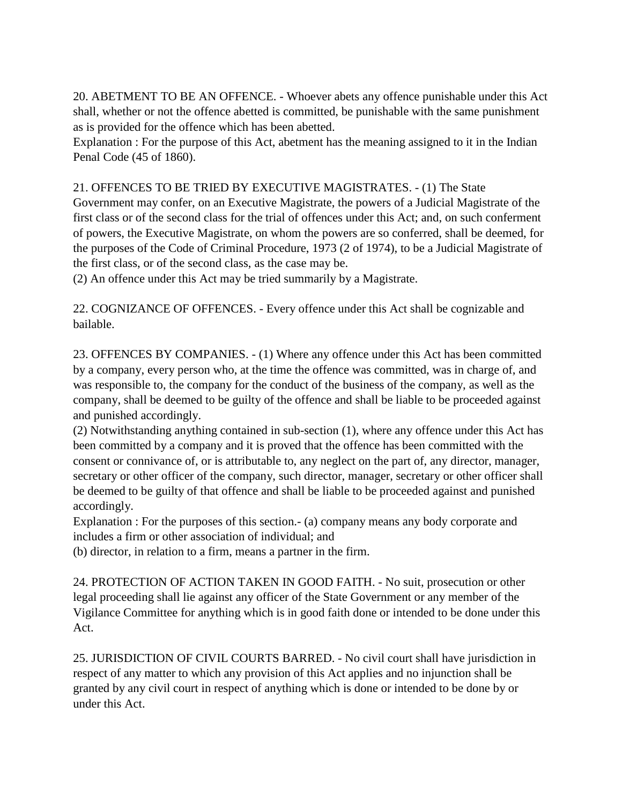20. ABETMENT TO BE AN OFFENCE. - Whoever abets any offence punishable under this Act shall, whether or not the offence abetted is committed, be punishable with the same punishment as is provided for the offence which has been abetted.

Explanation : For the purpose of this Act, abetment has the meaning assigned to it in the Indian Penal Code (45 of 1860).

### 21. OFFENCES TO BE TRIED BY EXECUTIVE MAGISTRATES. - (1) The State

Government may confer, on an Executive Magistrate, the powers of a Judicial Magistrate of the first class or of the second class for the trial of offences under this Act; and, on such conferment of powers, the Executive Magistrate, on whom the powers are so conferred, shall be deemed, for the purposes of the Code of Criminal Procedure, 1973 (2 of 1974), to be a Judicial Magistrate of the first class, or of the second class, as the case may be.

(2) An offence under this Act may be tried summarily by a Magistrate.

22. COGNIZANCE OF OFFENCES. - Every offence under this Act shall be cognizable and bailable.

23. OFFENCES BY COMPANIES. - (1) Where any offence under this Act has been committed by a company, every person who, at the time the offence was committed, was in charge of, and was responsible to, the company for the conduct of the business of the company, as well as the company, shall be deemed to be guilty of the offence and shall be liable to be proceeded against and punished accordingly.

(2) Notwithstanding anything contained in sub-section (1), where any offence under this Act has been committed by a company and it is proved that the offence has been committed with the consent or connivance of, or is attributable to, any neglect on the part of, any director, manager, secretary or other officer of the company, such director, manager, secretary or other officer shall be deemed to be guilty of that offence and shall be liable to be proceeded against and punished accordingly.

Explanation : For the purposes of this section.- (a) company means any body corporate and includes a firm or other association of individual; and

(b) director, in relation to a firm, means a partner in the firm.

24. PROTECTION OF ACTION TAKEN IN GOOD FAITH. - No suit, prosecution or other legal proceeding shall lie against any officer of the State Government or any member of the Vigilance Committee for anything which is in good faith done or intended to be done under this Act.

25. JURISDICTION OF CIVIL COURTS BARRED. - No civil court shall have jurisdiction in respect of any matter to which any provision of this Act applies and no injunction shall be granted by any civil court in respect of anything which is done or intended to be done by or under this Act.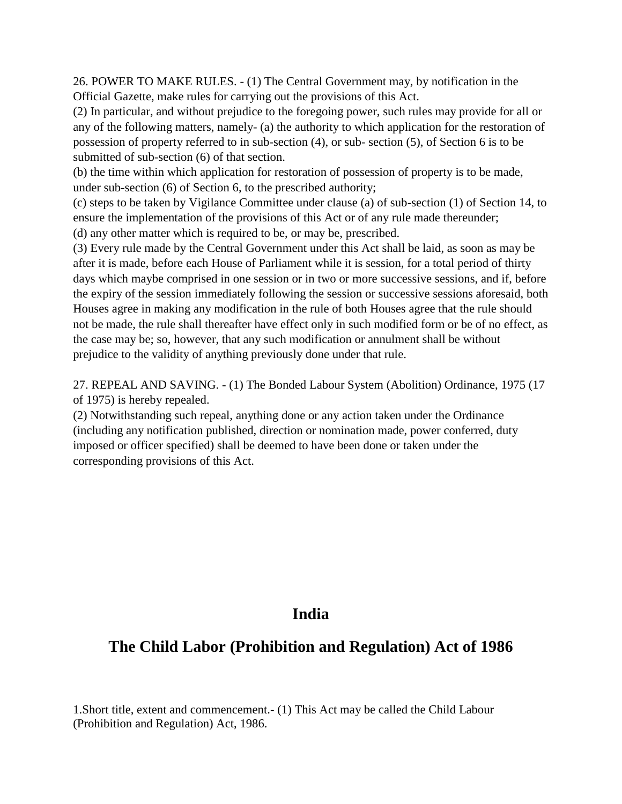26. POWER TO MAKE RULES. - (1) The Central Government may, by notification in the Official Gazette, make rules for carrying out the provisions of this Act.

(2) In particular, and without prejudice to the foregoing power, such rules may provide for all or any of the following matters, namely- (a) the authority to which application for the restoration of possession of property referred to in sub-section (4), or sub- section (5), of Section 6 is to be submitted of sub-section (6) of that section.

(b) the time within which application for restoration of possession of property is to be made, under sub-section (6) of Section 6, to the prescribed authority;

(c) steps to be taken by Vigilance Committee under clause (a) of sub-section (1) of Section 14, to ensure the implementation of the provisions of this Act or of any rule made thereunder; (d) any other matter which is required to be, or may be, prescribed.

(3) Every rule made by the Central Government under this Act shall be laid, as soon as may be after it is made, before each House of Parliament while it is session, for a total period of thirty days which maybe comprised in one session or in two or more successive sessions, and if, before the expiry of the session immediately following the session or successive sessions aforesaid, both Houses agree in making any modification in the rule of both Houses agree that the rule should not be made, the rule shall thereafter have effect only in such modified form or be of no effect, as the case may be; so, however, that any such modification or annulment shall be without prejudice to the validity of anything previously done under that rule.

27. REPEAL AND SAVING. - (1) The Bonded Labour System (Abolition) Ordinance, 1975 (17 of 1975) is hereby repealed.

(2) Notwithstanding such repeal, anything done or any action taken under the Ordinance (including any notification published, direction or nomination made, power conferred, duty imposed or officer specified) shall be deemed to have been done or taken under the corresponding provisions of this Act.

### **India**

## **The Child Labor (Prohibition and Regulation) Act of 1986**

1.Short title, extent and commencement.- (1) This Act may be called the Child Labour (Prohibition and Regulation) Act, 1986.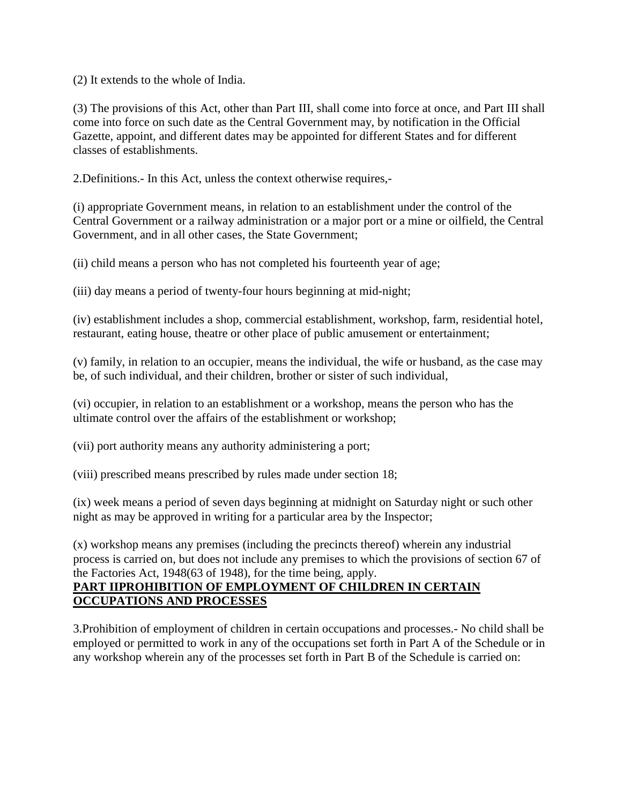(2) It extends to the whole of India.

(3) The provisions of this Act, other than Part III, shall come into force at once, and Part III shall come into force on such date as the Central Government may, by notification in the Official Gazette, appoint, and different dates may be appointed for different States and for different classes of establishments.

2.Definitions.- In this Act, unless the context otherwise requires,-

(i) appropriate Government means, in relation to an establishment under the control of the Central Government or a railway administration or a major port or a mine or oilfield, the Central Government, and in all other cases, the State Government;

(ii) child means a person who has not completed his fourteenth year of age;

(iii) day means a period of twenty-four hours beginning at mid-night;

(iv) establishment includes a shop, commercial establishment, workshop, farm, residential hotel, restaurant, eating house, theatre or other place of public amusement or entertainment;

(v) family, in relation to an occupier, means the individual, the wife or husband, as the case may be, of such individual, and their children, brother or sister of such individual,

(vi) occupier, in relation to an establishment or a workshop, means the person who has the ultimate control over the affairs of the establishment or workshop;

(vii) port authority means any authority administering a port;

(viii) prescribed means prescribed by rules made under section 18;

(ix) week means a period of seven days beginning at midnight on Saturday night or such other night as may be approved in writing for a particular area by the Inspector;

(x) workshop means any premises (including the precincts thereof) wherein any industrial process is carried on, but does not include any premises to which the provisions of section 67 of the Factories Act, 1948(63 of 1948), for the time being, apply.

### **PART IIPROHIBITION OF EMPLOYMENT OF CHILDREN IN CERTAIN OCCUPATIONS AND PROCESSES**

3.Prohibition of employment of children in certain occupations and processes.- No child shall be employed or permitted to work in any of the occupations set forth in Part A of the Schedule or in any workshop wherein any of the processes set forth in Part B of the Schedule is carried on: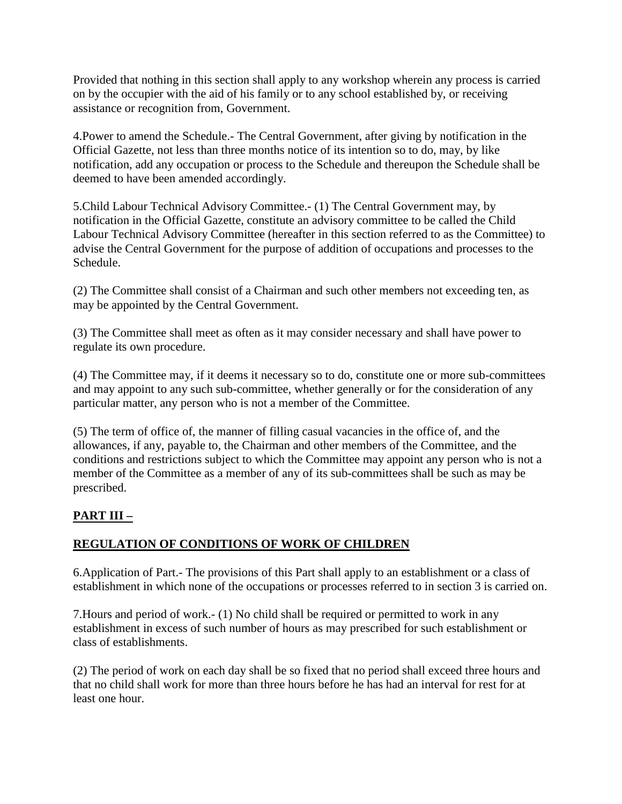Provided that nothing in this section shall apply to any workshop wherein any process is carried on by the occupier with the aid of his family or to any school established by, or receiving assistance or recognition from, Government.

4.Power to amend the Schedule.- The Central Government, after giving by notification in the Official Gazette, not less than three months notice of its intention so to do, may, by like notification, add any occupation or process to the Schedule and thereupon the Schedule shall be deemed to have been amended accordingly.

5.Child Labour Technical Advisory Committee.- (1) The Central Government may, by notification in the Official Gazette, constitute an advisory committee to be called the Child Labour Technical Advisory Committee (hereafter in this section referred to as the Committee) to advise the Central Government for the purpose of addition of occupations and processes to the Schedule.

(2) The Committee shall consist of a Chairman and such other members not exceeding ten, as may be appointed by the Central Government.

(3) The Committee shall meet as often as it may consider necessary and shall have power to regulate its own procedure.

(4) The Committee may, if it deems it necessary so to do, constitute one or more sub-committees and may appoint to any such sub-committee, whether generally or for the consideration of any particular matter, any person who is not a member of the Committee.

(5) The term of office of, the manner of filling casual vacancies in the office of, and the allowances, if any, payable to, the Chairman and other members of the Committee, and the conditions and restrictions subject to which the Committee may appoint any person who is not a member of the Committee as a member of any of its sub-committees shall be such as may be prescribed.

### **PART III –**

### **REGULATION OF CONDITIONS OF WORK OF CHILDREN**

6.Application of Part.- The provisions of this Part shall apply to an establishment or a class of establishment in which none of the occupations or processes referred to in section 3 is carried on.

7.Hours and period of work.- (1) No child shall be required or permitted to work in any establishment in excess of such number of hours as may prescribed for such establishment or class of establishments.

(2) The period of work on each day shall be so fixed that no period shall exceed three hours and that no child shall work for more than three hours before he has had an interval for rest for at least one hour.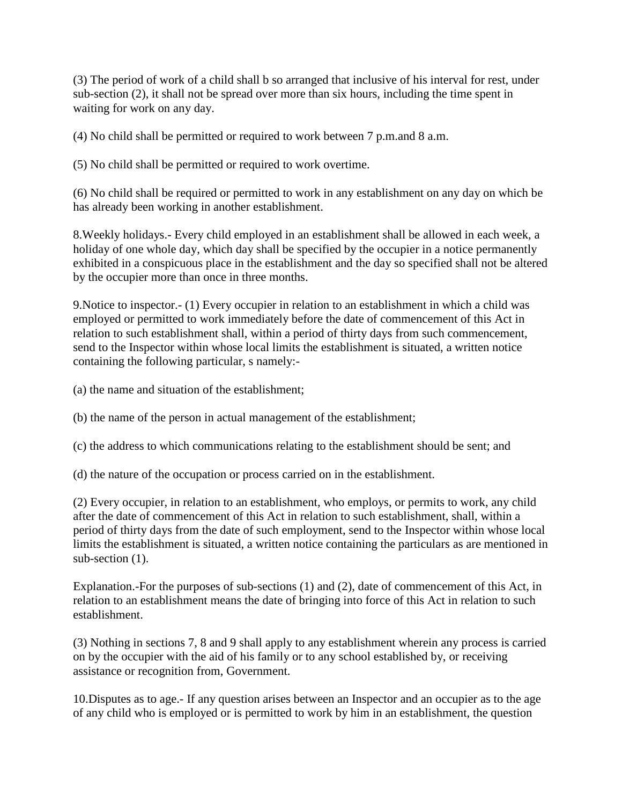(3) The period of work of a child shall b so arranged that inclusive of his interval for rest, under sub-section (2), it shall not be spread over more than six hours, including the time spent in waiting for work on any day.

(4) No child shall be permitted or required to work between 7 p.m.and 8 a.m.

(5) No child shall be permitted or required to work overtime.

(6) No child shall be required or permitted to work in any establishment on any day on which be has already been working in another establishment.

8.Weekly holidays.- Every child employed in an establishment shall be allowed in each week, a holiday of one whole day, which day shall be specified by the occupier in a notice permanently exhibited in a conspicuous place in the establishment and the day so specified shall not be altered by the occupier more than once in three months.

9.Notice to inspector.- (1) Every occupier in relation to an establishment in which a child was employed or permitted to work immediately before the date of commencement of this Act in relation to such establishment shall, within a period of thirty days from such commencement, send to the Inspector within whose local limits the establishment is situated, a written notice containing the following particular, s namely:-

(a) the name and situation of the establishment;

(b) the name of the person in actual management of the establishment;

- (c) the address to which communications relating to the establishment should be sent; and
- (d) the nature of the occupation or process carried on in the establishment.

(2) Every occupier, in relation to an establishment, who employs, or permits to work, any child after the date of commencement of this Act in relation to such establishment, shall, within a period of thirty days from the date of such employment, send to the Inspector within whose local limits the establishment is situated, a written notice containing the particulars as are mentioned in sub-section  $(1)$ .

Explanation.-For the purposes of sub-sections (1) and (2), date of commencement of this Act, in relation to an establishment means the date of bringing into force of this Act in relation to such establishment.

(3) Nothing in sections 7, 8 and 9 shall apply to any establishment wherein any process is carried on by the occupier with the aid of his family or to any school established by, or receiving assistance or recognition from, Government.

10.Disputes as to age.- If any question arises between an Inspector and an occupier as to the age of any child who is employed or is permitted to work by him in an establishment, the question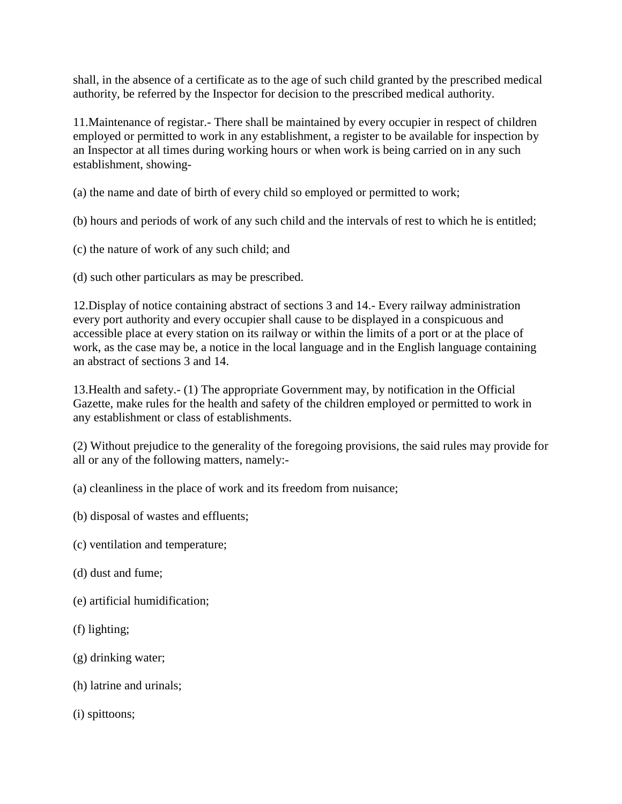shall, in the absence of a certificate as to the age of such child granted by the prescribed medical authority, be referred by the Inspector for decision to the prescribed medical authority.

11.Maintenance of registar.- There shall be maintained by every occupier in respect of children employed or permitted to work in any establishment, a register to be available for inspection by an Inspector at all times during working hours or when work is being carried on in any such establishment, showing-

(a) the name and date of birth of every child so employed or permitted to work;

(b) hours and periods of work of any such child and the intervals of rest to which he is entitled;

- (c) the nature of work of any such child; and
- (d) such other particulars as may be prescribed.

12.Display of notice containing abstract of sections 3 and 14.- Every railway administration every port authority and every occupier shall cause to be displayed in a conspicuous and accessible place at every station on its railway or within the limits of a port or at the place of work, as the case may be, a notice in the local language and in the English language containing an abstract of sections 3 and 14.

13.Health and safety.- (1) The appropriate Government may, by notification in the Official Gazette, make rules for the health and safety of the children employed or permitted to work in any establishment or class of establishments.

(2) Without prejudice to the generality of the foregoing provisions, the said rules may provide for all or any of the following matters, namely:-

(a) cleanliness in the place of work and its freedom from nuisance;

- (b) disposal of wastes and effluents;
- (c) ventilation and temperature;
- (d) dust and fume;
- (e) artificial humidification;
- (f) lighting;
- (g) drinking water;
- (h) latrine and urinals;
- (i) spittoons;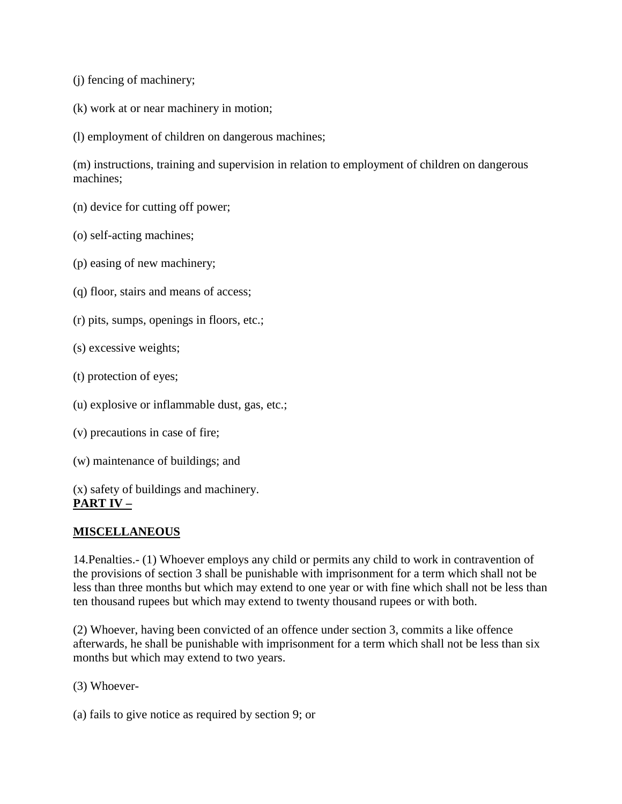(j) fencing of machinery;

(k) work at or near machinery in motion;

(l) employment of children on dangerous machines;

(m) instructions, training and supervision in relation to employment of children on dangerous machines;

(n) device for cutting off power;

- (o) self-acting machines;
- (p) easing of new machinery;
- (q) floor, stairs and means of access;
- (r) pits, sumps, openings in floors, etc.;
- (s) excessive weights;
- (t) protection of eyes;
- (u) explosive or inflammable dust, gas, etc.;
- (v) precautions in case of fire;
- (w) maintenance of buildings; and

(x) safety of buildings and machinery. **PART IV –**

### **MISCELLANEOUS**

14.Penalties.- (1) Whoever employs any child or permits any child to work in contravention of the provisions of section 3 shall be punishable with imprisonment for a term which shall not be less than three months but which may extend to one year or with fine which shall not be less than ten thousand rupees but which may extend to twenty thousand rupees or with both.

(2) Whoever, having been convicted of an offence under section 3, commits a like offence afterwards, he shall be punishable with imprisonment for a term which shall not be less than six months but which may extend to two years.

- (3) Whoever-
- (a) fails to give notice as required by section 9; or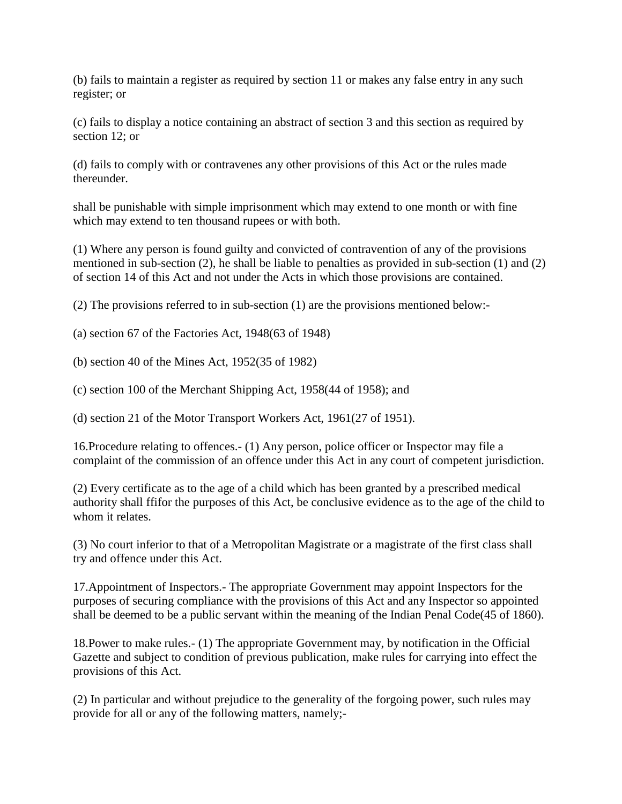(b) fails to maintain a register as required by section 11 or makes any false entry in any such register; or

(c) fails to display a notice containing an abstract of section 3 and this section as required by section 12; or

(d) fails to comply with or contravenes any other provisions of this Act or the rules made thereunder.

shall be punishable with simple imprisonment which may extend to one month or with fine which may extend to ten thousand rupees or with both.

(1) Where any person is found guilty and convicted of contravention of any of the provisions mentioned in sub-section (2), he shall be liable to penalties as provided in sub-section (1) and (2) of section 14 of this Act and not under the Acts in which those provisions are contained.

(2) The provisions referred to in sub-section (1) are the provisions mentioned below:-

(a) section 67 of the Factories Act, 1948(63 of 1948)

(b) section 40 of the Mines Act, 1952(35 of 1982)

(c) section 100 of the Merchant Shipping Act, 1958(44 of 1958); and

(d) section 21 of the Motor Transport Workers Act, 1961(27 of 1951).

16.Procedure relating to offences.- (1) Any person, police officer or Inspector may file a complaint of the commission of an offence under this Act in any court of competent jurisdiction.

(2) Every certificate as to the age of a child which has been granted by a prescribed medical authority shall ffifor the purposes of this Act, be conclusive evidence as to the age of the child to whom it relates.

(3) No court inferior to that of a Metropolitan Magistrate or a magistrate of the first class shall try and offence under this Act.

17.Appointment of Inspectors.- The appropriate Government may appoint Inspectors for the purposes of securing compliance with the provisions of this Act and any Inspector so appointed shall be deemed to be a public servant within the meaning of the Indian Penal Code(45 of 1860).

18.Power to make rules.- (1) The appropriate Government may, by notification in the Official Gazette and subject to condition of previous publication, make rules for carrying into effect the provisions of this Act.

(2) In particular and without prejudice to the generality of the forgoing power, such rules may provide for all or any of the following matters, namely;-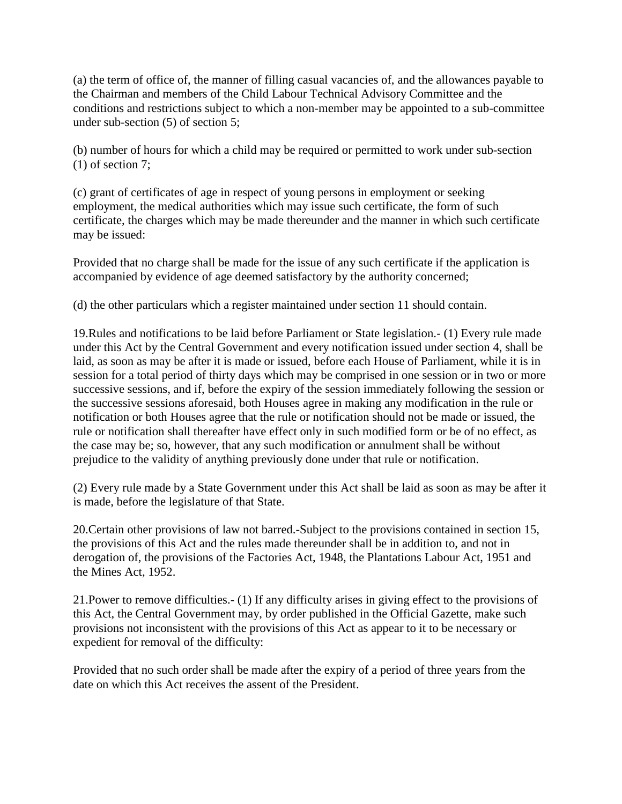(a) the term of office of, the manner of filling casual vacancies of, and the allowances payable to the Chairman and members of the Child Labour Technical Advisory Committee and the conditions and restrictions subject to which a non-member may be appointed to a sub-committee under sub-section (5) of section 5;

(b) number of hours for which a child may be required or permitted to work under sub-section (1) of section 7;

(c) grant of certificates of age in respect of young persons in employment or seeking employment, the medical authorities which may issue such certificate, the form of such certificate, the charges which may be made thereunder and the manner in which such certificate may be issued:

Provided that no charge shall be made for the issue of any such certificate if the application is accompanied by evidence of age deemed satisfactory by the authority concerned;

(d) the other particulars which a register maintained under section 11 should contain.

19.Rules and notifications to be laid before Parliament or State legislation.- (1) Every rule made under this Act by the Central Government and every notification issued under section 4, shall be laid, as soon as may be after it is made or issued, before each House of Parliament, while it is in session for a total period of thirty days which may be comprised in one session or in two or more successive sessions, and if, before the expiry of the session immediately following the session or the successive sessions aforesaid, both Houses agree in making any modification in the rule or notification or both Houses agree that the rule or notification should not be made or issued, the rule or notification shall thereafter have effect only in such modified form or be of no effect, as the case may be; so, however, that any such modification or annulment shall be without prejudice to the validity of anything previously done under that rule or notification.

(2) Every rule made by a State Government under this Act shall be laid as soon as may be after it is made, before the legislature of that State.

20.Certain other provisions of law not barred.-Subject to the provisions contained in section 15, the provisions of this Act and the rules made thereunder shall be in addition to, and not in derogation of, the provisions of the Factories Act, 1948, the Plantations Labour Act, 1951 and the Mines Act, 1952.

21.Power to remove difficulties.- (1) If any difficulty arises in giving effect to the provisions of this Act, the Central Government may, by order published in the Official Gazette, make such provisions not inconsistent with the provisions of this Act as appear to it to be necessary or expedient for removal of the difficulty:

Provided that no such order shall be made after the expiry of a period of three years from the date on which this Act receives the assent of the President.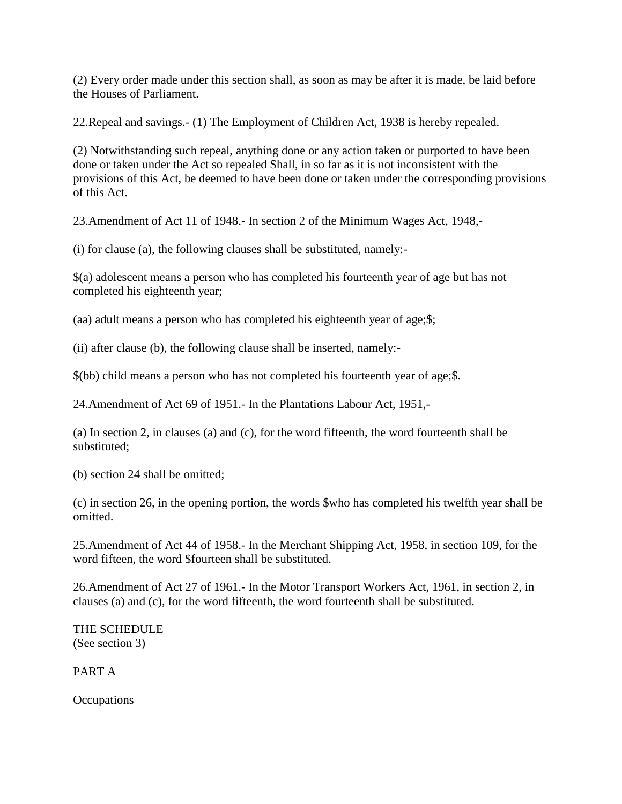(2) Every order made under this section shall, as soon as may be after it is made, be laid before the Houses of Parliament.

22.Repeal and savings.- (1) The Employment of Children Act, 1938 is hereby repealed.

(2) Notwithstanding such repeal, anything done or any action taken or purported to have been done or taken under the Act so repealed Shall, in so far as it is not inconsistent with the provisions of this Act, be deemed to have been done or taken under the corresponding provisions of this Act.

23.Amendment of Act 11 of 1948.- In section 2 of the Minimum Wages Act, 1948,-

(i) for clause (a), the following clauses shall be substituted, namely:-

\$(a) adolescent means a person who has completed his fourteenth year of age but has not completed his eighteenth year;

(aa) adult means a person who has completed his eighteenth year of age;\$;

(ii) after clause (b), the following clause shall be inserted, namely:-

\$(bb) child means a person who has not completed his fourteenth year of age;\$.

24.Amendment of Act 69 of 1951.- In the Plantations Labour Act, 1951,-

(a) In section 2, in clauses (a) and (c), for the word fifteenth, the word fourteenth shall be substituted;

(b) section 24 shall be omitted;

(c) in section 26, in the opening portion, the words \$who has completed his twelfth year shall be omitted.

25.Amendment of Act 44 of 1958.- In the Merchant Shipping Act, 1958, in section 109, for the word fifteen, the word \$fourteen shall be substituted.

26.Amendment of Act 27 of 1961.- In the Motor Transport Workers Act, 1961, in section 2, in clauses (a) and (c), for the word fifteenth, the word fourteenth shall be substituted.

THE SCHEDULE (See section 3)

PART A

**Occupations**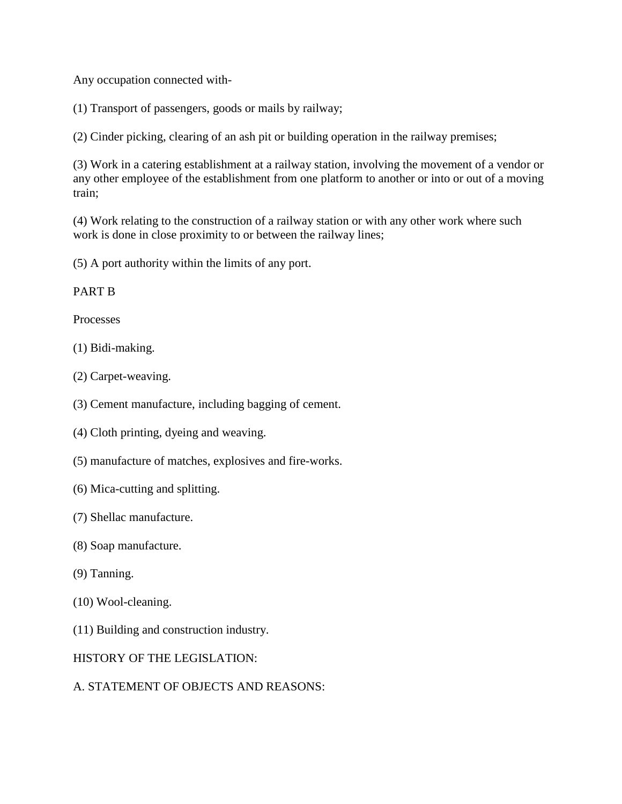Any occupation connected with-

(1) Transport of passengers, goods or mails by railway;

(2) Cinder picking, clearing of an ash pit or building operation in the railway premises;

(3) Work in a catering establishment at a railway station, involving the movement of a vendor or any other employee of the establishment from one platform to another or into or out of a moving train;

(4) Work relating to the construction of a railway station or with any other work where such work is done in close proximity to or between the railway lines;

(5) A port authority within the limits of any port.

#### PART B

Processes

- (1) Bidi-making.
- (2) Carpet-weaving.
- (3) Cement manufacture, including bagging of cement.
- (4) Cloth printing, dyeing and weaving.
- (5) manufacture of matches, explosives and fire-works.
- (6) Mica-cutting and splitting.
- (7) Shellac manufacture.
- (8) Soap manufacture.
- (9) Tanning.
- (10) Wool-cleaning.
- (11) Building and construction industry.

#### HISTORY OF THE LEGISLATION:

A. STATEMENT OF OBJECTS AND REASONS: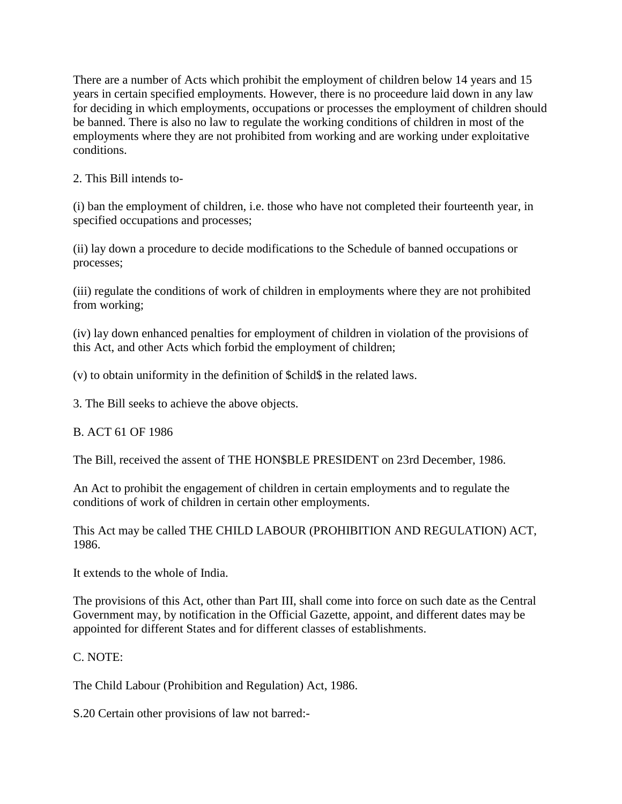There are a number of Acts which prohibit the employment of children below 14 years and 15 years in certain specified employments. However, there is no proceedure laid down in any law for deciding in which employments, occupations or processes the employment of children should be banned. There is also no law to regulate the working conditions of children in most of the employments where they are not prohibited from working and are working under exploitative conditions.

2. This Bill intends to-

(i) ban the employment of children, i.e. those who have not completed their fourteenth year, in specified occupations and processes;

(ii) lay down a procedure to decide modifications to the Schedule of banned occupations or processes;

(iii) regulate the conditions of work of children in employments where they are not prohibited from working;

(iv) lay down enhanced penalties for employment of children in violation of the provisions of this Act, and other Acts which forbid the employment of children;

(v) to obtain uniformity in the definition of \$child\$ in the related laws.

3. The Bill seeks to achieve the above objects.

B. ACT 61 OF 1986

The Bill, received the assent of THE HON\$BLE PRESIDENT on 23rd December, 1986.

An Act to prohibit the engagement of children in certain employments and to regulate the conditions of work of children in certain other employments.

This Act may be called THE CHILD LABOUR (PROHIBITION AND REGULATION) ACT, 1986.

It extends to the whole of India.

The provisions of this Act, other than Part III, shall come into force on such date as the Central Government may, by notification in the Official Gazette, appoint, and different dates may be appointed for different States and for different classes of establishments.

### C. NOTE:

The Child Labour (Prohibition and Regulation) Act, 1986.

S.20 Certain other provisions of law not barred:-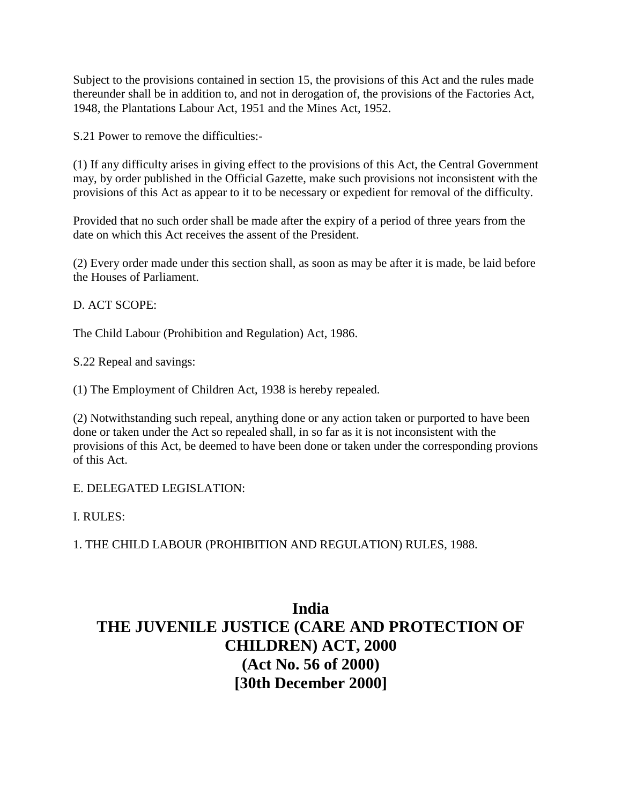Subject to the provisions contained in section 15, the provisions of this Act and the rules made thereunder shall be in addition to, and not in derogation of, the provisions of the Factories Act, 1948, the Plantations Labour Act, 1951 and the Mines Act, 1952.

S.21 Power to remove the difficulties:-

(1) If any difficulty arises in giving effect to the provisions of this Act, the Central Government may, by order published in the Official Gazette, make such provisions not inconsistent with the provisions of this Act as appear to it to be necessary or expedient for removal of the difficulty.

Provided that no such order shall be made after the expiry of a period of three years from the date on which this Act receives the assent of the President.

(2) Every order made under this section shall, as soon as may be after it is made, be laid before the Houses of Parliament.

D. ACT SCOPE:

The Child Labour (Prohibition and Regulation) Act, 1986.

S.22 Repeal and savings:

(1) The Employment of Children Act, 1938 is hereby repealed.

(2) Notwithstanding such repeal, anything done or any action taken or purported to have been done or taken under the Act so repealed shall, in so far as it is not inconsistent with the provisions of this Act, be deemed to have been done or taken under the corresponding provions of this Act.

E. DELEGATED LEGISLATION:

I. RULES:

1. THE CHILD LABOUR (PROHIBITION AND REGULATION) RULES, 1988.

**India THE JUVENILE JUSTICE (CARE AND PROTECTION OF CHILDREN) ACT, 2000 (Act No. 56 of 2000) [30th December 2000]**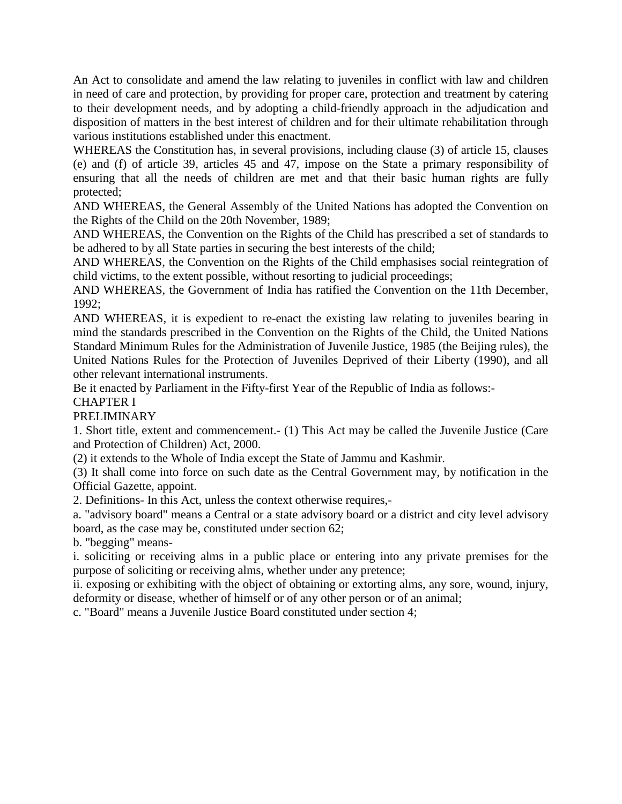An Act to consolidate and amend the law relating to juveniles in conflict with law and children in need of care and protection, by providing for proper care, protection and treatment by catering to their development needs, and by adopting a child-friendly approach in the adjudication and disposition of matters in the best interest of children and for their ultimate rehabilitation through various institutions established under this enactment.

WHEREAS the Constitution has, in several provisions, including clause (3) of article 15, clauses (e) and (f) of article 39, articles 45 and 47, impose on the State a primary responsibility of ensuring that all the needs of children are met and that their basic human rights are fully protected;

AND WHEREAS, the General Assembly of the United Nations has adopted the Convention on the Rights of the Child on the 20th November, 1989;

AND WHEREAS, the Convention on the Rights of the Child has prescribed a set of standards to be adhered to by all State parties in securing the best interests of the child;

AND WHEREAS, the Convention on the Rights of the Child emphasises social reintegration of child victims, to the extent possible, without resorting to judicial proceedings;

AND WHEREAS, the Government of India has ratified the Convention on the 11th December, 1992;

AND WHEREAS, it is expedient to re-enact the existing law relating to juveniles bearing in mind the standards prescribed in the Convention on the Rights of the Child, the United Nations Standard Minimum Rules for the Administration of Juvenile Justice, 1985 (the Beijing rules), the United Nations Rules for the Protection of Juveniles Deprived of their Liberty (1990), and all other relevant international instruments.

Be it enacted by Parliament in the Fifty-first Year of the Republic of India as follows:-

CHAPTER I

PRELIMINARY

1. Short title, extent and commencement.- (1) This Act may be called the Juvenile Justice (Care and Protection of Children) Act, 2000.

(2) it extends to the Whole of India except the State of Jammu and Kashmir.

(3) It shall come into force on such date as the Central Government may, by notification in the Official Gazette, appoint.

2. Definitions- In this Act, unless the context otherwise requires,-

a. "advisory board" means a Central or a state advisory board or a district and city level advisory board, as the case may be, constituted under section 62;

b. "begging" means-

i. soliciting or receiving alms in a public place or entering into any private premises for the purpose of soliciting or receiving alms, whether under any pretence;

ii. exposing or exhibiting with the object of obtaining or extorting alms, any sore, wound, injury, deformity or disease, whether of himself or of any other person or of an animal;

c. "Board" means a Juvenile Justice Board constituted under section 4;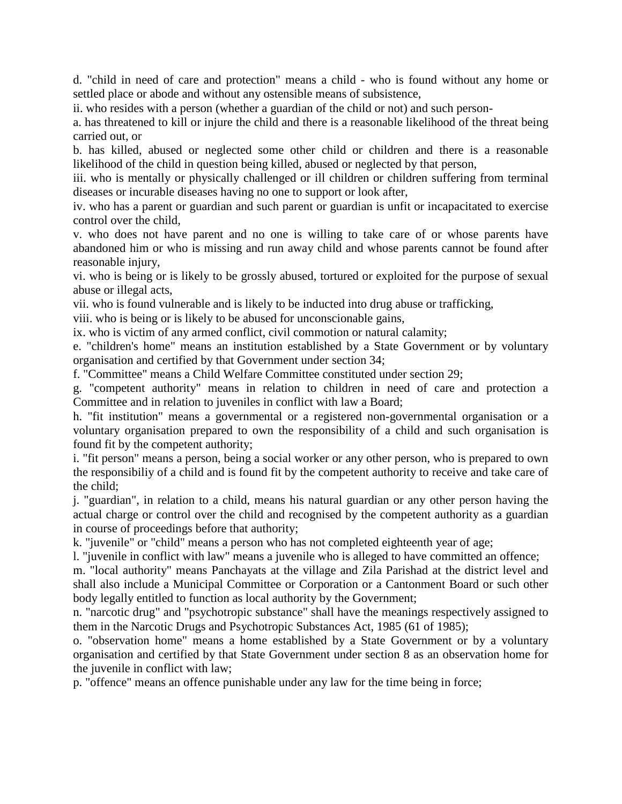d. "child in need of care and protection" means a child - who is found without any home or settled place or abode and without any ostensible means of subsistence,

ii. who resides with a person (whether a guardian of the child or not) and such person-

a. has threatened to kill or injure the child and there is a reasonable likelihood of the threat being carried out, or

b. has killed, abused or neglected some other child or children and there is a reasonable likelihood of the child in question being killed, abused or neglected by that person,

iii. who is mentally or physically challenged or ill children or children suffering from terminal diseases or incurable diseases having no one to support or look after,

iv. who has a parent or guardian and such parent or guardian is unfit or incapacitated to exercise control over the child,

v. who does not have parent and no one is willing to take care of or whose parents have abandoned him or who is missing and run away child and whose parents cannot be found after reasonable injury,

vi. who is being or is likely to be grossly abused, tortured or exploited for the purpose of sexual abuse or illegal acts,

vii. who is found vulnerable and is likely to be inducted into drug abuse or trafficking,

viii. who is being or is likely to be abused for unconscionable gains,

ix. who is victim of any armed conflict, civil commotion or natural calamity;

e. "children's home" means an institution established by a State Government or by voluntary organisation and certified by that Government under section 34;

f. "Committee" means a Child Welfare Committee constituted under section 29;

g. "competent authority" means in relation to children in need of care and protection a Committee and in relation to juveniles in conflict with law a Board;

h. "fit institution" means a governmental or a registered non-governmental organisation or a voluntary organisation prepared to own the responsibility of a child and such organisation is found fit by the competent authority;

i. "fit person" means a person, being a social worker or any other person, who is prepared to own the responsibiliy of a child and is found fit by the competent authority to receive and take care of the child;

j. "guardian", in relation to a child, means his natural guardian or any other person having the actual charge or control over the child and recognised by the competent authority as a guardian in course of proceedings before that authority;

k. "juvenile" or "child" means a person who has not completed eighteenth year of age;

l. "juvenile in conflict with law" means a juvenile who is alleged to have committed an offence;

m. "local authority" means Panchayats at the village and Zila Parishad at the district level and shall also include a Municipal Committee or Corporation or a Cantonment Board or such other body legally entitled to function as local authority by the Government;

n. "narcotic drug" and "psychotropic substance" shall have the meanings respectively assigned to them in the Narcotic Drugs and Psychotropic Substances Act, 1985 (61 of 1985);

o. "observation home" means a home established by a State Government or by a voluntary organisation and certified by that State Government under section 8 as an observation home for the juvenile in conflict with law;

p. "offence" means an offence punishable under any law for the time being in force;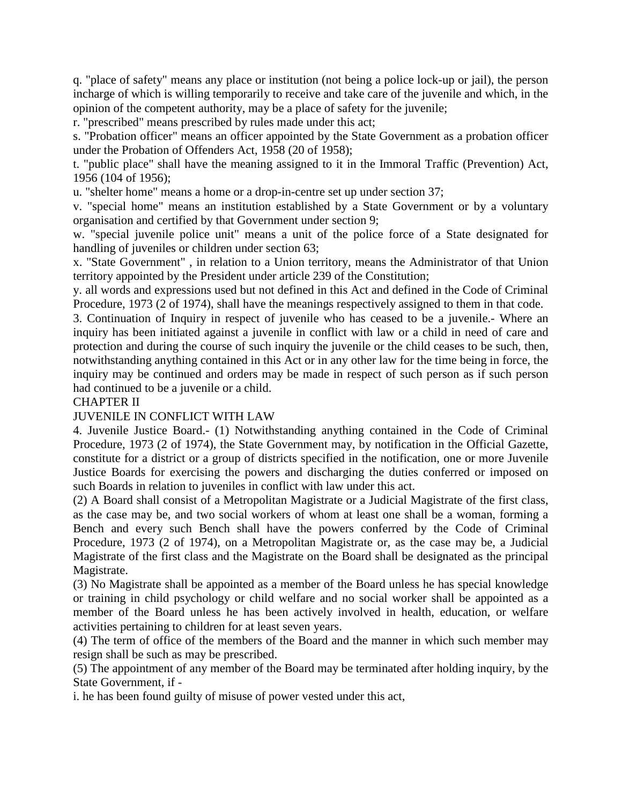q. "place of safety" means any place or institution (not being a police lock-up or jail), the person incharge of which is willing temporarily to receive and take care of the juvenile and which, in the opinion of the competent authority, may be a place of safety for the juvenile;

r. "prescribed" means prescribed by rules made under this act;

s. "Probation officer" means an officer appointed by the State Government as a probation officer under the Probation of Offenders Act, 1958 (20 of 1958);

t. "public place" shall have the meaning assigned to it in the Immoral Traffic (Prevention) Act, 1956 (104 of 1956);

u. "shelter home" means a home or a drop-in-centre set up under section 37;

v. "special home" means an institution established by a State Government or by a voluntary organisation and certified by that Government under section 9;

w. "special juvenile police unit" means a unit of the police force of a State designated for handling of juveniles or children under section 63;

x. "State Government" , in relation to a Union territory, means the Administrator of that Union territory appointed by the President under article 239 of the Constitution;

y. all words and expressions used but not defined in this Act and defined in the Code of Criminal Procedure, 1973 (2 of 1974), shall have the meanings respectively assigned to them in that code.

3. Continuation of Inquiry in respect of juvenile who has ceased to be a juvenile.- Where an inquiry has been initiated against a juvenile in conflict with law or a child in need of care and protection and during the course of such inquiry the juvenile or the child ceases to be such, then, notwithstanding anything contained in this Act or in any other law for the time being in force, the inquiry may be continued and orders may be made in respect of such person as if such person had continued to be a juvenile or a child.

### CHAPTER II

### JUVENILE IN CONFLICT WITH LAW

4. Juvenile Justice Board.- (1) Notwithstanding anything contained in the Code of Criminal Procedure, 1973 (2 of 1974), the State Government may, by notification in the Official Gazette, constitute for a district or a group of districts specified in the notification, one or more Juvenile Justice Boards for exercising the powers and discharging the duties conferred or imposed on such Boards in relation to juveniles in conflict with law under this act.

(2) A Board shall consist of a Metropolitan Magistrate or a Judicial Magistrate of the first class, as the case may be, and two social workers of whom at least one shall be a woman, forming a Bench and every such Bench shall have the powers conferred by the Code of Criminal Procedure, 1973 (2 of 1974), on a Metropolitan Magistrate or, as the case may be, a Judicial Magistrate of the first class and the Magistrate on the Board shall be designated as the principal Magistrate.

(3) No Magistrate shall be appointed as a member of the Board unless he has special knowledge or training in child psychology or child welfare and no social worker shall be appointed as a member of the Board unless he has been actively involved in health, education, or welfare activities pertaining to children for at least seven years.

(4) The term of office of the members of the Board and the manner in which such member may resign shall be such as may be prescribed.

(5) The appointment of any member of the Board may be terminated after holding inquiry, by the State Government, if -

i. he has been found guilty of misuse of power vested under this act,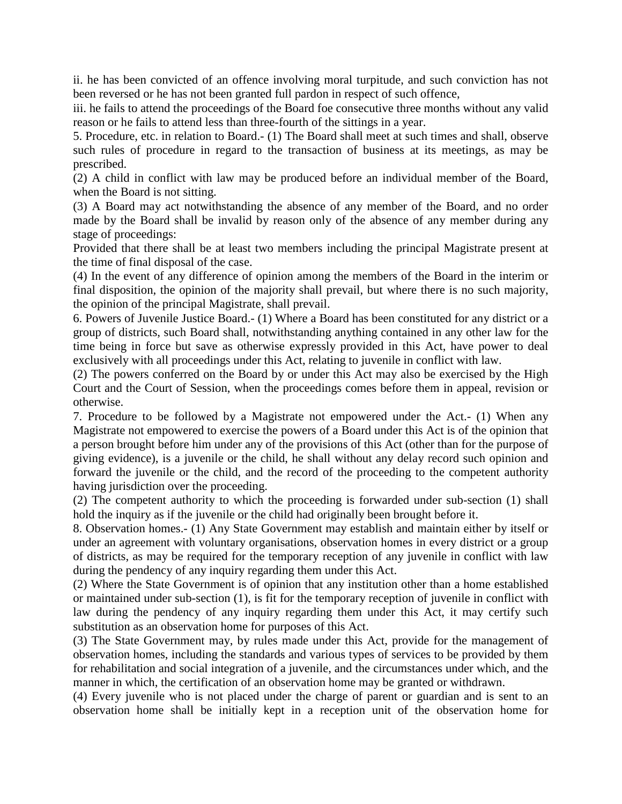ii. he has been convicted of an offence involving moral turpitude, and such conviction has not been reversed or he has not been granted full pardon in respect of such offence,

iii. he fails to attend the proceedings of the Board foe consecutive three months without any valid reason or he fails to attend less than three-fourth of the sittings in a year.

5. Procedure, etc. in relation to Board.- (1) The Board shall meet at such times and shall, observe such rules of procedure in regard to the transaction of business at its meetings, as may be prescribed.

(2) A child in conflict with law may be produced before an individual member of the Board, when the Board is not sitting.

(3) A Board may act notwithstanding the absence of any member of the Board, and no order made by the Board shall be invalid by reason only of the absence of any member during any stage of proceedings:

Provided that there shall be at least two members including the principal Magistrate present at the time of final disposal of the case.

(4) In the event of any difference of opinion among the members of the Board in the interim or final disposition, the opinion of the majority shall prevail, but where there is no such majority, the opinion of the principal Magistrate, shall prevail.

6. Powers of Juvenile Justice Board.- (1) Where a Board has been constituted for any district or a group of districts, such Board shall, notwithstanding anything contained in any other law for the time being in force but save as otherwise expressly provided in this Act, have power to deal exclusively with all proceedings under this Act, relating to juvenile in conflict with law.

(2) The powers conferred on the Board by or under this Act may also be exercised by the High Court and the Court of Session, when the proceedings comes before them in appeal, revision or otherwise.

7. Procedure to be followed by a Magistrate not empowered under the Act.- (1) When any Magistrate not empowered to exercise the powers of a Board under this Act is of the opinion that a person brought before him under any of the provisions of this Act (other than for the purpose of giving evidence), is a juvenile or the child, he shall without any delay record such opinion and forward the juvenile or the child, and the record of the proceeding to the competent authority having jurisdiction over the proceeding.

(2) The competent authority to which the proceeding is forwarded under sub-section (1) shall hold the inquiry as if the juvenile or the child had originally been brought before it.

8. Observation homes.- (1) Any State Government may establish and maintain either by itself or under an agreement with voluntary organisations, observation homes in every district or a group of districts, as may be required for the temporary reception of any juvenile in conflict with law during the pendency of any inquiry regarding them under this Act.

(2) Where the State Government is of opinion that any institution other than a home established or maintained under sub-section (1), is fit for the temporary reception of juvenile in conflict with law during the pendency of any inquiry regarding them under this Act, it may certify such substitution as an observation home for purposes of this Act.

(3) The State Government may, by rules made under this Act, provide for the management of observation homes, including the standards and various types of services to be provided by them for rehabilitation and social integration of a juvenile, and the circumstances under which, and the manner in which, the certification of an observation home may be granted or withdrawn.

(4) Every juvenile who is not placed under the charge of parent or guardian and is sent to an observation home shall be initially kept in a reception unit of the observation home for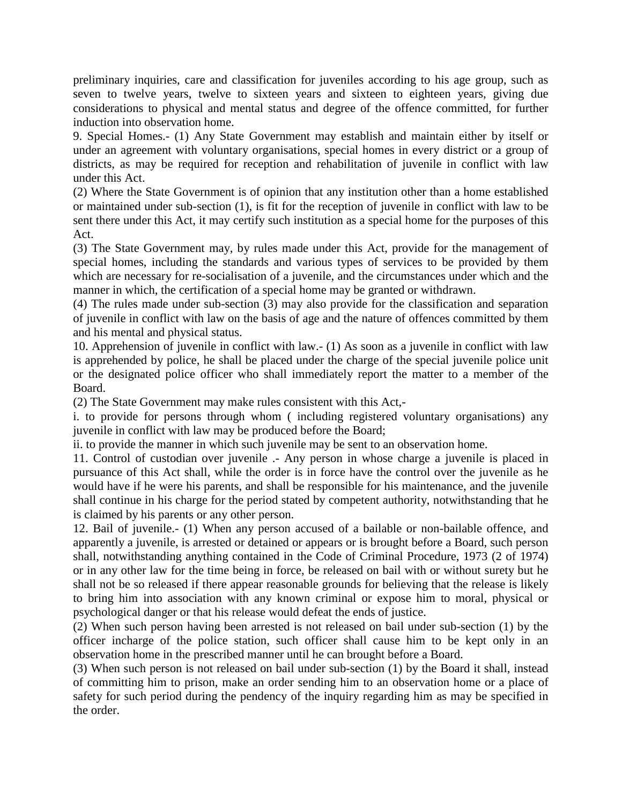preliminary inquiries, care and classification for juveniles according to his age group, such as seven to twelve years, twelve to sixteen years and sixteen to eighteen years, giving due considerations to physical and mental status and degree of the offence committed, for further induction into observation home.

9. Special Homes.- (1) Any State Government may establish and maintain either by itself or under an agreement with voluntary organisations, special homes in every district or a group of districts, as may be required for reception and rehabilitation of juvenile in conflict with law under this Act.

(2) Where the State Government is of opinion that any institution other than a home established or maintained under sub-section (1), is fit for the reception of juvenile in conflict with law to be sent there under this Act, it may certify such institution as a special home for the purposes of this Act.

(3) The State Government may, by rules made under this Act, provide for the management of special homes, including the standards and various types of services to be provided by them which are necessary for re-socialisation of a juvenile, and the circumstances under which and the manner in which, the certification of a special home may be granted or withdrawn.

(4) The rules made under sub-section (3) may also provide for the classification and separation of juvenile in conflict with law on the basis of age and the nature of offences committed by them and his mental and physical status.

10. Apprehension of juvenile in conflict with law.- (1) As soon as a juvenile in conflict with law is apprehended by police, he shall be placed under the charge of the special juvenile police unit or the designated police officer who shall immediately report the matter to a member of the Board.

(2) The State Government may make rules consistent with this Act,-

i. to provide for persons through whom ( including registered voluntary organisations) any juvenile in conflict with law may be produced before the Board;

ii. to provide the manner in which such juvenile may be sent to an observation home.

11. Control of custodian over juvenile .- Any person in whose charge a juvenile is placed in pursuance of this Act shall, while the order is in force have the control over the juvenile as he would have if he were his parents, and shall be responsible for his maintenance, and the juvenile shall continue in his charge for the period stated by competent authority, notwithstanding that he is claimed by his parents or any other person.

12. Bail of juvenile.- (1) When any person accused of a bailable or non-bailable offence, and apparently a juvenile, is arrested or detained or appears or is brought before a Board, such person shall, notwithstanding anything contained in the Code of Criminal Procedure, 1973 (2 of 1974) or in any other law for the time being in force, be released on bail with or without surety but he shall not be so released if there appear reasonable grounds for believing that the release is likely to bring him into association with any known criminal or expose him to moral, physical or psychological danger or that his release would defeat the ends of justice.

(2) When such person having been arrested is not released on bail under sub-section (1) by the officer incharge of the police station, such officer shall cause him to be kept only in an observation home in the prescribed manner until he can brought before a Board.

(3) When such person is not released on bail under sub-section (1) by the Board it shall, instead of committing him to prison, make an order sending him to an observation home or a place of safety for such period during the pendency of the inquiry regarding him as may be specified in the order.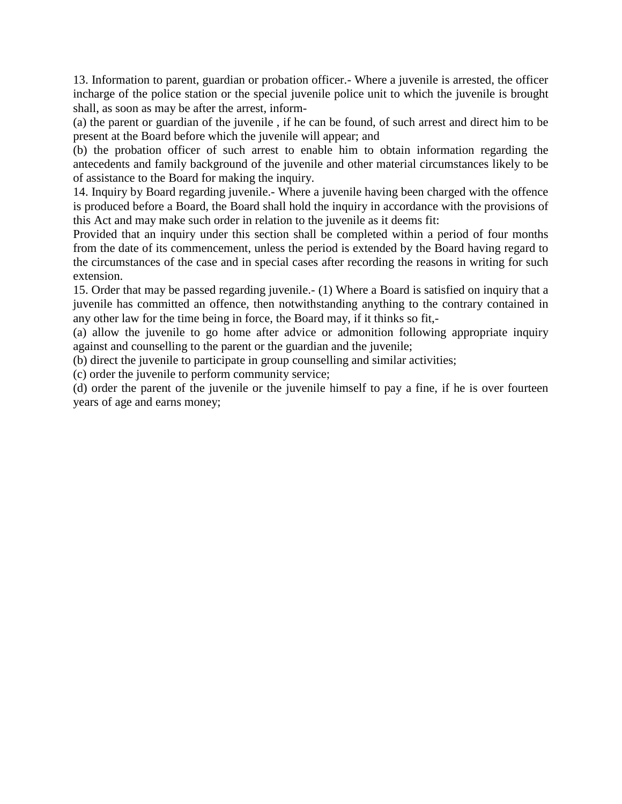13. Information to parent, guardian or probation officer.- Where a juvenile is arrested, the officer incharge of the police station or the special juvenile police unit to which the juvenile is brought shall, as soon as may be after the arrest, inform-

(a) the parent or guardian of the juvenile , if he can be found, of such arrest and direct him to be present at the Board before which the juvenile will appear; and

(b) the probation officer of such arrest to enable him to obtain information regarding the antecedents and family background of the juvenile and other material circumstances likely to be of assistance to the Board for making the inquiry.

14. Inquiry by Board regarding juvenile.- Where a juvenile having been charged with the offence is produced before a Board, the Board shall hold the inquiry in accordance with the provisions of this Act and may make such order in relation to the juvenile as it deems fit:

Provided that an inquiry under this section shall be completed within a period of four months from the date of its commencement, unless the period is extended by the Board having regard to the circumstances of the case and in special cases after recording the reasons in writing for such extension.

15. Order that may be passed regarding juvenile.- (1) Where a Board is satisfied on inquiry that a juvenile has committed an offence, then notwithstanding anything to the contrary contained in any other law for the time being in force, the Board may, if it thinks so fit,-

(a) allow the juvenile to go home after advice or admonition following appropriate inquiry against and counselling to the parent or the guardian and the juvenile;

(b) direct the juvenile to participate in group counselling and similar activities;

(c) order the juvenile to perform community service;

(d) order the parent of the juvenile or the juvenile himself to pay a fine, if he is over fourteen years of age and earns money;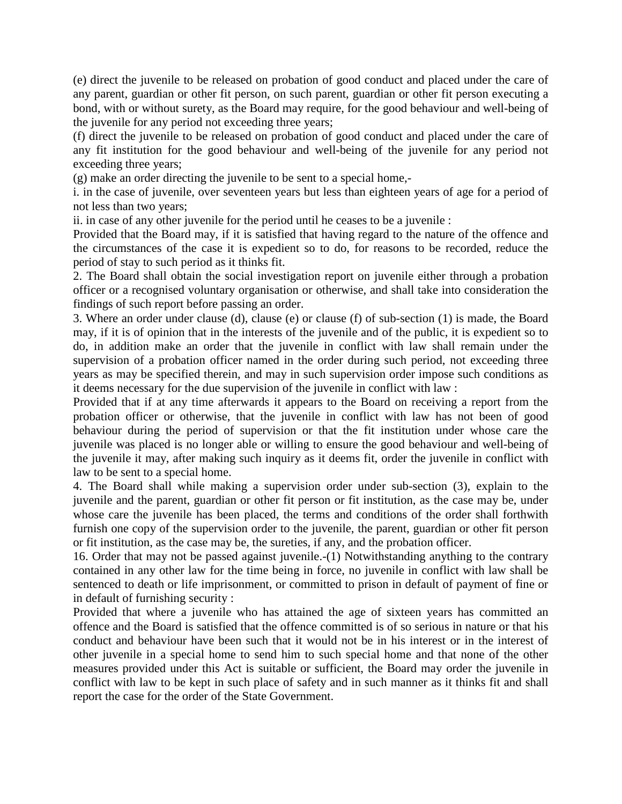(e) direct the juvenile to be released on probation of good conduct and placed under the care of any parent, guardian or other fit person, on such parent, guardian or other fit person executing a bond, with or without surety, as the Board may require, for the good behaviour and well-being of the juvenile for any period not exceeding three years;

(f) direct the juvenile to be released on probation of good conduct and placed under the care of any fit institution for the good behaviour and well-being of the juvenile for any period not exceeding three years;

(g) make an order directing the juvenile to be sent to a special home,-

i. in the case of juvenile, over seventeen years but less than eighteen years of age for a period of not less than two years;

ii. in case of any other juvenile for the period until he ceases to be a juvenile :

Provided that the Board may, if it is satisfied that having regard to the nature of the offence and the circumstances of the case it is expedient so to do, for reasons to be recorded, reduce the period of stay to such period as it thinks fit.

2. The Board shall obtain the social investigation report on juvenile either through a probation officer or a recognised voluntary organisation or otherwise, and shall take into consideration the findings of such report before passing an order.

3. Where an order under clause (d), clause (e) or clause (f) of sub-section (1) is made, the Board may, if it is of opinion that in the interests of the juvenile and of the public, it is expedient so to do, in addition make an order that the juvenile in conflict with law shall remain under the supervision of a probation officer named in the order during such period, not exceeding three years as may be specified therein, and may in such supervision order impose such conditions as it deems necessary for the due supervision of the juvenile in conflict with law :

Provided that if at any time afterwards it appears to the Board on receiving a report from the probation officer or otherwise, that the juvenile in conflict with law has not been of good behaviour during the period of supervision or that the fit institution under whose care the juvenile was placed is no longer able or willing to ensure the good behaviour and well-being of the juvenile it may, after making such inquiry as it deems fit, order the juvenile in conflict with law to be sent to a special home.

4. The Board shall while making a supervision order under sub-section (3), explain to the juvenile and the parent, guardian or other fit person or fit institution, as the case may be, under whose care the juvenile has been placed, the terms and conditions of the order shall forthwith furnish one copy of the supervision order to the juvenile, the parent, guardian or other fit person or fit institution, as the case may be, the sureties, if any, and the probation officer.

16. Order that may not be passed against juvenile.-(1) Notwithstanding anything to the contrary contained in any other law for the time being in force, no juvenile in conflict with law shall be sentenced to death or life imprisonment, or committed to prison in default of payment of fine or in default of furnishing security :

Provided that where a juvenile who has attained the age of sixteen years has committed an offence and the Board is satisfied that the offence committed is of so serious in nature or that his conduct and behaviour have been such that it would not be in his interest or in the interest of other juvenile in a special home to send him to such special home and that none of the other measures provided under this Act is suitable or sufficient, the Board may order the juvenile in conflict with law to be kept in such place of safety and in such manner as it thinks fit and shall report the case for the order of the State Government.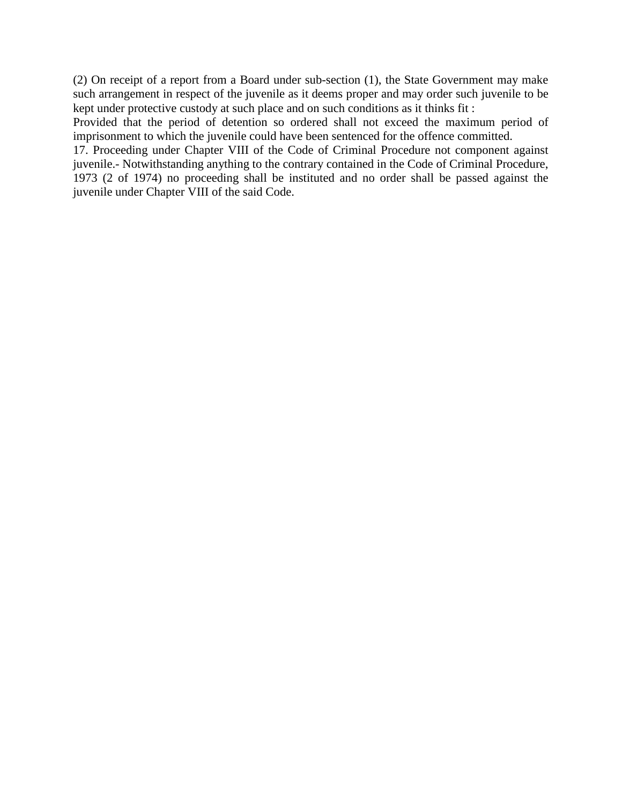(2) On receipt of a report from a Board under sub-section (1), the State Government may make such arrangement in respect of the juvenile as it deems proper and may order such juvenile to be kept under protective custody at such place and on such conditions as it thinks fit :

Provided that the period of detention so ordered shall not exceed the maximum period of imprisonment to which the juvenile could have been sentenced for the offence committed.

17. Proceeding under Chapter VIII of the Code of Criminal Procedure not component against juvenile.- Notwithstanding anything to the contrary contained in the Code of Criminal Procedure, 1973 (2 of 1974) no proceeding shall be instituted and no order shall be passed against the juvenile under Chapter VIII of the said Code.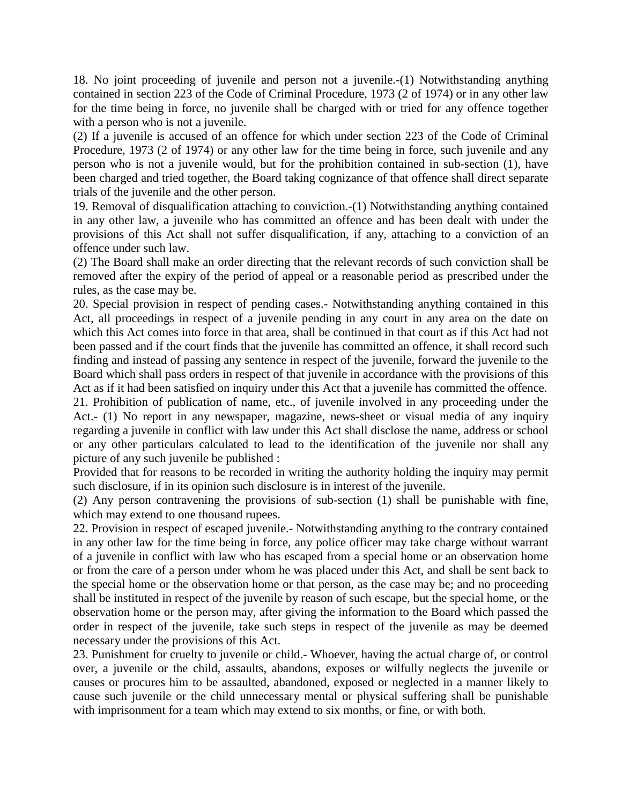18. No joint proceeding of juvenile and person not a juvenile.-(1) Notwithstanding anything contained in section 223 of the Code of Criminal Procedure, 1973 (2 of 1974) or in any other law for the time being in force, no juvenile shall be charged with or tried for any offence together with a person who is not a juvenile.

(2) If a juvenile is accused of an offence for which under section 223 of the Code of Criminal Procedure, 1973 (2 of 1974) or any other law for the time being in force, such juvenile and any person who is not a juvenile would, but for the prohibition contained in sub-section (1), have been charged and tried together, the Board taking cognizance of that offence shall direct separate trials of the juvenile and the other person.

19. Removal of disqualification attaching to conviction.-(1) Notwithstanding anything contained in any other law, a juvenile who has committed an offence and has been dealt with under the provisions of this Act shall not suffer disqualification, if any, attaching to a conviction of an offence under such law.

(2) The Board shall make an order directing that the relevant records of such conviction shall be removed after the expiry of the period of appeal or a reasonable period as prescribed under the rules, as the case may be.

20. Special provision in respect of pending cases.- Notwithstanding anything contained in this Act, all proceedings in respect of a juvenile pending in any court in any area on the date on which this Act comes into force in that area, shall be continued in that court as if this Act had not been passed and if the court finds that the juvenile has committed an offence, it shall record such finding and instead of passing any sentence in respect of the juvenile, forward the juvenile to the Board which shall pass orders in respect of that juvenile in accordance with the provisions of this Act as if it had been satisfied on inquiry under this Act that a juvenile has committed the offence.

21. Prohibition of publication of name, etc., of juvenile involved in any proceeding under the Act.- (1) No report in any newspaper, magazine, news-sheet or visual media of any inquiry regarding a juvenile in conflict with law under this Act shall disclose the name, address or school or any other particulars calculated to lead to the identification of the juvenile nor shall any picture of any such juvenile be published :

Provided that for reasons to be recorded in writing the authority holding the inquiry may permit such disclosure, if in its opinion such disclosure is in interest of the juvenile.

(2) Any person contravening the provisions of sub-section (1) shall be punishable with fine, which may extend to one thousand rupees.

22. Provision in respect of escaped juvenile.- Notwithstanding anything to the contrary contained in any other law for the time being in force, any police officer may take charge without warrant of a juvenile in conflict with law who has escaped from a special home or an observation home or from the care of a person under whom he was placed under this Act, and shall be sent back to the special home or the observation home or that person, as the case may be; and no proceeding shall be instituted in respect of the juvenile by reason of such escape, but the special home, or the observation home or the person may, after giving the information to the Board which passed the order in respect of the juvenile, take such steps in respect of the juvenile as may be deemed necessary under the provisions of this Act.

23. Punishment for cruelty to juvenile or child.- Whoever, having the actual charge of, or control over, a juvenile or the child, assaults, abandons, exposes or wilfully neglects the juvenile or causes or procures him to be assaulted, abandoned, exposed or neglected in a manner likely to cause such juvenile or the child unnecessary mental or physical suffering shall be punishable with imprisonment for a team which may extend to six months, or fine, or with both.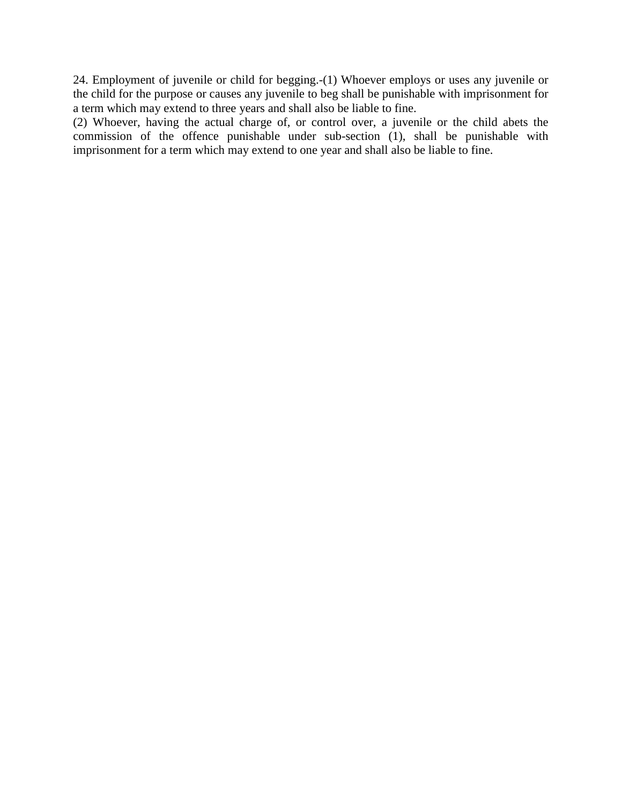24. Employment of juvenile or child for begging.-(1) Whoever employs or uses any juvenile or the child for the purpose or causes any juvenile to beg shall be punishable with imprisonment for a term which may extend to three years and shall also be liable to fine.

(2) Whoever, having the actual charge of, or control over, a juvenile or the child abets the commission of the offence punishable under sub-section (1), shall be punishable with imprisonment for a term which may extend to one year and shall also be liable to fine.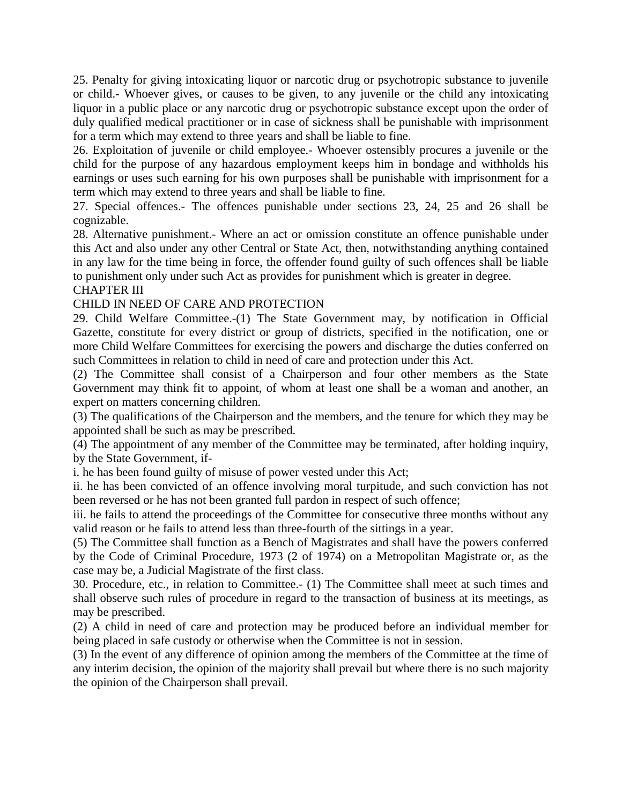25. Penalty for giving intoxicating liquor or narcotic drug or psychotropic substance to juvenile or child.- Whoever gives, or causes to be given, to any juvenile or the child any intoxicating liquor in a public place or any narcotic drug or psychotropic substance except upon the order of duly qualified medical practitioner or in case of sickness shall be punishable with imprisonment for a term which may extend to three years and shall be liable to fine.

26. Exploitation of juvenile or child employee.- Whoever ostensibly procures a juvenile or the child for the purpose of any hazardous employment keeps him in bondage and withholds his earnings or uses such earning for his own purposes shall be punishable with imprisonment for a term which may extend to three years and shall be liable to fine.

27. Special offences.- The offences punishable under sections 23, 24, 25 and 26 shall be cognizable.

28. Alternative punishment.- Where an act or omission constitute an offence punishable under this Act and also under any other Central or State Act, then, notwithstanding anything contained in any law for the time being in force, the offender found guilty of such offences shall be liable to punishment only under such Act as provides for punishment which is greater in degree.

### CHAPTER III

#### CHILD IN NEED OF CARE AND PROTECTION

29. Child Welfare Committee.-(1) The State Government may, by notification in Official Gazette, constitute for every district or group of districts, specified in the notification, one or more Child Welfare Committees for exercising the powers and discharge the duties conferred on such Committees in relation to child in need of care and protection under this Act.

(2) The Committee shall consist of a Chairperson and four other members as the State Government may think fit to appoint, of whom at least one shall be a woman and another, an expert on matters concerning children.

(3) The qualifications of the Chairperson and the members, and the tenure for which they may be appointed shall be such as may be prescribed.

(4) The appointment of any member of the Committee may be terminated, after holding inquiry, by the State Government, if-

i. he has been found guilty of misuse of power vested under this Act;

ii. he has been convicted of an offence involving moral turpitude, and such conviction has not been reversed or he has not been granted full pardon in respect of such offence;

iii. he fails to attend the proceedings of the Committee for consecutive three months without any valid reason or he fails to attend less than three-fourth of the sittings in a year.

(5) The Committee shall function as a Bench of Magistrates and shall have the powers conferred by the Code of Criminal Procedure, 1973 (2 of 1974) on a Metropolitan Magistrate or, as the case may be, a Judicial Magistrate of the first class.

30. Procedure, etc., in relation to Committee.- (1) The Committee shall meet at such times and shall observe such rules of procedure in regard to the transaction of business at its meetings, as may be prescribed.

(2) A child in need of care and protection may be produced before an individual member for being placed in safe custody or otherwise when the Committee is not in session.

(3) In the event of any difference of opinion among the members of the Committee at the time of any interim decision, the opinion of the majority shall prevail but where there is no such majority the opinion of the Chairperson shall prevail.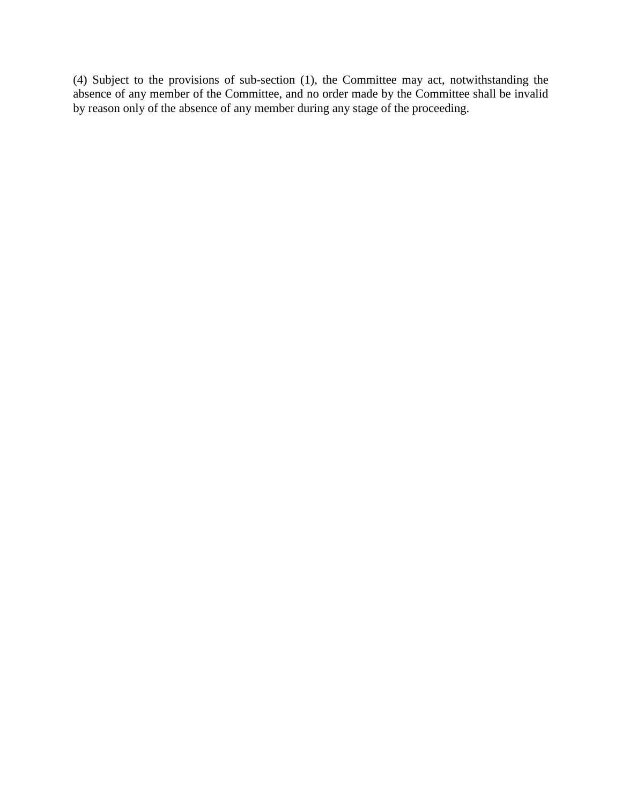(4) Subject to the provisions of sub-section (1), the Committee may act, notwithstanding the absence of any member of the Committee, and no order made by the Committee shall be invalid by reason only of the absence of any member during any stage of the proceeding.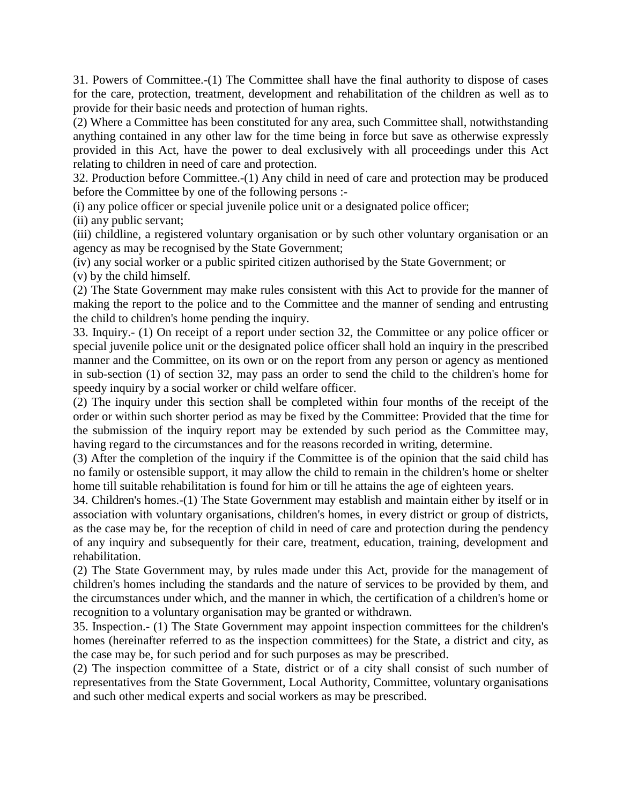31. Powers of Committee.-(1) The Committee shall have the final authority to dispose of cases for the care, protection, treatment, development and rehabilitation of the children as well as to provide for their basic needs and protection of human rights.

(2) Where a Committee has been constituted for any area, such Committee shall, notwithstanding anything contained in any other law for the time being in force but save as otherwise expressly provided in this Act, have the power to deal exclusively with all proceedings under this Act relating to children in need of care and protection.

32. Production before Committee.-(1) Any child in need of care and protection may be produced before the Committee by one of the following persons :-

(i) any police officer or special juvenile police unit or a designated police officer;

(ii) any public servant;

(iii) childline, a registered voluntary organisation or by such other voluntary organisation or an agency as may be recognised by the State Government;

(iv) any social worker or a public spirited citizen authorised by the State Government; or

(v) by the child himself.

(2) The State Government may make rules consistent with this Act to provide for the manner of making the report to the police and to the Committee and the manner of sending and entrusting the child to children's home pending the inquiry.

33. Inquiry.- (1) On receipt of a report under section 32, the Committee or any police officer or special juvenile police unit or the designated police officer shall hold an inquiry in the prescribed manner and the Committee, on its own or on the report from any person or agency as mentioned in sub-section (1) of section 32, may pass an order to send the child to the children's home for speedy inquiry by a social worker or child welfare officer.

(2) The inquiry under this section shall be completed within four months of the receipt of the order or within such shorter period as may be fixed by the Committee: Provided that the time for the submission of the inquiry report may be extended by such period as the Committee may, having regard to the circumstances and for the reasons recorded in writing, determine.

(3) After the completion of the inquiry if the Committee is of the opinion that the said child has no family or ostensible support, it may allow the child to remain in the children's home or shelter home till suitable rehabilitation is found for him or till he attains the age of eighteen years.

34. Children's homes.-(1) The State Government may establish and maintain either by itself or in association with voluntary organisations, children's homes, in every district or group of districts, as the case may be, for the reception of child in need of care and protection during the pendency of any inquiry and subsequently for their care, treatment, education, training, development and rehabilitation.

(2) The State Government may, by rules made under this Act, provide for the management of children's homes including the standards and the nature of services to be provided by them, and the circumstances under which, and the manner in which, the certification of a children's home or recognition to a voluntary organisation may be granted or withdrawn.

35. Inspection.- (1) The State Government may appoint inspection committees for the children's homes (hereinafter referred to as the inspection committees) for the State, a district and city, as the case may be, for such period and for such purposes as may be prescribed.

(2) The inspection committee of a State, district or of a city shall consist of such number of representatives from the State Government, Local Authority, Committee, voluntary organisations and such other medical experts and social workers as may be prescribed.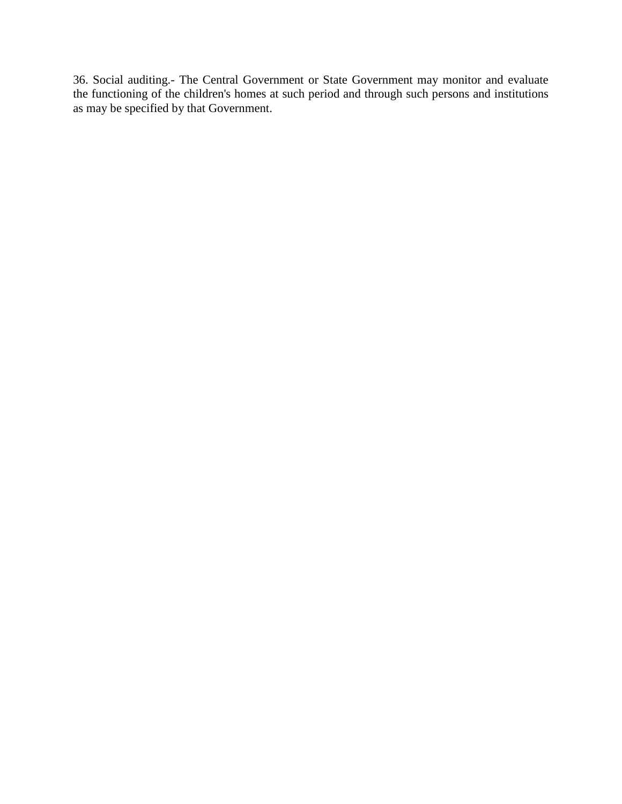36. Social auditing.- The Central Government or State Government may monitor and evaluate the functioning of the children's homes at such period and through such persons and institutions as may be specified by that Government.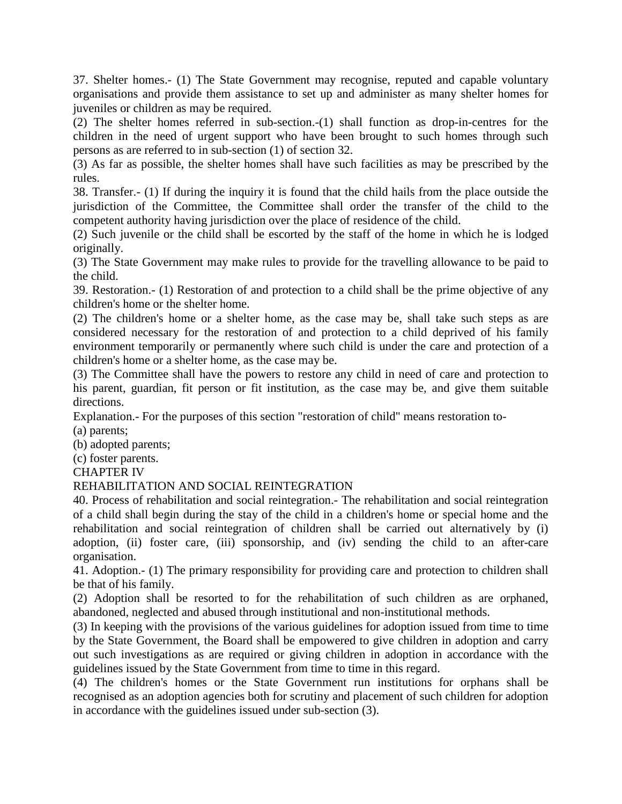37. Shelter homes.- (1) The State Government may recognise, reputed and capable voluntary organisations and provide them assistance to set up and administer as many shelter homes for juveniles or children as may be required.

(2) The shelter homes referred in sub-section.-(1) shall function as drop-in-centres for the children in the need of urgent support who have been brought to such homes through such persons as are referred to in sub-section (1) of section 32.

(3) As far as possible, the shelter homes shall have such facilities as may be prescribed by the rules.

38. Transfer.- (1) If during the inquiry it is found that the child hails from the place outside the jurisdiction of the Committee, the Committee shall order the transfer of the child to the competent authority having jurisdiction over the place of residence of the child.

(2) Such juvenile or the child shall be escorted by the staff of the home in which he is lodged originally.

(3) The State Government may make rules to provide for the travelling allowance to be paid to the child.

39. Restoration.- (1) Restoration of and protection to a child shall be the prime objective of any children's home or the shelter home.

(2) The children's home or a shelter home, as the case may be, shall take such steps as are considered necessary for the restoration of and protection to a child deprived of his family environment temporarily or permanently where such child is under the care and protection of a children's home or a shelter home, as the case may be.

(3) The Committee shall have the powers to restore any child in need of care and protection to his parent, guardian, fit person or fit institution, as the case may be, and give them suitable directions.

Explanation.- For the purposes of this section "restoration of child" means restoration to- (a) parents;

(b) adopted parents;

(c) foster parents.

CHAPTER IV

### REHABILITATION AND SOCIAL REINTEGRATION

40. Process of rehabilitation and social reintegration.- The rehabilitation and social reintegration of a child shall begin during the stay of the child in a children's home or special home and the rehabilitation and social reintegration of children shall be carried out alternatively by (i) adoption, (ii) foster care, (iii) sponsorship, and (iv) sending the child to an after-care organisation.

41. Adoption.- (1) The primary responsibility for providing care and protection to children shall be that of his family.

(2) Adoption shall be resorted to for the rehabilitation of such children as are orphaned, abandoned, neglected and abused through institutional and non-institutional methods.

(3) In keeping with the provisions of the various guidelines for adoption issued from time to time by the State Government, the Board shall be empowered to give children in adoption and carry out such investigations as are required or giving children in adoption in accordance with the guidelines issued by the State Government from time to time in this regard.

(4) The children's homes or the State Government run institutions for orphans shall be recognised as an adoption agencies both for scrutiny and placement of such children for adoption in accordance with the guidelines issued under sub-section (3).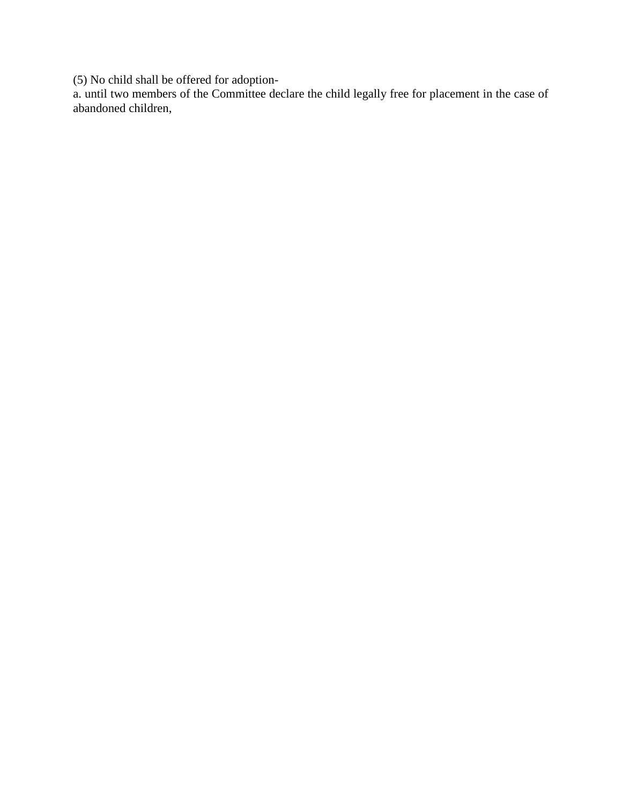(5) No child shall be offered for adoption-

a. until two members of the Committee declare the child legally free for placement in the case of abandoned children,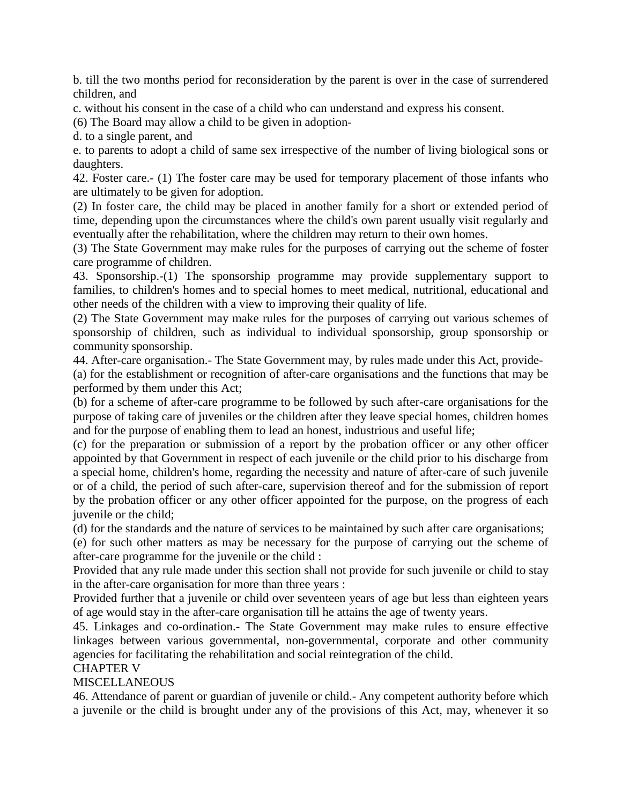b. till the two months period for reconsideration by the parent is over in the case of surrendered children, and

c. without his consent in the case of a child who can understand and express his consent.

(6) The Board may allow a child to be given in adoption-

d. to a single parent, and

e. to parents to adopt a child of same sex irrespective of the number of living biological sons or daughters.

42. Foster care.- (1) The foster care may be used for temporary placement of those infants who are ultimately to be given for adoption.

(2) In foster care, the child may be placed in another family for a short or extended period of time, depending upon the circumstances where the child's own parent usually visit regularly and eventually after the rehabilitation, where the children may return to their own homes.

(3) The State Government may make rules for the purposes of carrying out the scheme of foster care programme of children.

43. Sponsorship.-(1) The sponsorship programme may provide supplementary support to families, to children's homes and to special homes to meet medical, nutritional, educational and other needs of the children with a view to improving their quality of life.

(2) The State Government may make rules for the purposes of carrying out various schemes of sponsorship of children, such as individual to individual sponsorship, group sponsorship or community sponsorship.

44. After-care organisation.- The State Government may, by rules made under this Act, provide-

(a) for the establishment or recognition of after-care organisations and the functions that may be performed by them under this Act;

(b) for a scheme of after-care programme to be followed by such after-care organisations for the purpose of taking care of juveniles or the children after they leave special homes, children homes and for the purpose of enabling them to lead an honest, industrious and useful life;

(c) for the preparation or submission of a report by the probation officer or any other officer appointed by that Government in respect of each juvenile or the child prior to his discharge from a special home, children's home, regarding the necessity and nature of after-care of such juvenile or of a child, the period of such after-care, supervision thereof and for the submission of report by the probation officer or any other officer appointed for the purpose, on the progress of each juvenile or the child;

(d) for the standards and the nature of services to be maintained by such after care organisations;

(e) for such other matters as may be necessary for the purpose of carrying out the scheme of after-care programme for the juvenile or the child :

Provided that any rule made under this section shall not provide for such juvenile or child to stay in the after-care organisation for more than three years :

Provided further that a juvenile or child over seventeen years of age but less than eighteen years of age would stay in the after-care organisation till he attains the age of twenty years.

45. Linkages and co-ordination.- The State Government may make rules to ensure effective linkages between various governmental, non-governmental, corporate and other community agencies for facilitating the rehabilitation and social reintegration of the child.

### CHAPTER V

### MISCELLANEOUS

46. Attendance of parent or guardian of juvenile or child.- Any competent authority before which a juvenile or the child is brought under any of the provisions of this Act, may, whenever it so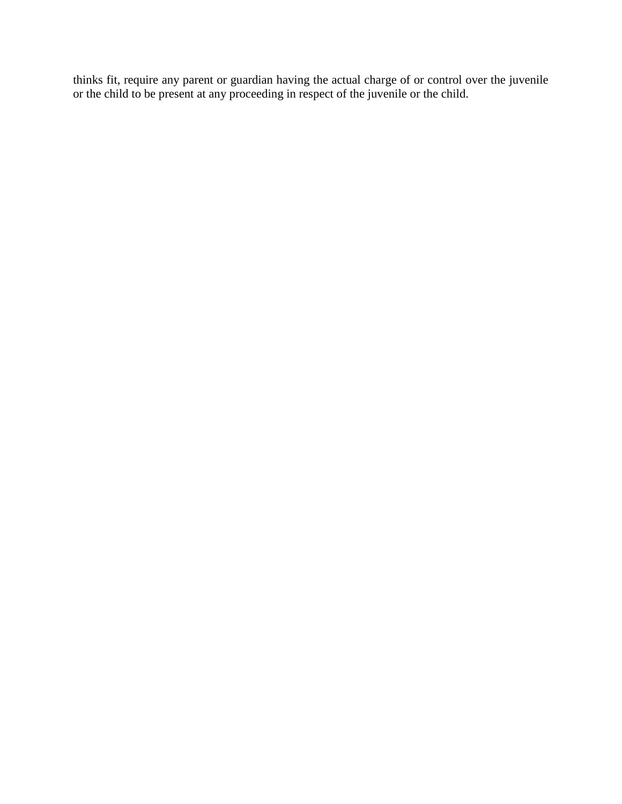thinks fit, require any parent or guardian having the actual charge of or control over the juvenile or the child to be present at any proceeding in respect of the juvenile or the child.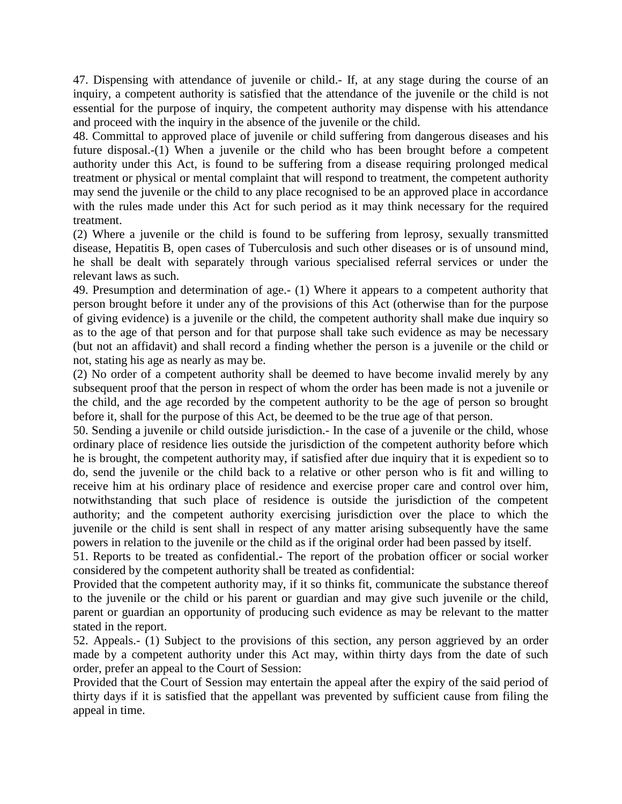47. Dispensing with attendance of juvenile or child.- If, at any stage during the course of an inquiry, a competent authority is satisfied that the attendance of the juvenile or the child is not essential for the purpose of inquiry, the competent authority may dispense with his attendance and proceed with the inquiry in the absence of the juvenile or the child.

48. Committal to approved place of juvenile or child suffering from dangerous diseases and his future disposal.-(1) When a juvenile or the child who has been brought before a competent authority under this Act, is found to be suffering from a disease requiring prolonged medical treatment or physical or mental complaint that will respond to treatment, the competent authority may send the juvenile or the child to any place recognised to be an approved place in accordance with the rules made under this Act for such period as it may think necessary for the required treatment.

(2) Where a juvenile or the child is found to be suffering from leprosy, sexually transmitted disease, Hepatitis B, open cases of Tuberculosis and such other diseases or is of unsound mind, he shall be dealt with separately through various specialised referral services or under the relevant laws as such.

49. Presumption and determination of age.- (1) Where it appears to a competent authority that person brought before it under any of the provisions of this Act (otherwise than for the purpose of giving evidence) is a juvenile or the child, the competent authority shall make due inquiry so as to the age of that person and for that purpose shall take such evidence as may be necessary (but not an affidavit) and shall record a finding whether the person is a juvenile or the child or not, stating his age as nearly as may be.

(2) No order of a competent authority shall be deemed to have become invalid merely by any subsequent proof that the person in respect of whom the order has been made is not a juvenile or the child, and the age recorded by the competent authority to be the age of person so brought before it, shall for the purpose of this Act, be deemed to be the true age of that person.

50. Sending a juvenile or child outside jurisdiction.- In the case of a juvenile or the child, whose ordinary place of residence lies outside the jurisdiction of the competent authority before which he is brought, the competent authority may, if satisfied after due inquiry that it is expedient so to do, send the juvenile or the child back to a relative or other person who is fit and willing to receive him at his ordinary place of residence and exercise proper care and control over him, notwithstanding that such place of residence is outside the jurisdiction of the competent authority; and the competent authority exercising jurisdiction over the place to which the juvenile or the child is sent shall in respect of any matter arising subsequently have the same powers in relation to the juvenile or the child as if the original order had been passed by itself.

51. Reports to be treated as confidential.- The report of the probation officer or social worker considered by the competent authority shall be treated as confidential:

Provided that the competent authority may, if it so thinks fit, communicate the substance thereof to the juvenile or the child or his parent or guardian and may give such juvenile or the child, parent or guardian an opportunity of producing such evidence as may be relevant to the matter stated in the report.

52. Appeals.- (1) Subject to the provisions of this section, any person aggrieved by an order made by a competent authority under this Act may, within thirty days from the date of such order, prefer an appeal to the Court of Session:

Provided that the Court of Session may entertain the appeal after the expiry of the said period of thirty days if it is satisfied that the appellant was prevented by sufficient cause from filing the appeal in time.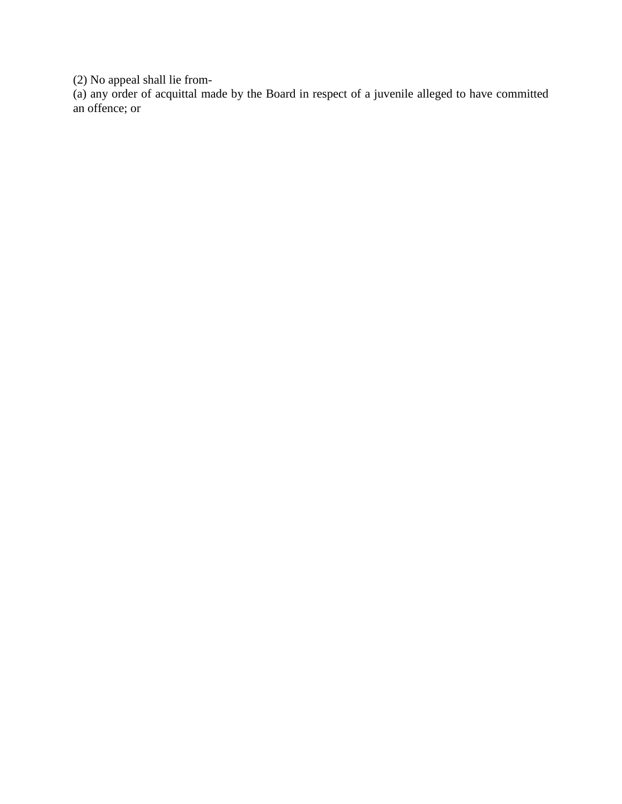(2) No appeal shall lie from-

(a) any order of acquittal made by the Board in respect of a juvenile alleged to have committed an offence; or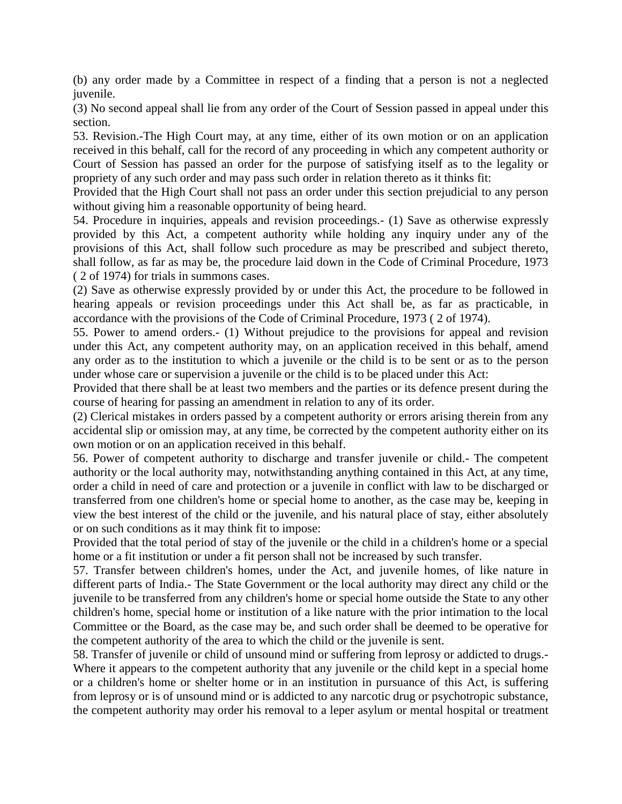(b) any order made by a Committee in respect of a finding that a person is not a neglected juvenile.

(3) No second appeal shall lie from any order of the Court of Session passed in appeal under this section.

53. Revision.-The High Court may, at any time, either of its own motion or on an application received in this behalf, call for the record of any proceeding in which any competent authority or Court of Session has passed an order for the purpose of satisfying itself as to the legality or propriety of any such order and may pass such order in relation thereto as it thinks fit:

Provided that the High Court shall not pass an order under this section prejudicial to any person without giving him a reasonable opportunity of being heard.

54. Procedure in inquiries, appeals and revision proceedings.- (1) Save as otherwise expressly provided by this Act, a competent authority while holding any inquiry under any of the provisions of this Act, shall follow such procedure as may be prescribed and subject thereto, shall follow, as far as may be, the procedure laid down in the Code of Criminal Procedure, 1973 ( 2 of 1974) for trials in summons cases.

(2) Save as otherwise expressly provided by or under this Act, the procedure to be followed in hearing appeals or revision proceedings under this Act shall be, as far as practicable, in accordance with the provisions of the Code of Criminal Procedure, 1973 ( 2 of 1974).

55. Power to amend orders.- (1) Without prejudice to the provisions for appeal and revision under this Act, any competent authority may, on an application received in this behalf, amend any order as to the institution to which a juvenile or the child is to be sent or as to the person under whose care or supervision a juvenile or the child is to be placed under this Act:

Provided that there shall be at least two members and the parties or its defence present during the course of hearing for passing an amendment in relation to any of its order.

(2) Clerical mistakes in orders passed by a competent authority or errors arising therein from any accidental slip or omission may, at any time, be corrected by the competent authority either on its own motion or on an application received in this behalf.

56. Power of competent authority to discharge and transfer juvenile or child.- The competent authority or the local authority may, notwithstanding anything contained in this Act, at any time, order a child in need of care and protection or a juvenile in conflict with law to be discharged or transferred from one children's home or special home to another, as the case may be, keeping in view the best interest of the child or the juvenile, and his natural place of stay, either absolutely or on such conditions as it may think fit to impose:

Provided that the total period of stay of the juvenile or the child in a children's home or a special home or a fit institution or under a fit person shall not be increased by such transfer.

57. Transfer between children's homes, under the Act, and juvenile homes, of like nature in different parts of India.- The State Government or the local authority may direct any child or the juvenile to be transferred from any children's home or special home outside the State to any other children's home, special home or institution of a like nature with the prior intimation to the local Committee or the Board, as the case may be, and such order shall be deemed to be operative for the competent authority of the area to which the child or the juvenile is sent.

58. Transfer of juvenile or child of unsound mind or suffering from leprosy or addicted to drugs.- Where it appears to the competent authority that any juvenile or the child kept in a special home or a children's home or shelter home or in an institution in pursuance of this Act, is suffering from leprosy or is of unsound mind or is addicted to any narcotic drug or psychotropic substance, the competent authority may order his removal to a leper asylum or mental hospital or treatment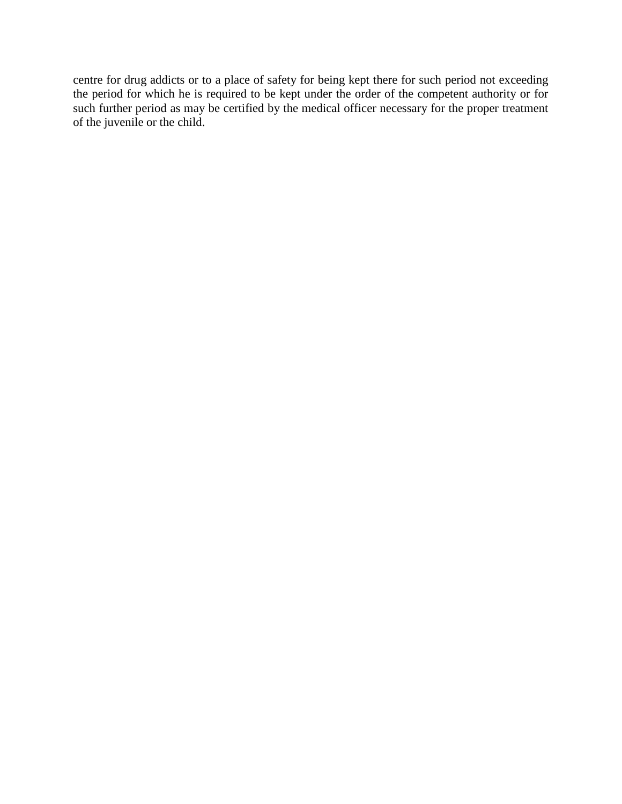centre for drug addicts or to a place of safety for being kept there for such period not exceeding the period for which he is required to be kept under the order of the competent authority or for such further period as may be certified by the medical officer necessary for the proper treatment of the juvenile or the child.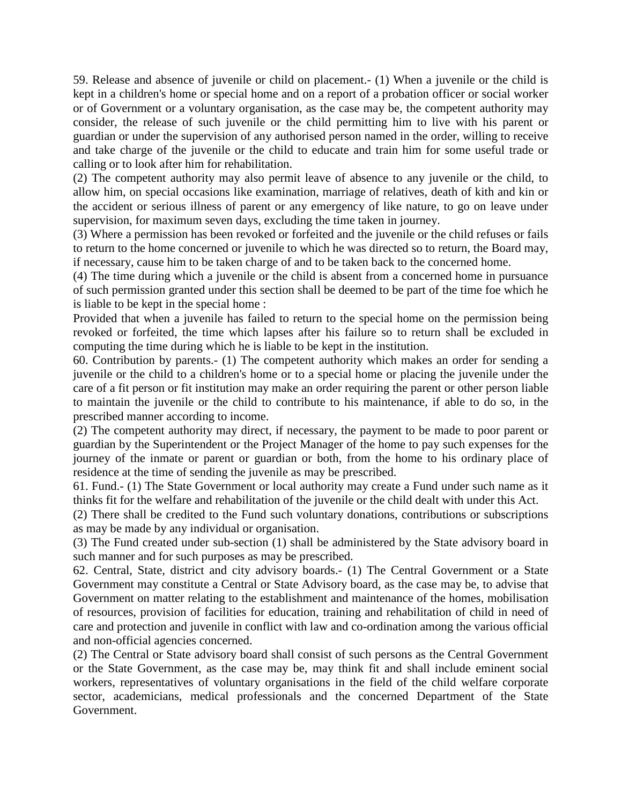59. Release and absence of juvenile or child on placement.- (1) When a juvenile or the child is kept in a children's home or special home and on a report of a probation officer or social worker or of Government or a voluntary organisation, as the case may be, the competent authority may consider, the release of such juvenile or the child permitting him to live with his parent or guardian or under the supervision of any authorised person named in the order, willing to receive and take charge of the juvenile or the child to educate and train him for some useful trade or calling or to look after him for rehabilitation.

(2) The competent authority may also permit leave of absence to any juvenile or the child, to allow him, on special occasions like examination, marriage of relatives, death of kith and kin or the accident or serious illness of parent or any emergency of like nature, to go on leave under supervision, for maximum seven days, excluding the time taken in journey.

(3) Where a permission has been revoked or forfeited and the juvenile or the child refuses or fails to return to the home concerned or juvenile to which he was directed so to return, the Board may, if necessary, cause him to be taken charge of and to be taken back to the concerned home.

(4) The time during which a juvenile or the child is absent from a concerned home in pursuance of such permission granted under this section shall be deemed to be part of the time foe which he is liable to be kept in the special home :

Provided that when a juvenile has failed to return to the special home on the permission being revoked or forfeited, the time which lapses after his failure so to return shall be excluded in computing the time during which he is liable to be kept in the institution.

60. Contribution by parents.- (1) The competent authority which makes an order for sending a juvenile or the child to a children's home or to a special home or placing the juvenile under the care of a fit person or fit institution may make an order requiring the parent or other person liable to maintain the juvenile or the child to contribute to his maintenance, if able to do so, in the prescribed manner according to income.

(2) The competent authority may direct, if necessary, the payment to be made to poor parent or guardian by the Superintendent or the Project Manager of the home to pay such expenses for the journey of the inmate or parent or guardian or both, from the home to his ordinary place of residence at the time of sending the juvenile as may be prescribed.

61. Fund.- (1) The State Government or local authority may create a Fund under such name as it thinks fit for the welfare and rehabilitation of the juvenile or the child dealt with under this Act.

(2) There shall be credited to the Fund such voluntary donations, contributions or subscriptions as may be made by any individual or organisation.

(3) The Fund created under sub-section (1) shall be administered by the State advisory board in such manner and for such purposes as may be prescribed.

62. Central, State, district and city advisory boards.- (1) The Central Government or a State Government may constitute a Central or State Advisory board, as the case may be, to advise that Government on matter relating to the establishment and maintenance of the homes, mobilisation of resources, provision of facilities for education, training and rehabilitation of child in need of care and protection and juvenile in conflict with law and co-ordination among the various official and non-official agencies concerned.

(2) The Central or State advisory board shall consist of such persons as the Central Government or the State Government, as the case may be, may think fit and shall include eminent social workers, representatives of voluntary organisations in the field of the child welfare corporate sector, academicians, medical professionals and the concerned Department of the State Government.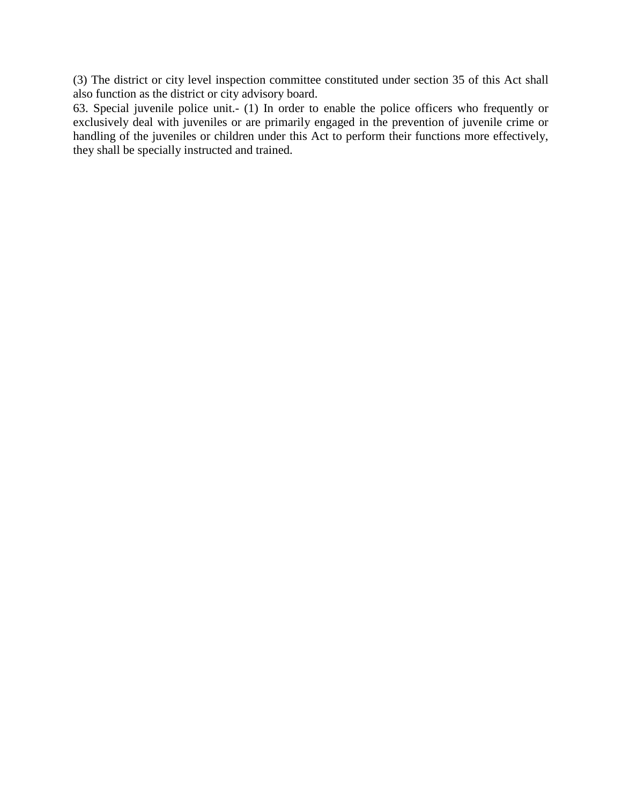(3) The district or city level inspection committee constituted under section 35 of this Act shall also function as the district or city advisory board.

63. Special juvenile police unit.- (1) In order to enable the police officers who frequently or exclusively deal with juveniles or are primarily engaged in the prevention of juvenile crime or handling of the juveniles or children under this Act to perform their functions more effectively, they shall be specially instructed and trained.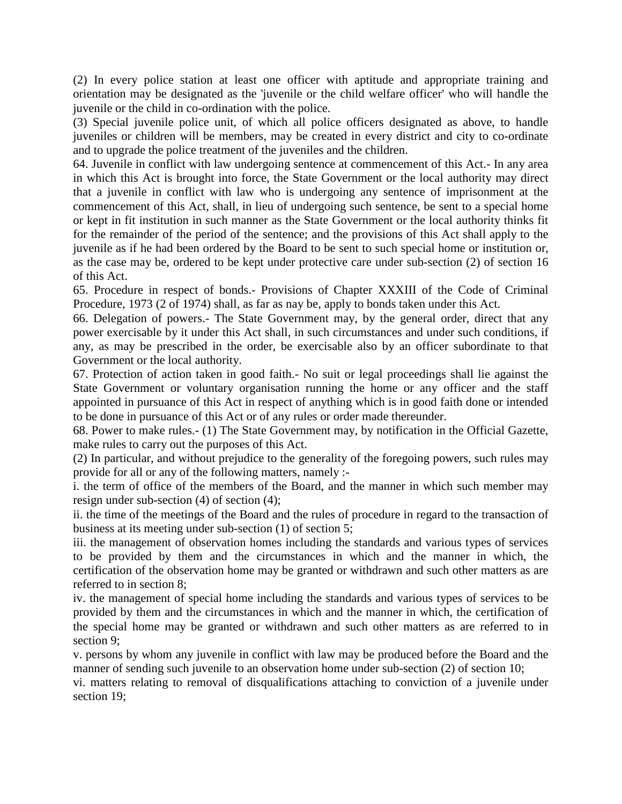(2) In every police station at least one officer with aptitude and appropriate training and orientation may be designated as the 'juvenile or the child welfare officer' who will handle the juvenile or the child in co-ordination with the police.

(3) Special juvenile police unit, of which all police officers designated as above, to handle juveniles or children will be members, may be created in every district and city to co-ordinate and to upgrade the police treatment of the juveniles and the children.

64. Juvenile in conflict with law undergoing sentence at commencement of this Act.- In any area in which this Act is brought into force, the State Government or the local authority may direct that a juvenile in conflict with law who is undergoing any sentence of imprisonment at the commencement of this Act, shall, in lieu of undergoing such sentence, be sent to a special home or kept in fit institution in such manner as the State Government or the local authority thinks fit for the remainder of the period of the sentence; and the provisions of this Act shall apply to the juvenile as if he had been ordered by the Board to be sent to such special home or institution or, as the case may be, ordered to be kept under protective care under sub-section (2) of section 16 of this Act.

65. Procedure in respect of bonds.- Provisions of Chapter XXXIII of the Code of Criminal Procedure, 1973 (2 of 1974) shall, as far as nay be, apply to bonds taken under this Act.

66. Delegation of powers.- The State Government may, by the general order, direct that any power exercisable by it under this Act shall, in such circumstances and under such conditions, if any, as may be prescribed in the order, be exercisable also by an officer subordinate to that Government or the local authority.

67. Protection of action taken in good faith.- No suit or legal proceedings shall lie against the State Government or voluntary organisation running the home or any officer and the staff appointed in pursuance of this Act in respect of anything which is in good faith done or intended to be done in pursuance of this Act or of any rules or order made thereunder.

68. Power to make rules.- (1) The State Government may, by notification in the Official Gazette, make rules to carry out the purposes of this Act.

(2) In particular, and without prejudice to the generality of the foregoing powers, such rules may provide for all or any of the following matters, namely :-

i. the term of office of the members of the Board, and the manner in which such member may resign under sub-section (4) of section (4);

ii. the time of the meetings of the Board and the rules of procedure in regard to the transaction of business at its meeting under sub-section (1) of section 5;

iii. the management of observation homes including the standards and various types of services to be provided by them and the circumstances in which and the manner in which, the certification of the observation home may be granted or withdrawn and such other matters as are referred to in section 8;

iv. the management of special home including the standards and various types of services to be provided by them and the circumstances in which and the manner in which, the certification of the special home may be granted or withdrawn and such other matters as are referred to in section 9;

v. persons by whom any juvenile in conflict with law may be produced before the Board and the manner of sending such juvenile to an observation home under sub-section (2) of section 10;

vi. matters relating to removal of disqualifications attaching to conviction of a juvenile under section 19;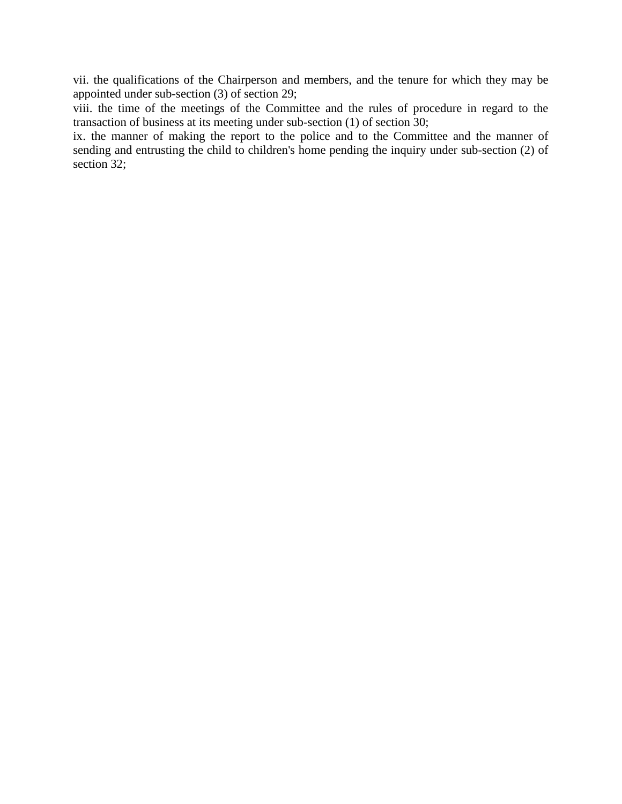vii. the qualifications of the Chairperson and members, and the tenure for which they may be appointed under sub-section (3) of section 29;

viii. the time of the meetings of the Committee and the rules of procedure in regard to the transaction of business at its meeting under sub-section (1) of section 30;

ix. the manner of making the report to the police and to the Committee and the manner of sending and entrusting the child to children's home pending the inquiry under sub-section (2) of section 32;